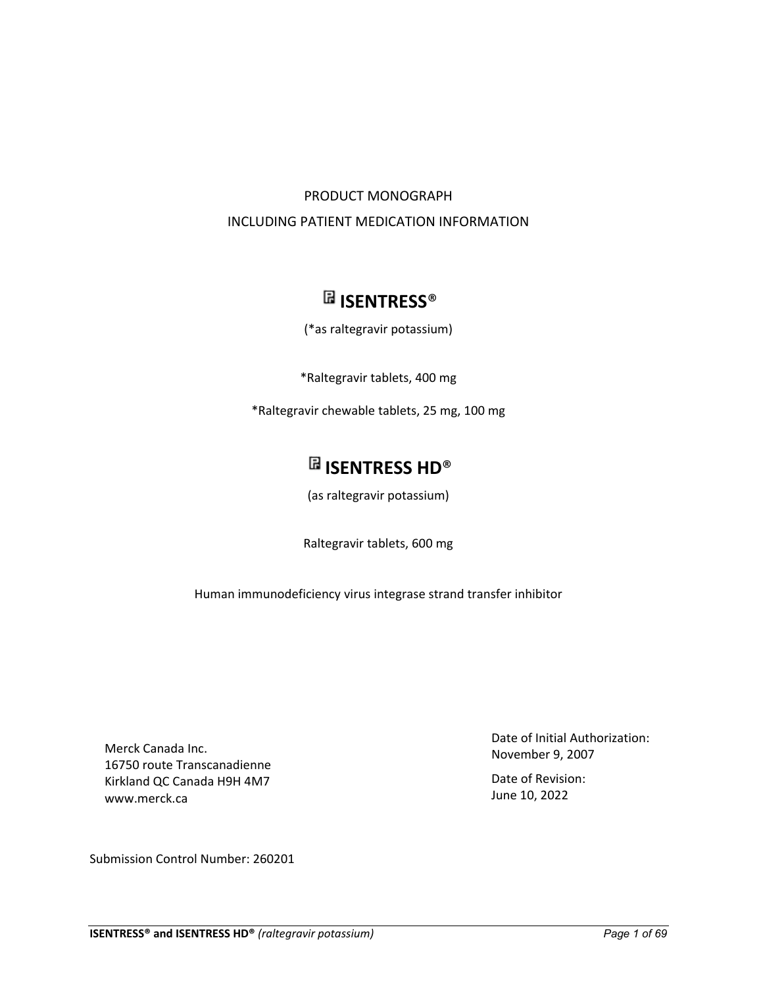## PRODUCT MONOGRAPH INCLUDING PATIENT MEDICATION INFORMATION

# **ISENTRESS**®

(\*as raltegravir potassium)

\*Raltegravir tablets, 400 mg

\*Raltegravir chewable tablets, 25 mg, 100 mg

# **ISENTRESS HD**®

(as raltegravir potassium)

Raltegravir tablets, 600 mg

Human immunodeficiency virus integrase strand transfer inhibitor

Merck Canada Inc. 16750 route Transcanadienne Kirkland QC Canada H9H 4M7 www.merck.ca

Submission Control Number: 260201

Date of Initial Authorization: November 9, 2007

Date of Revision: June 10, 2022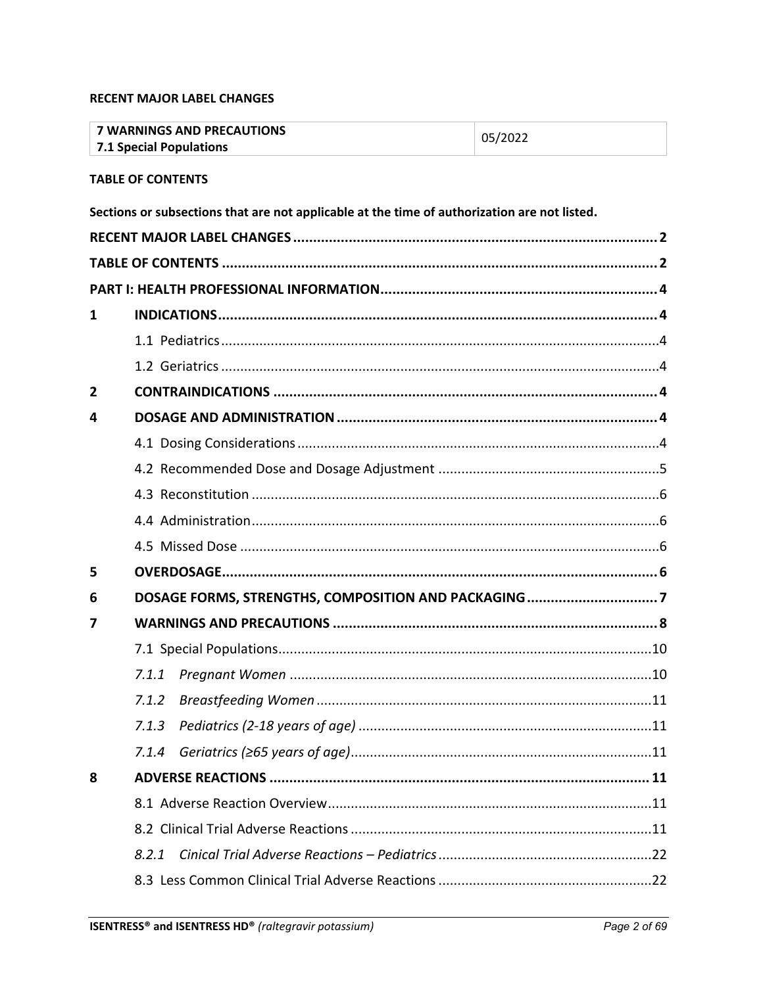## <span id="page-1-0"></span>**RECENT MAJOR LABEL CHANGES**

<span id="page-1-1"></span>

|                | <b>7 WARNINGS AND PRECAUTIONS</b><br><b>7.1 Special Populations</b>                          | 05/2022 |
|----------------|----------------------------------------------------------------------------------------------|---------|
|                | <b>TABLE OF CONTENTS</b>                                                                     |         |
|                | Sections or subsections that are not applicable at the time of authorization are not listed. |         |
|                |                                                                                              |         |
|                |                                                                                              |         |
|                |                                                                                              |         |
| 1              |                                                                                              |         |
|                |                                                                                              |         |
|                |                                                                                              |         |
| $\overline{2}$ |                                                                                              |         |
| 4              |                                                                                              |         |
|                |                                                                                              |         |
|                |                                                                                              |         |
|                |                                                                                              |         |
|                |                                                                                              |         |
|                |                                                                                              |         |
| 5              |                                                                                              |         |
| 6              |                                                                                              |         |
| 7              |                                                                                              |         |
|                |                                                                                              |         |
|                |                                                                                              |         |
|                | 7.1.2                                                                                        |         |
|                | 7.1.3                                                                                        |         |
|                | 7.1.4                                                                                        |         |
| 8              |                                                                                              |         |
|                |                                                                                              |         |
|                |                                                                                              |         |
|                | 8.2.1                                                                                        |         |
|                |                                                                                              |         |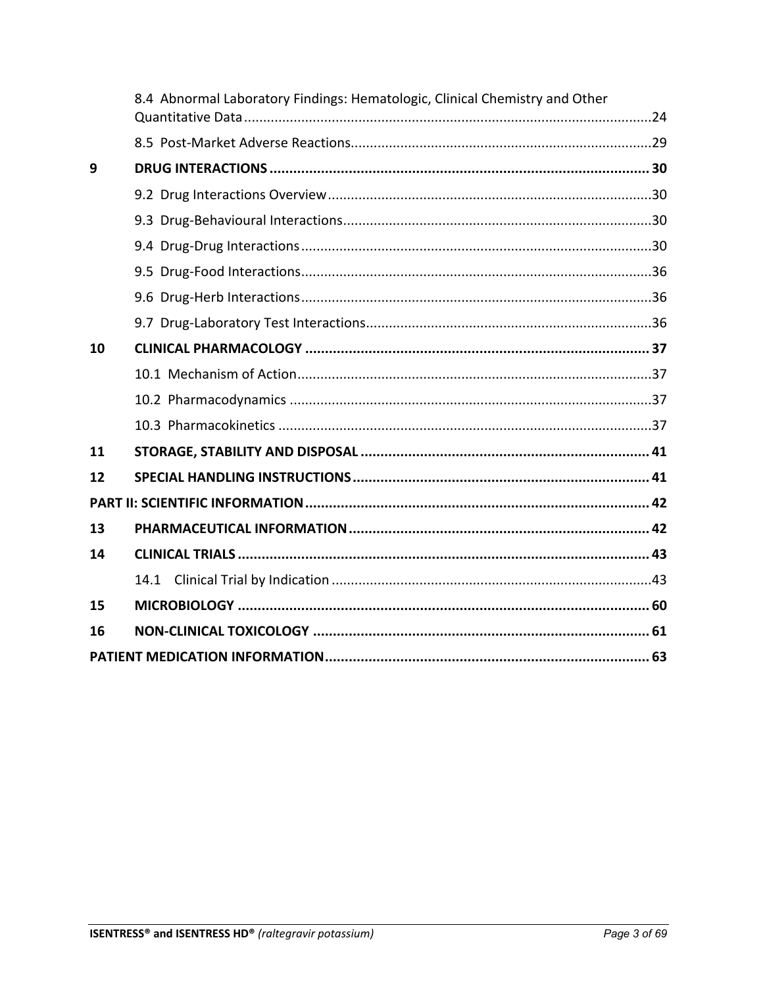|    | 8.4 Abnormal Laboratory Findings: Hematologic, Clinical Chemistry and Other |
|----|-----------------------------------------------------------------------------|
|    |                                                                             |
| 9  |                                                                             |
|    |                                                                             |
|    |                                                                             |
|    |                                                                             |
|    |                                                                             |
|    |                                                                             |
|    |                                                                             |
| 10 |                                                                             |
|    |                                                                             |
|    |                                                                             |
|    |                                                                             |
| 11 |                                                                             |
| 12 |                                                                             |
|    |                                                                             |
| 13 |                                                                             |
| 14 |                                                                             |
|    | 14.1                                                                        |
| 15 |                                                                             |
| 16 |                                                                             |
|    |                                                                             |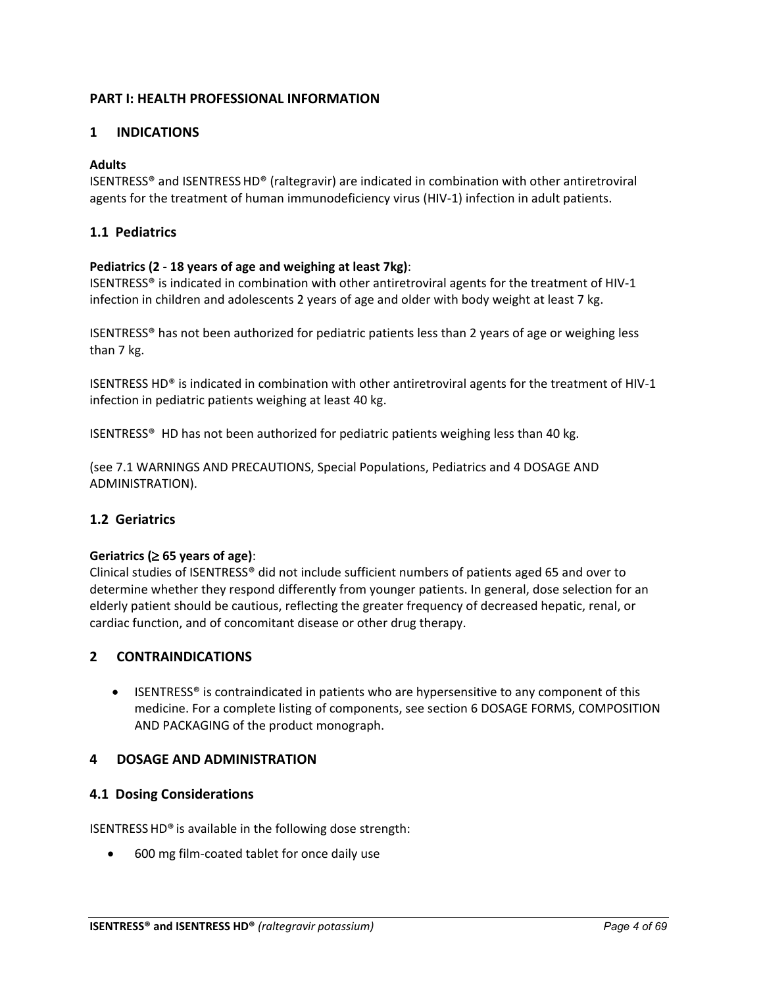## <span id="page-3-0"></span>**PART I: HEALTH PROFESSIONAL INFORMATION**

## <span id="page-3-1"></span>**1 INDICATIONS**

## **Adults**

ISENTRESS® and ISENTRESSHD® (raltegravir) are indicated in combination with other antiretroviral agents for the treatment of human immunodeficiency virus (HIV-1) infection in adult patients.

## <span id="page-3-2"></span>**1.1 Pediatrics**

## **Pediatrics (2 - 18 years of age and weighing at least 7kg)**:

ISENTRESS® is indicated in combination with other antiretroviral agents for the treatment of HIV-1 infection in children and adolescents 2 years of age and older with body weight at least 7 kg.

ISENTRESS® has not been authorized for pediatric patients less than 2 years of age or weighing less than 7 kg.

ISENTRESS HD® is indicated in combination with other antiretroviral agents for the treatment of HIV-1 infection in pediatric patients weighing at least 40 kg.

ISENTRESS® HD has not been authorized for pediatric patients weighing less than 40 kg.

(see 7.1 WARNINGS AND PRECAUTIONS, Special Populations, Pediatrics and 4 DOSAGE AND ADMINISTRATION).

## <span id="page-3-3"></span>**1.2 Geriatrics**

## **Geriatrics (**≥ **65 years of age)**:

Clinical studies of ISENTRESS® did not include sufficient numbers of patients aged 65 and over to determine whether they respond differently from younger patients. In general, dose selection for an elderly patient should be cautious, reflecting the greater frequency of decreased hepatic, renal, or cardiac function, and of concomitant disease or other drug therapy.

## <span id="page-3-4"></span>**2 CONTRAINDICATIONS**

• ISENTRESS<sup>®</sup> is contraindicated in patients who are hypersensitive to any component of this medicine. For a complete listing of components, see section 6 DOSAGE FORMS, COMPOSITION AND PACKAGING of the product monograph.

## <span id="page-3-5"></span>**4 DOSAGE AND ADMINISTRATION**

## <span id="page-3-6"></span>**4.1 Dosing Considerations**

ISENTRESSHD® is available in the following dose strength:

• 600 mg film-coated tablet for once daily use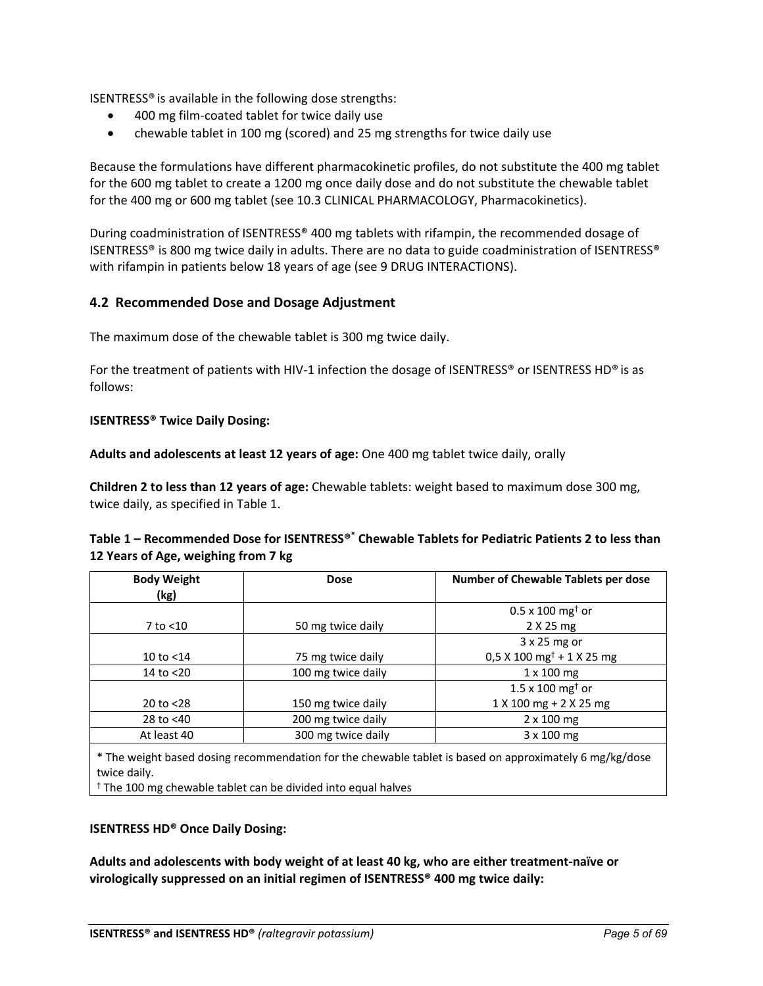ISENTRESS® is available in the following dose strengths:

- 400 mg film-coated tablet for twice daily use
- chewable tablet in 100 mg (scored) and 25 mg strengths for twice daily use

Because the formulations have different pharmacokinetic profiles, do not substitute the 400 mg tablet for the 600 mg tablet to create a 1200 mg once daily dose and do not substitute the chewable tablet for the 400 mg or 600 mg tablet (see 10.3 CLINICAL PHARMACOLOGY, Pharmacokinetics).

During coadministration of ISENTRESS® 400 mg tablets with rifampin, the recommended dosage of ISENTRESS® is 800 mg twice daily in adults. There are no data to guide coadministration of ISENTRESS® with rifampin in patients below 18 years of age (see 9 DRUG INTERACTIONS).

## <span id="page-4-0"></span>**4.2 Recommended Dose and Dosage Adjustment**

The maximum dose of the chewable tablet is 300 mg twice daily.

For the treatment of patients with HIV-1 infection the dosage of ISENTRESS® or ISENTRESS HD® is as follows:

#### **ISENTRESS® Twice Daily Dosing:**

**Adults and adolescents at least 12 years of age:** One 400 mg tablet twice daily, orally

**Children 2 to less than 12 years of age:** Chewable tablets: weight based to maximum dose 300 mg, twice daily, as specified in Table 1.

## **Table 1 – Recommended Dose for ISENTRESS®\* Chewable Tablets for Pediatric Patients 2 to less than 12 Years of Age, weighing from 7 kg**

| <b>Body Weight</b><br>(kg) | <b>Dose</b>        | Number of Chewable Tablets per dose     |
|----------------------------|--------------------|-----------------------------------------|
|                            |                    | $0.5 \times 100$ mg <sup>t</sup> or     |
| 7 to <10                   | 50 mg twice daily  | 2 X 25 mg                               |
|                            |                    | $3x25$ mg or                            |
| 10 to $<$ 14               | 75 mg twice daily  | $0.5$ X 100 mg <sup>†</sup> + 1 X 25 mg |
| 14 to <20                  | 100 mg twice daily | $1 \times 100$ mg                       |
|                            |                    | $1.5 \times 100$ mg <sup>+</sup> or     |
| 20 to $<$ 28               | 150 mg twice daily | 1 X 100 mg + 2 X 25 mg                  |
| 28 to <40                  | 200 mg twice daily | $2 \times 100$ mg                       |
| At least 40                | 300 mg twice daily | $3 \times 100$ mg                       |

\* The weight based dosing recommendation for the chewable tablet is based on approximately 6 mg/kg/dose twice daily.

† The 100 mg chewable tablet can be divided into equal halves

## **ISENTRESS HD® Once Daily Dosing:**

**Adults and adolescents with body weight of at least 40 kg, who are either treatment-naïve or virologically suppressed on an initial regimen of ISENTRESS® 400 mg twice daily:**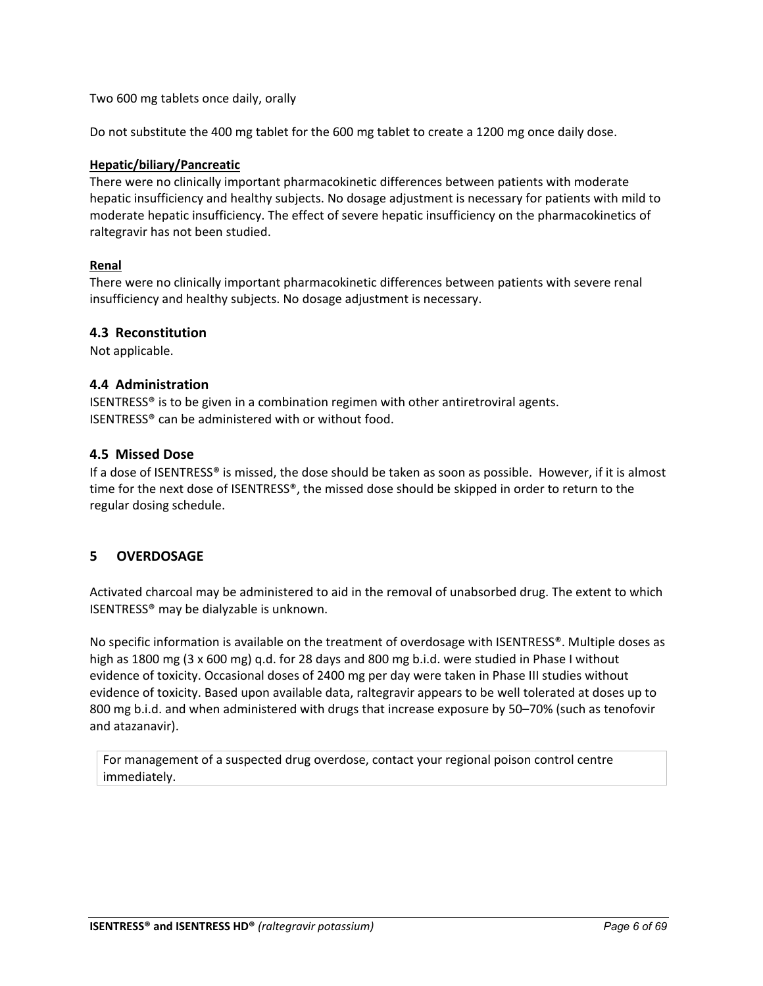Two 600 mg tablets once daily, orally

Do not substitute the 400 mg tablet for the 600 mg tablet to create a 1200 mg once daily dose.

## **Hepatic/biliary/Pancreatic**

There were no clinically important pharmacokinetic differences between patients with moderate hepatic insufficiency and healthy subjects. No dosage adjustment is necessary for patients with mild to moderate hepatic insufficiency. The effect of severe hepatic insufficiency on the pharmacokinetics of raltegravir has not been studied.

## **Renal**

There were no clinically important pharmacokinetic differences between patients with severe renal insufficiency and healthy subjects. No dosage adjustment is necessary.

#### <span id="page-5-0"></span>**4.3 Reconstitution**

Not applicable.

## <span id="page-5-1"></span>**4.4 Administration**

ISENTRESS® is to be given in a combination regimen with other antiretroviral agents. ISENTRESS® can be administered with or without food.

#### <span id="page-5-2"></span>**4.5 Missed Dose**

If a dose of ISENTRESS® is missed, the dose should be taken as soon as possible. However, if it is almost time for the next dose of ISENTRESS®, the missed dose should be skipped in order to return to the regular dosing schedule.

## <span id="page-5-3"></span>**5 OVERDOSAGE**

Activated charcoal may be administered to aid in the removal of unabsorbed drug. The extent to which ISENTRESS® may be dialyzable is unknown.

No specific information is available on the treatment of overdosage with ISENTRESS®. Multiple doses as high as 1800 mg (3 x 600 mg) q.d. for 28 days and 800 mg b.i.d. were studied in Phase I without evidence of toxicity. Occasional doses of 2400 mg per day were taken in Phase III studies without evidence of toxicity. Based upon available data, raltegravir appears to be well tolerated at doses up to 800 mg b.i.d. and when administered with drugs that increase exposure by 50–70% (such as tenofovir and atazanavir).

For management of a suspected drug overdose, contact your regional poison control centre immediately.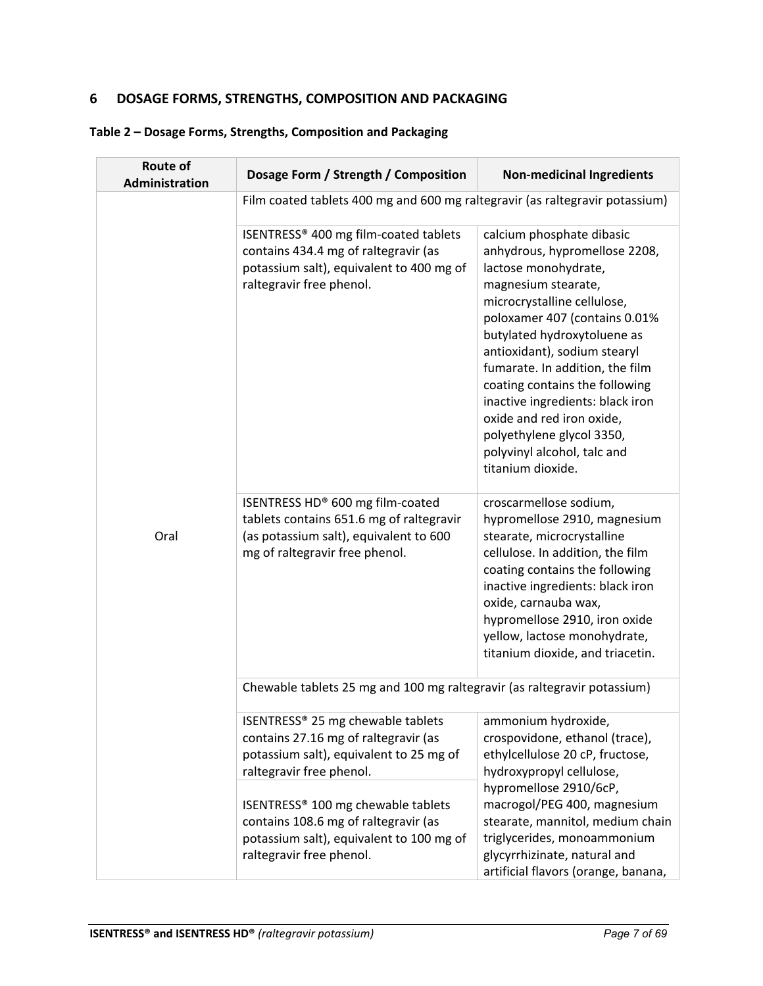## <span id="page-6-0"></span>**6 DOSAGE FORMS, STRENGTHS, COMPOSITION AND PACKAGING**

|  |  |  | Table 2 - Dosage Forms, Strengths, Composition and Packaging |
|--|--|--|--------------------------------------------------------------|
|--|--|--|--------------------------------------------------------------|

| <b>Route of</b><br>Administration | Dosage Form / Strength / Composition                                                                                                                     | <b>Non-medicinal Ingredients</b>                                                                                                                                                                                                                                                                                                                                                                                                                                |  |  |  |
|-----------------------------------|----------------------------------------------------------------------------------------------------------------------------------------------------------|-----------------------------------------------------------------------------------------------------------------------------------------------------------------------------------------------------------------------------------------------------------------------------------------------------------------------------------------------------------------------------------------------------------------------------------------------------------------|--|--|--|
|                                   | Film coated tablets 400 mg and 600 mg raltegravir (as raltegravir potassium)                                                                             |                                                                                                                                                                                                                                                                                                                                                                                                                                                                 |  |  |  |
|                                   | ISENTRESS® 400 mg film-coated tablets<br>contains 434.4 mg of raltegravir (as<br>potassium salt), equivalent to 400 mg of<br>raltegravir free phenol.    | calcium phosphate dibasic<br>anhydrous, hypromellose 2208,<br>lactose monohydrate,<br>magnesium stearate,<br>microcrystalline cellulose,<br>poloxamer 407 (contains 0.01%<br>butylated hydroxytoluene as<br>antioxidant), sodium stearyl<br>fumarate. In addition, the film<br>coating contains the following<br>inactive ingredients: black iron<br>oxide and red iron oxide,<br>polyethylene glycol 3350,<br>polyvinyl alcohol, talc and<br>titanium dioxide. |  |  |  |
| Oral                              | ISENTRESS HD® 600 mg film-coated<br>tablets contains 651.6 mg of raltegravir<br>(as potassium salt), equivalent to 600<br>mg of raltegravir free phenol. | croscarmellose sodium,<br>hypromellose 2910, magnesium<br>stearate, microcrystalline<br>cellulose. In addition, the film<br>coating contains the following<br>inactive ingredients: black iron<br>oxide, carnauba wax,<br>hypromellose 2910, iron oxide<br>yellow, lactose monohydrate,<br>titanium dioxide, and triacetin.                                                                                                                                     |  |  |  |
|                                   | Chewable tablets 25 mg and 100 mg raltegravir (as raltegravir potassium)                                                                                 |                                                                                                                                                                                                                                                                                                                                                                                                                                                                 |  |  |  |
|                                   | ISENTRESS® 25 mg chewable tablets<br>contains 27.16 mg of raltegravir (as<br>potassium salt), equivalent to 25 mg of<br>raltegravir free phenol.         | ammonium hydroxide,<br>crospovidone, ethanol (trace),<br>ethylcellulose 20 cP, fructose,<br>hydroxypropyl cellulose,                                                                                                                                                                                                                                                                                                                                            |  |  |  |
|                                   | ISENTRESS® 100 mg chewable tablets<br>contains 108.6 mg of raltegravir (as<br>potassium salt), equivalent to 100 mg of<br>raltegravir free phenol.       | hypromellose 2910/6cP,<br>macrogol/PEG 400, magnesium<br>stearate, mannitol, medium chain<br>triglycerides, monoammonium<br>glycyrrhizinate, natural and<br>artificial flavors (orange, banana,                                                                                                                                                                                                                                                                 |  |  |  |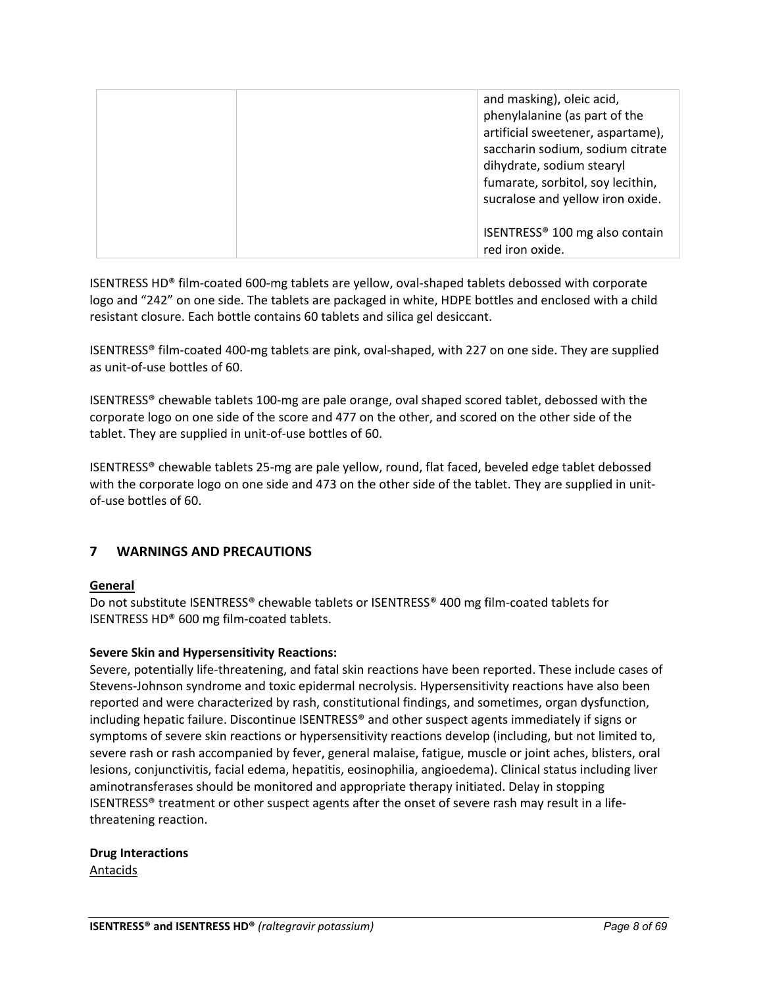| and masking), oleic acid,<br>phenylalanine (as part of the<br>artificial sweetener, aspartame),<br>saccharin sodium, sodium citrate<br>dihydrate, sodium stearyl<br>fumarate, sorbitol, soy lecithin,<br>sucralose and yellow iron oxide. |
|-------------------------------------------------------------------------------------------------------------------------------------------------------------------------------------------------------------------------------------------|
| ISENTRESS <sup>®</sup> 100 mg also contain<br>red iron oxide.                                                                                                                                                                             |

ISENTRESS HD® film-coated 600-mg tablets are yellow, oval-shaped tablets debossed with corporate logo and "242" on one side. The tablets are packaged in white, HDPE bottles and enclosed with a child resistant closure. Each bottle contains 60 tablets and silica gel desiccant.

ISENTRESS® film-coated 400-mg tablets are pink, oval-shaped, with 227 on one side. They are supplied as unit-of-use bottles of 60.

ISENTRESS® chewable tablets 100-mg are pale orange, oval shaped scored tablet, debossed with the corporate logo on one side of the score and 477 on the other, and scored on the other side of the tablet. They are supplied in unit-of-use bottles of 60.

ISENTRESS® chewable tablets 25-mg are pale yellow, round, flat faced, beveled edge tablet debossed with the corporate logo on one side and 473 on the other side of the tablet. They are supplied in unitof-use bottles of 60.

## <span id="page-7-0"></span>**7 WARNINGS AND PRECAUTIONS**

## **General**

Do not substitute ISENTRESS® chewable tablets or ISENTRESS® 400 mg film-coated tablets for ISENTRESS HD® 600 mg film-coated tablets.

## **Severe Skin and Hypersensitivity Reactions:**

Severe, potentially life-threatening, and fatal skin reactions have been reported. These include cases of Stevens-Johnson syndrome and toxic epidermal necrolysis. Hypersensitivity reactions have also been reported and were characterized by rash, constitutional findings, and sometimes, organ dysfunction, including hepatic failure. Discontinue ISENTRESS® and other suspect agents immediately if signs or symptoms of severe skin reactions or hypersensitivity reactions develop (including, but not limited to, severe rash or rash accompanied by fever, general malaise, fatigue, muscle or joint aches, blisters, oral lesions, conjunctivitis, facial edema, hepatitis, eosinophilia, angioedema). Clinical status including liver aminotransferases should be monitored and appropriate therapy initiated. Delay in stopping ISENTRESS® treatment or other suspect agents after the onset of severe rash may result in a lifethreatening reaction.

**Drug Interactions** Antacids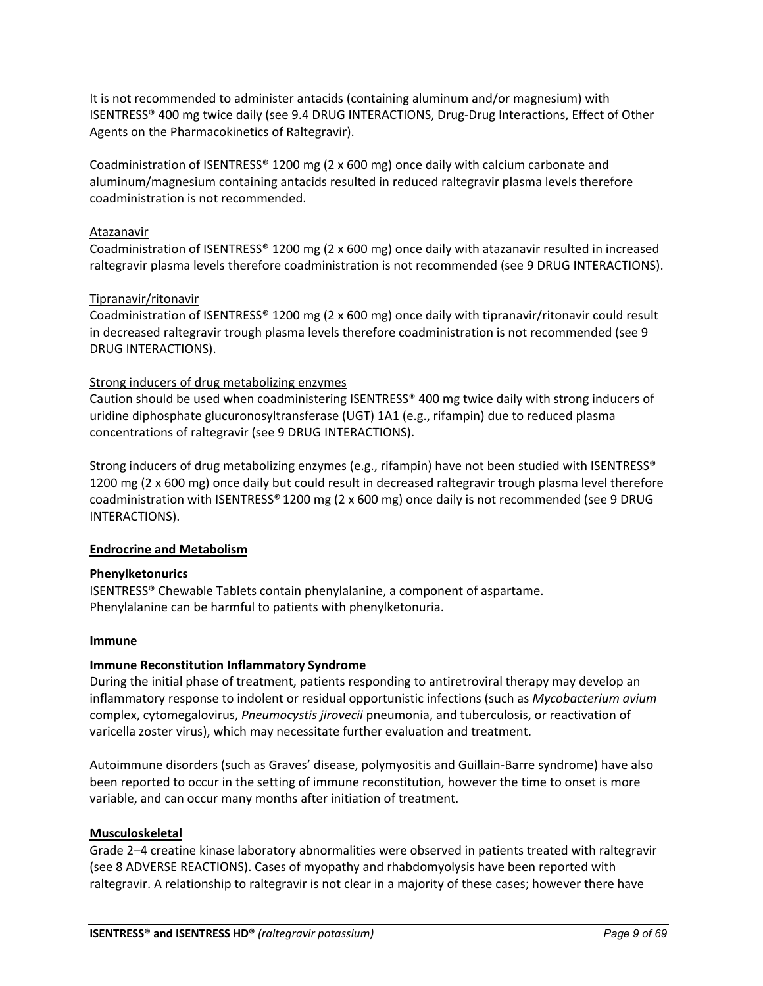It is not recommended to administer antacids (containing aluminum and/or magnesium) with ISENTRESS® 400 mg twice daily (see 9.4 DRUG INTERACTIONS, Drug-Drug Interactions, Effect of Other Agents on the Pharmacokinetics of Raltegravir).

Coadministration of ISENTRESS® 1200 mg (2 x 600 mg) once daily with calcium carbonate and aluminum/magnesium containing antacids resulted in reduced raltegravir plasma levels therefore coadministration is not recommended.

## Atazanavir

Coadministration of ISENTRESS® 1200 mg (2 x 600 mg) once daily with atazanavir resulted in increased raltegravir plasma levels therefore coadministration is not recommended (see 9 DRUG INTERACTIONS).

## Tipranavir/ritonavir

Coadministration of ISENTRESS® 1200 mg (2 x 600 mg) once daily with tipranavir/ritonavir could result in decreased raltegravir trough plasma levels therefore coadministration is not recommended (see 9 DRUG INTERACTIONS).

## Strong inducers of drug metabolizing enzymes

Caution should be used when coadministering ISENTRESS® 400 mg twice daily with strong inducers of uridine diphosphate glucuronosyltransferase (UGT) 1A1 (e.g., rifampin) due to reduced plasma concentrations of raltegravir (see 9 DRUG INTERACTIONS).

Strong inducers of drug metabolizing enzymes (e.g., rifampin) have not been studied with ISENTRESS® 1200 mg (2 x 600 mg) once daily but could result in decreased raltegravir trough plasma level therefore coadministration with ISENTRESS® 1200 mg (2 x 600 mg) once daily is not recommended (see 9 DRUG INTERACTIONS).

## **Endrocrine and Metabolism**

## **Phenylketonurics**

ISENTRESS® Chewable Tablets contain phenylalanine, a component of aspartame. Phenylalanine can be harmful to patients with phenylketonuria.

## **Immune**

## **Immune Reconstitution Inflammatory Syndrome**

During the initial phase of treatment, patients responding to antiretroviral therapy may develop an inflammatory response to indolent or residual opportunistic infections (such as *Mycobacterium avium*  complex, cytomegalovirus, *Pneumocystis jirovecii* pneumonia, and tuberculosis, or reactivation of varicella zoster virus), which may necessitate further evaluation and treatment.

Autoimmune disorders (such as Graves' disease, polymyositis and Guillain-Barre syndrome) have also been reported to occur in the setting of immune reconstitution, however the time to onset is more variable, and can occur many months after initiation of treatment.

## **Musculoskeletal**

Grade 2–4 creatine kinase laboratory abnormalities were observed in patients treated with raltegravir (see 8 ADVERSE REACTIONS). Cases of myopathy and rhabdomyolysis have been reported with raltegravir. A relationship to raltegravir is not clear in a majority of these cases; however there have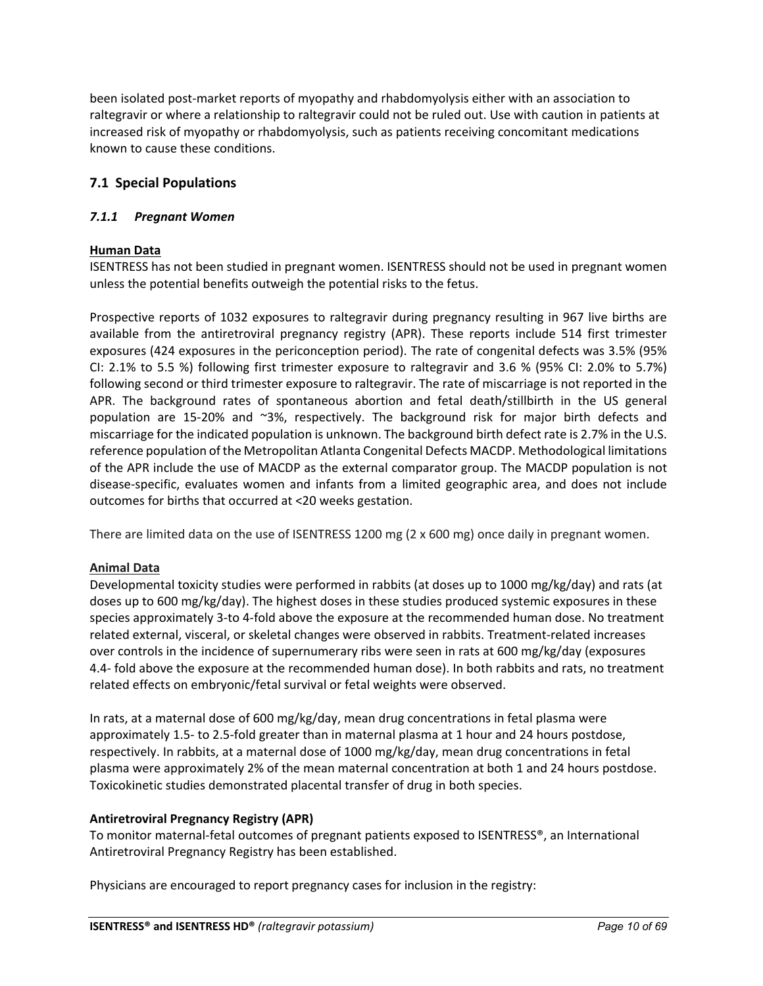been isolated post-market reports of myopathy and rhabdomyolysis either with an association to raltegravir or where a relationship to raltegravir could not be ruled out. Use with caution in patients at increased risk of myopathy or rhabdomyolysis, such as patients receiving concomitant medications known to cause these conditions.

## <span id="page-9-0"></span>**7.1 Special Populations**

## <span id="page-9-1"></span>*7.1.1 Pregnant Women*

## **Human Data**

ISENTRESS has not been studied in pregnant women. ISENTRESS should not be used in pregnant women unless the potential benefits outweigh the potential risks to the fetus.

Prospective reports of 1032 exposures to raltegravir during pregnancy resulting in 967 live births are available from the antiretroviral pregnancy registry (APR). These reports include 514 first trimester exposures (424 exposures in the periconception period). The rate of congenital defects was 3.5% (95% CI: 2.1% to 5.5 %) following first trimester exposure to raltegravir and 3.6 % (95% CI: 2.0% to 5.7%) following second or third trimester exposure to raltegravir. The rate of miscarriage is not reported in the APR. The background rates of spontaneous abortion and fetal death/stillbirth in the US general population are 15-20% and ~3%, respectively. The background risk for major birth defects and miscarriage for the indicated population is unknown. The background birth defect rate is 2.7% in the U.S. reference population of the Metropolitan Atlanta Congenital Defects MACDP. Methodological limitations of the APR include the use of MACDP as the external comparator group. The MACDP population is not disease-specific, evaluates women and infants from a limited geographic area, and does not include outcomes for births that occurred at <20 weeks gestation.

There are limited data on the use of ISENTRESS 1200 mg (2 x 600 mg) once daily in pregnant women.

## **Animal Data**

Developmental toxicity studies were performed in rabbits (at doses up to 1000 mg/kg/day) and rats (at doses up to 600 mg/kg/day). The highest doses in these studies produced systemic exposures in these species approximately 3-to 4-fold above the exposure at the recommended human dose. No treatment related external, visceral, or skeletal changes were observed in rabbits. Treatment-related increases over controls in the incidence of supernumerary ribs were seen in rats at 600 mg/kg/day (exposures 4.4- fold above the exposure at the recommended human dose). In both rabbits and rats, no treatment related effects on embryonic/fetal survival or fetal weights were observed.

In rats, at a maternal dose of 600 mg/kg/day, mean drug concentrations in fetal plasma were approximately 1.5- to 2.5-fold greater than in maternal plasma at 1 hour and 24 hours postdose, respectively. In rabbits, at a maternal dose of 1000 mg/kg/day, mean drug concentrations in fetal plasma were approximately 2% of the mean maternal concentration at both 1 and 24 hours postdose. Toxicokinetic studies demonstrated placental transfer of drug in both species.

## **Antiretroviral Pregnancy Registry (APR)**

To monitor maternal-fetal outcomes of pregnant patients exposed to ISENTRESS®, an International Antiretroviral Pregnancy Registry has been established.

Physicians are encouraged to report pregnancy cases for inclusion in the registry: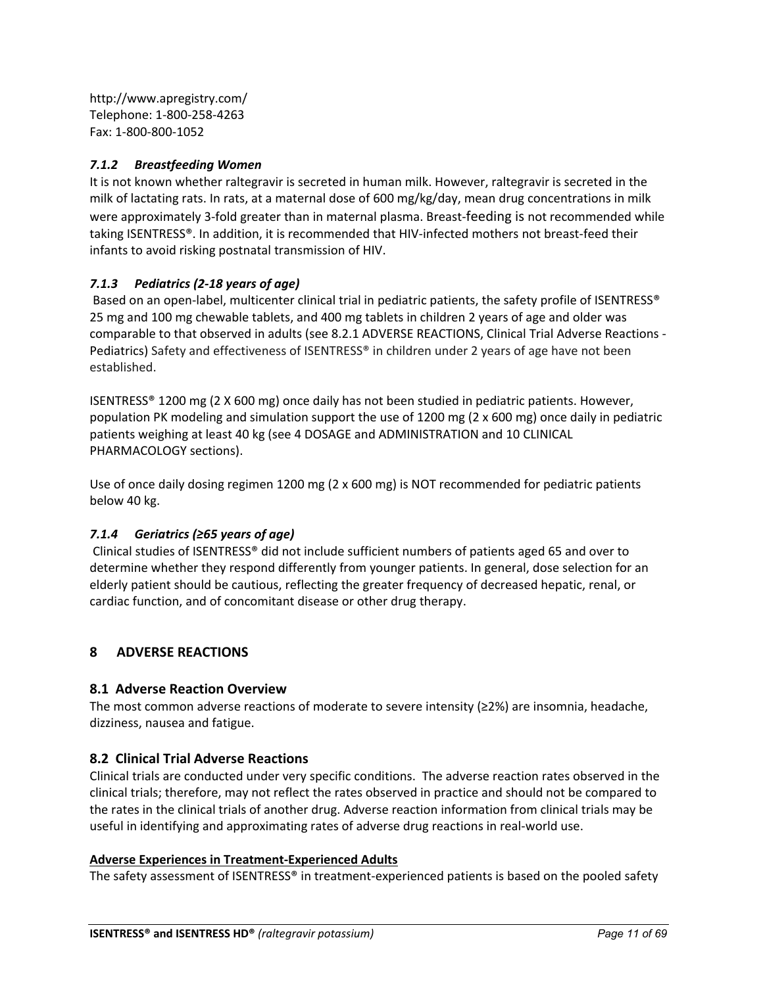http://www.apregistry.com/ Telephone: 1-800-258-4263 Fax: 1-800-800-1052

## <span id="page-10-0"></span>*7.1.2 Breastfeeding Women*

It is not known whether raltegravir is secreted in human milk. However, raltegravir is secreted in the milk of lactating rats. In rats, at a maternal dose of 600 mg/kg/day, mean drug concentrations in milk were approximately 3-fold greater than in maternal plasma. Breast-feeding is not recommended while taking ISENTRESS®. In addition, it is recommended that HIV-infected mothers not breast-feed their infants to avoid risking postnatal transmission of HIV.

## <span id="page-10-1"></span>*7.1.3 Pediatrics (2-18 years of age)*

Based on an open-label, multicenter clinical trial in pediatric patients, the safety profile of ISENTRESS® 25 mg and 100 mg chewable tablets, and 400 mg tablets in children 2 years of age and older was comparable to that observed in adults (see 8.2.1 ADVERSE REACTIONS, Clinical Trial Adverse Reactions - Pediatrics) Safety and effectiveness of ISENTRESS® in children under 2 years of age have not been established.

ISENTRESS® 1200 mg (2 X 600 mg) once daily has not been studied in pediatric patients. However, population PK modeling and simulation support the use of 1200 mg (2 x 600 mg) once daily in pediatric patients weighing at least 40 kg (see 4 DOSAGE and ADMINISTRATION and 10 CLINICAL PHARMACOLOGY sections).

Use of once daily dosing regimen 1200 mg (2 x 600 mg) is NOT recommended for pediatric patients below 40 kg.

## <span id="page-10-2"></span>*7.1.4 Geriatrics (≥65 years of age)*

Clinical studies of ISENTRESS® did not include sufficient numbers of patients aged 65 and over to determine whether they respond differently from younger patients. In general, dose selection for an elderly patient should be cautious, reflecting the greater frequency of decreased hepatic, renal, or cardiac function, and of concomitant disease or other drug therapy.

## <span id="page-10-3"></span>**8 ADVERSE REACTIONS**

## <span id="page-10-4"></span>**8.1 Adverse Reaction Overview**

The most common adverse reactions of moderate to severe intensity (≥2%) are insomnia, headache, dizziness, nausea and fatigue.

## <span id="page-10-5"></span>**8.2 Clinical Trial Adverse Reactions**

Clinical trials are conducted under very specific conditions. The adverse reaction rates observed in the clinical trials; therefore, may not reflect the rates observed in practice and should not be compared to the rates in the clinical trials of another drug. Adverse reaction information from clinical trials may be useful in identifying and approximating rates of adverse drug reactions in real-world use.

## **Adverse Experiences in Treatment-Experienced Adults**

The safety assessment of ISENTRESS® in treatment-experienced patients is based on the pooled safety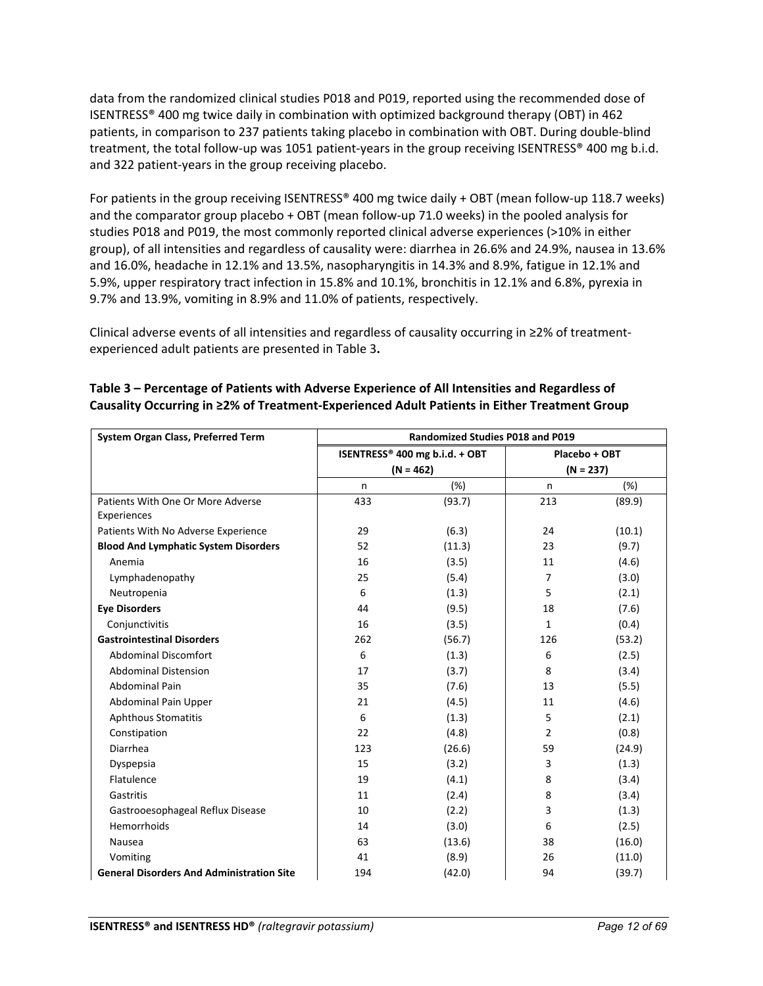data from the randomized clinical studies P018 and P019, reported using the recommended dose of ISENTRESS® 400 mg twice daily in combination with optimized background therapy (OBT) in 462 patients, in comparison to 237 patients taking placebo in combination with OBT. During double-blind treatment, the total follow-up was 1051 patient-years in the group receiving ISENTRESS® 400 mg b.i.d. and 322 patient-years in the group receiving placebo.

For patients in the group receiving ISENTRESS® 400 mg twice daily + OBT (mean follow-up 118.7 weeks) and the comparator group placebo + OBT (mean follow-up 71.0 weeks) in the pooled analysis for studies P018 and P019, the most commonly reported clinical adverse experiences (>10% in either group), of all intensities and regardless of causality were: diarrhea in 26.6% and 24.9%, nausea in 13.6% and 16.0%, headache in 12.1% and 13.5%, nasopharyngitis in 14.3% and 8.9%, fatigue in 12.1% and 5.9%, upper respiratory tract infection in 15.8% and 10.1%, bronchitis in 12.1% and 6.8%, pyrexia in 9.7% and 13.9%, vomiting in 8.9% and 11.0% of patients, respectively.

Clinical adverse events of all intensities and regardless of causality occurring in ≥2% of treatmentexperienced adult patients are presented in Table 3**.**

| System Organ Class, Preferred Term               | <b>Randomized Studies P018 and P019</b> |             |                |        |
|--------------------------------------------------|-----------------------------------------|-------------|----------------|--------|
|                                                  | ISENTRESS® 400 mg b.i.d. + OBT          |             | Placebo + OBT  |        |
|                                                  |                                         | $(N = 462)$ | $(N = 237)$    |        |
|                                                  | n.                                      | (%)         | n              | (%)    |
| Patients With One Or More Adverse                | 433                                     | (93.7)      | 213            | (89.9) |
| Experiences                                      |                                         |             |                |        |
| Patients With No Adverse Experience              | 29                                      | (6.3)       | 24             | (10.1) |
| <b>Blood And Lymphatic System Disorders</b>      | 52                                      | (11.3)      | 23             | (9.7)  |
| Anemia                                           | 16                                      | (3.5)       | 11             | (4.6)  |
| Lymphadenopathy                                  | 25                                      | (5.4)       | 7              | (3.0)  |
| Neutropenia                                      | 6                                       | (1.3)       | 5              | (2.1)  |
| <b>Eve Disorders</b>                             | 44                                      | (9.5)       | 18             | (7.6)  |
| Conjunctivitis                                   | 16                                      | (3.5)       | 1              | (0.4)  |
| <b>Gastrointestinal Disorders</b>                | 262                                     | (56.7)      | 126            | (53.2) |
| <b>Abdominal Discomfort</b>                      | 6                                       | (1.3)       | 6              | (2.5)  |
| <b>Abdominal Distension</b>                      | 17                                      | (3.7)       | 8              | (3.4)  |
| <b>Abdominal Pain</b>                            | 35                                      | (7.6)       | 13             | (5.5)  |
| Abdominal Pain Upper                             | 21                                      | (4.5)       | 11             | (4.6)  |
| <b>Aphthous Stomatitis</b>                       | 6                                       | (1.3)       | 5              | (2.1)  |
| Constipation                                     | 22                                      | (4.8)       | $\overline{2}$ | (0.8)  |
| Diarrhea                                         | 123                                     | (26.6)      | 59             | (24.9) |
| Dyspepsia                                        | 15                                      | (3.2)       | 3              | (1.3)  |
| Flatulence                                       | 19                                      | (4.1)       | 8              | (3.4)  |
| Gastritis                                        | 11                                      | (2.4)       | 8              | (3.4)  |
| Gastrooesophageal Reflux Disease                 | 10                                      | (2.2)       | 3              | (1.3)  |
| Hemorrhoids                                      | 14                                      | (3.0)       | 6              | (2.5)  |
| Nausea                                           | 63                                      | (13.6)      | 38             | (16.0) |
| Vomiting                                         | 41                                      | (8.9)       | 26             | (11.0) |
| <b>General Disorders And Administration Site</b> | 194                                     | (42.0)      | 94             | (39.7) |

## **Table 3 – Percentage of Patients with Adverse Experience of All Intensities and Regardless of Causality Occurring in ≥2% of Treatment-Experienced Adult Patients in Either Treatment Group**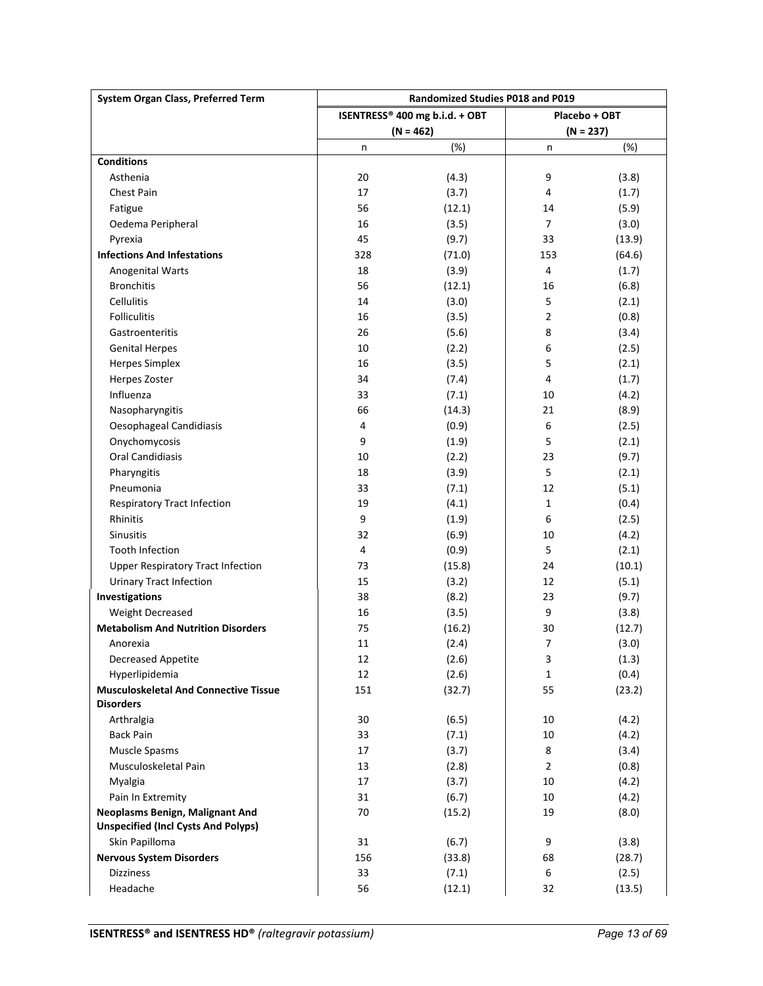| <b>System Organ Class, Preferred Term</b>    | <b>Randomized Studies P018 and P019</b>         |             |                          |             |
|----------------------------------------------|-------------------------------------------------|-------------|--------------------------|-------------|
|                                              | ISENTRESS® 400 mg b.i.d. + OBT<br>Placebo + OBT |             |                          |             |
|                                              |                                                 | $(N = 462)$ |                          | $(N = 237)$ |
|                                              | n                                               | (%)         | n                        | (%)         |
| <b>Conditions</b>                            |                                                 |             |                          |             |
| Asthenia                                     | 20                                              | (4.3)       | 9                        | (3.8)       |
| <b>Chest Pain</b>                            | 17                                              | (3.7)       | 4                        | (1.7)       |
| Fatigue                                      | 56                                              | (12.1)      | 14                       | (5.9)       |
| Oedema Peripheral                            | 16                                              | (3.5)       | 7                        | (3.0)       |
| Pyrexia                                      | 45                                              | (9.7)       | 33                       | (13.9)      |
| <b>Infections And Infestations</b>           | 328                                             | (71.0)      | 153                      | (64.6)      |
| Anogenital Warts                             | 18                                              | (3.9)       | 4                        | (1.7)       |
| <b>Bronchitis</b>                            | 56                                              | (12.1)      | 16                       | (6.8)       |
| <b>Cellulitis</b>                            | 14                                              | (3.0)       | 5                        | (2.1)       |
| <b>Folliculitis</b>                          | 16                                              | (3.5)       | $\overline{2}$           | (0.8)       |
| Gastroenteritis                              | 26                                              | (5.6)       | 8                        | (3.4)       |
| <b>Genital Herpes</b>                        | 10                                              | (2.2)       | 6                        | (2.5)       |
| <b>Herpes Simplex</b>                        | 16                                              | (3.5)       | 5                        | (2.1)       |
| Herpes Zoster                                | 34                                              | (7.4)       | 4                        | (1.7)       |
| Influenza                                    | 33                                              | (7.1)       | 10                       | (4.2)       |
| Nasopharyngitis                              | 66                                              | (14.3)      | 21                       | (8.9)       |
| Oesophageal Candidiasis                      | 4                                               | (0.9)       | 6                        | (2.5)       |
| Onychomycosis                                | 9                                               | (1.9)       | 5                        | (2.1)       |
| <b>Oral Candidiasis</b>                      | 10                                              | (2.2)       | 23                       | (9.7)       |
| Pharyngitis                                  | 18                                              | (3.9)       | 5                        | (2.1)       |
| Pneumonia                                    | 33                                              | (7.1)       | 12                       | (5.1)       |
| <b>Respiratory Tract Infection</b>           | 19                                              | (4.1)       | $\mathbf{1}$             | (0.4)       |
| Rhinitis                                     | 9                                               | (1.9)       | 6                        | (2.5)       |
| Sinusitis                                    | 32                                              | (6.9)       | 10                       | (4.2)       |
| <b>Tooth Infection</b>                       | 4                                               | (0.9)       | 5                        | (2.1)       |
| <b>Upper Respiratory Tract Infection</b>     | 73                                              | (15.8)      | 24                       | (10.1)      |
| <b>Urinary Tract Infection</b>               | 15                                              | (3.2)       | 12                       | (5.1)       |
| Investigations                               | 38                                              | (8.2)       | 23                       | (9.7)       |
| Weight Decreased                             | 16                                              | (3.5)       | 9                        | (3.8)       |
| <b>Metabolism And Nutrition Disorders</b>    | 75                                              | (16.2)      | 30                       | (12.7)      |
| Anorexia                                     | 11                                              | (2.4)       | $\overline{\phantom{a}}$ | (3.0)       |
| Decreased Appetite                           | 12                                              | (2.6)       | 3                        | (1.3)       |
| Hyperlipidemia                               | 12                                              | (2.6)       | $\mathbf{1}$             | (0.4)       |
| <b>Musculoskeletal And Connective Tissue</b> | 151                                             | (32.7)      | 55                       | (23.2)      |
| <b>Disorders</b>                             |                                                 |             |                          |             |
| Arthralgia                                   | 30                                              | (6.5)       | 10                       | (4.2)       |
| <b>Back Pain</b>                             | 33                                              | (7.1)       | 10                       | (4.2)       |
| Muscle Spasms                                | 17                                              | (3.7)       | 8                        | (3.4)       |
| Musculoskeletal Pain                         | 13                                              | (2.8)       | $\overline{2}$           | (0.8)       |
| Myalgia                                      | 17                                              | (3.7)       | 10                       | (4.2)       |
| Pain In Extremity                            | 31                                              | (6.7)       | 10                       | (4.2)       |
| Neoplasms Benign, Malignant And              | 70                                              | (15.2)      | 19                       | (8.0)       |
| <b>Unspecified (Incl Cysts And Polyps)</b>   |                                                 |             |                          |             |
| Skin Papilloma                               | 31                                              | (6.7)       | 9                        | (3.8)       |
| <b>Nervous System Disorders</b>              | 156                                             | (33.8)      | 68                       | (28.7)      |
| <b>Dizziness</b>                             | 33                                              | (7.1)       | 6                        | (2.5)       |
| Headache                                     | 56                                              | (12.1)      | 32                       | (13.5)      |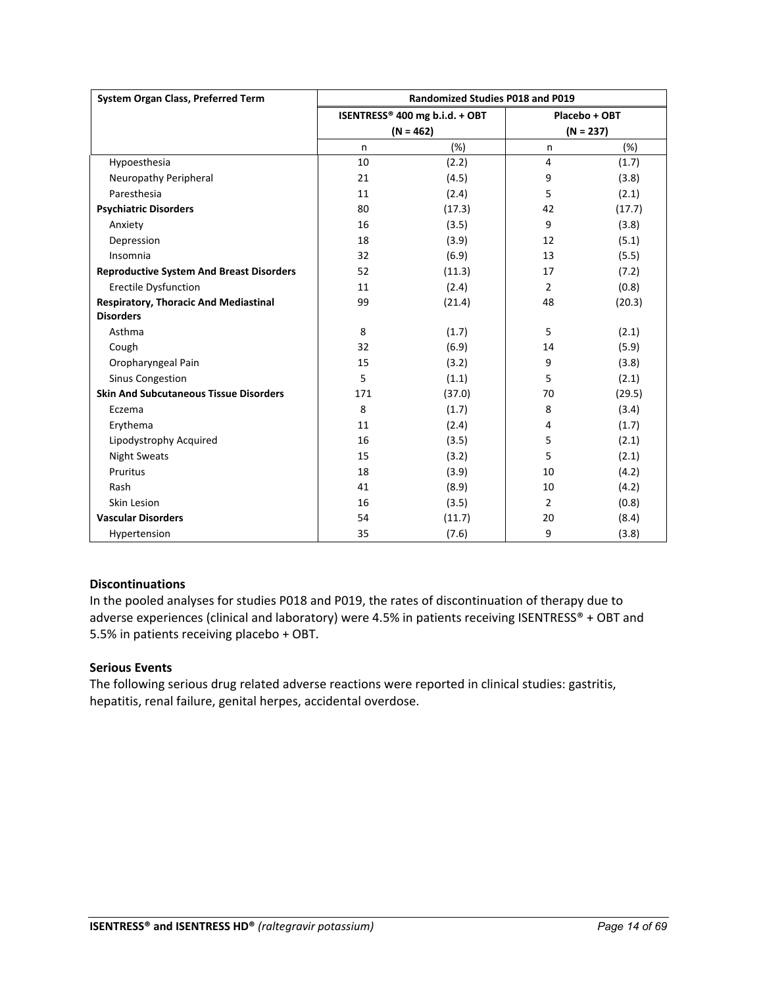| System Organ Class, Preferred Term              | <b>Randomized Studies P018 and P019</b> |             |                |             |
|-------------------------------------------------|-----------------------------------------|-------------|----------------|-------------|
|                                                 | ISENTRESS® 400 mg b.i.d. + OBT          |             | Placebo + OBT  |             |
|                                                 |                                         | $(N = 462)$ |                | $(N = 237)$ |
|                                                 | n                                       | (%)         | n              | (%)         |
| Hypoesthesia                                    | 10                                      | (2.2)       | 4              | (1.7)       |
| Neuropathy Peripheral                           | 21                                      | (4.5)       | 9              | (3.8)       |
| Paresthesia                                     | 11                                      | (2.4)       | 5              | (2.1)       |
| <b>Psychiatric Disorders</b>                    | 80                                      | (17.3)      | 42             | (17.7)      |
| Anxiety                                         | 16                                      | (3.5)       | 9              | (3.8)       |
| Depression                                      | 18                                      | (3.9)       | 12             | (5.1)       |
| Insomnia                                        | 32                                      | (6.9)       | 13             | (5.5)       |
| <b>Reproductive System And Breast Disorders</b> | 52                                      | (11.3)      | 17             | (7.2)       |
| <b>Erectile Dysfunction</b>                     | 11                                      | (2.4)       | $\overline{2}$ | (0.8)       |
| <b>Respiratory, Thoracic And Mediastinal</b>    | 99                                      | (21.4)      | 48             | (20.3)      |
| <b>Disorders</b>                                |                                         |             |                |             |
| Asthma                                          | 8                                       | (1.7)       | 5              | (2.1)       |
| Cough                                           | 32                                      | (6.9)       | 14             | (5.9)       |
| Oropharyngeal Pain                              | 15                                      | (3.2)       | 9              | (3.8)       |
| <b>Sinus Congestion</b>                         | 5                                       | (1.1)       | 5              | (2.1)       |
| <b>Skin And Subcutaneous Tissue Disorders</b>   | 171                                     | (37.0)      | 70             | (29.5)      |
| Eczema                                          | 8                                       | (1.7)       | 8              | (3.4)       |
| Erythema                                        | 11                                      | (2.4)       | 4              | (1.7)       |
| Lipodystrophy Acquired                          | 16                                      | (3.5)       | 5              | (2.1)       |
| <b>Night Sweats</b>                             | 15                                      | (3.2)       | 5              | (2.1)       |
| Pruritus                                        | 18                                      | (3.9)       | 10             | (4.2)       |
| Rash                                            | 41                                      | (8.9)       | 10             | (4.2)       |
| Skin Lesion                                     | 16                                      | (3.5)       | $\overline{2}$ | (0.8)       |
| <b>Vascular Disorders</b>                       | 54                                      | (11.7)      | 20             | (8.4)       |
| Hypertension                                    | 35                                      | (7.6)       | 9              | (3.8)       |

## **Discontinuations**

In the pooled analyses for studies P018 and P019, the rates of discontinuation of therapy due to adverse experiences (clinical and laboratory) were 4.5% in patients receiving ISENTRESS® + OBT and 5.5% in patients receiving placebo + OBT.

## **Serious Events**

The following serious drug related adverse reactions were reported in clinical studies: gastritis, hepatitis, renal failure, genital herpes, accidental overdose.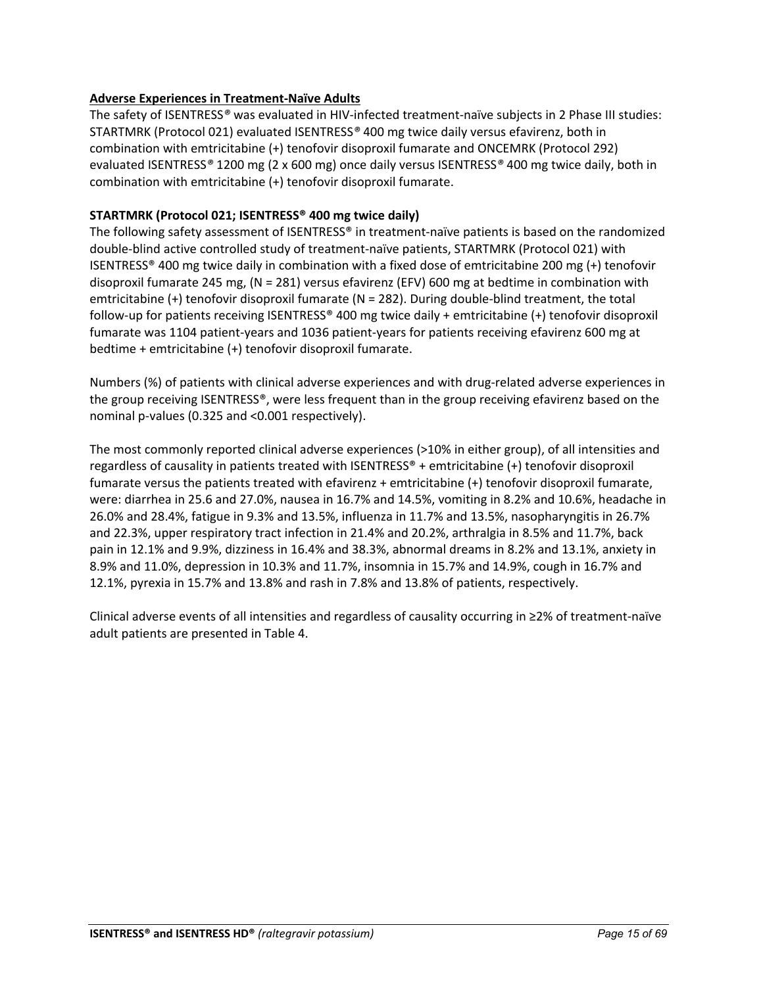## **Adverse Experiences in Treatment-Naïve Adults**

The safety of ISENTRESS*®* was evaluated in HIV-infected treatment-naïve subjects in 2 Phase III studies: STARTMRK (Protocol 021) evaluated ISENTRESS*®* 400 mg twice daily versus efavirenz, both in combination with emtricitabine (+) tenofovir disoproxil fumarate and ONCEMRK (Protocol 292) evaluated ISENTRESS*®* 1200 mg (2 x 600 mg) once daily versus ISENTRESS*®* 400 mg twice daily, both in combination with emtricitabine (+) tenofovir disoproxil fumarate.

## **STARTMRK (Protocol 021; ISENTRESS® 400 mg twice daily)**

The following safety assessment of ISENTRESS® in treatment-naïve patients is based on the randomized double-blind active controlled study of treatment-naïve patients, STARTMRK (Protocol 021) with ISENTRESS® 400 mg twice daily in combination with a fixed dose of emtricitabine 200 mg (+) tenofovir disoproxil fumarate 245 mg, (N = 281) versus efavirenz (EFV) 600 mg at bedtime in combination with emtricitabine (+) tenofovir disoproxil fumarate (N = 282). During double-blind treatment, the total follow-up for patients receiving ISENTRESS® 400 mg twice daily + emtricitabine (+) tenofovir disoproxil fumarate was 1104 patient-years and 1036 patient-years for patients receiving efavirenz 600 mg at bedtime + emtricitabine (+) tenofovir disoproxil fumarate.

Numbers (%) of patients with clinical adverse experiences and with drug-related adverse experiences in the group receiving ISENTRESS®, were less frequent than in the group receiving efavirenz based on the nominal p-values (0.325 and <0.001 respectively).

The most commonly reported clinical adverse experiences (>10% in either group), of all intensities and regardless of causality in patients treated with ISENTRESS® + emtricitabine (+) tenofovir disoproxil fumarate versus the patients treated with efavirenz + emtricitabine (+) tenofovir disoproxil fumarate, were: diarrhea in 25.6 and 27.0%, nausea in 16.7% and 14.5%, vomiting in 8.2% and 10.6%, headache in 26.0% and 28.4%, fatigue in 9.3% and 13.5%, influenza in 11.7% and 13.5%, nasopharyngitis in 26.7% and 22.3%, upper respiratory tract infection in 21.4% and 20.2%, arthralgia in 8.5% and 11.7%, back pain in 12.1% and 9.9%, dizziness in 16.4% and 38.3%, abnormal dreams in 8.2% and 13.1%, anxiety in 8.9% and 11.0%, depression in 10.3% and 11.7%, insomnia in 15.7% and 14.9%, cough in 16.7% and 12.1%, pyrexia in 15.7% and 13.8% and rash in 7.8% and 13.8% of patients, respectively.

Clinical adverse events of all intensities and regardless of causality occurring in ≥2% of treatment-naïve adult patients are presented in Table 4.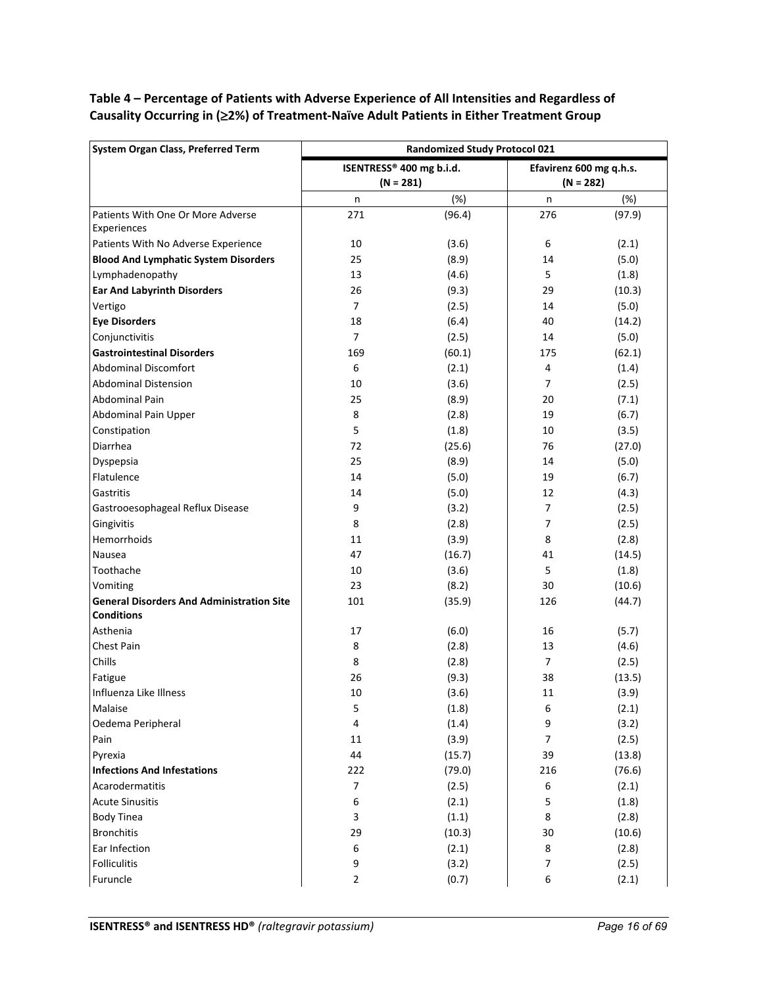## **Table 4 – Percentage of Patients with Adverse Experience of All Intensities and Regardless of Causality Occurring in (**≥**2%) of Treatment-Naïve Adult Patients in Either Treatment Group**

| ISENTRESS® 400 mg b.i.d.<br>Efavirenz 600 mg q.h.s.<br>$(N = 281)$<br>$(N = 282)$<br>(%)<br>(%)<br>n<br>n<br>Patients With One Or More Adverse<br>271<br>(96.4)<br>276<br>(97.9)<br>Experiences<br>Patients With No Adverse Experience<br>10<br>(3.6)<br>6<br>(2.1)<br><b>Blood And Lymphatic System Disorders</b><br>(8.9)<br>(5.0)<br>25<br>14<br>Lymphadenopathy<br>(4.6)<br>5<br>13<br>(1.8)<br><b>Ear And Labyrinth Disorders</b><br>26<br>(9.3)<br>29<br>(10.3)<br>$\overline{7}$<br>(5.0)<br>Vertigo<br>(2.5)<br>14<br><b>Eye Disorders</b><br>(6.4)<br>40<br>18<br>(14.2)<br>Conjunctivitis<br>$\overline{7}$<br>(5.0)<br>(2.5)<br>14<br><b>Gastrointestinal Disorders</b><br>(60.1)<br>(62.1)<br>169<br>175<br>6<br><b>Abdominal Discomfort</b><br>(2.1)<br>4<br>(1.4)<br><b>Abdominal Distension</b><br>10<br>(3.6)<br>$\overline{7}$<br>(2.5)<br>Abdominal Pain<br>25<br>(8.9)<br>20<br>(7.1)<br>Abdominal Pain Upper<br>8<br>(2.8)<br>19<br>(6.7)<br>5<br>Constipation<br>(1.8)<br>10<br>(3.5)<br>Diarrhea<br>72<br>(25.6)<br>76<br>(27.0)<br>25<br>(8.9)<br>Dyspepsia<br>14<br>(5.0)<br>Flatulence<br>(5.0)<br>19<br>(6.7)<br>14<br>Gastritis<br>(5.0)<br>14<br>12<br>(4.3)<br>9<br>$\overline{7}$<br>Gastrooesophageal Reflux Disease<br>(3.2)<br>(2.5)<br>Gingivitis<br>8<br>(2.8)<br>(2.5)<br>7<br>Hemorrhoids<br>(3.9)<br>8<br>(2.8)<br>11<br>47<br>(16.7)<br>(14.5)<br>Nausea<br>41<br>Toothache<br>(3.6)<br>5<br>(1.8)<br>10<br>Vomiting<br>23<br>(8.2)<br>30<br>(10.6)<br><b>General Disorders And Administration Site</b><br>(44.7)<br>101<br>(35.9)<br>126<br><b>Conditions</b><br>Asthenia<br>17<br>(6.0)<br>(5.7)<br>16<br><b>Chest Pain</b><br>8<br>(2.8)<br>(4.6)<br>13<br>Chills<br>8<br>$\overline{7}$<br>(2.8)<br>(2.5)<br>Fatigue<br>26<br>(9.3)<br>38<br>(13.5)<br>10<br>(3.6)<br>(3.9)<br>Influenza Like Illness<br>11<br>Malaise<br>5<br>(1.8)<br>6<br>(2.1)<br>Oedema Peripheral<br>(1.4)<br>(3.2)<br>4<br>9<br>Pain<br>(3.9)<br>7<br>(2.5)<br>11<br>Pyrexia<br>44<br>(15.7)<br>39<br>(13.8)<br><b>Infections And Infestations</b><br>(79.0)<br>(76.6)<br>222<br>216<br>Acarodermatitis<br>$\overline{7}$<br>6<br>(2.5)<br>(2.1)<br>5<br><b>Acute Sinusitis</b><br>6<br>(2.1)<br>(1.8)<br><b>Body Tinea</b><br>8<br>3<br>(1.1)<br>(2.8)<br><b>Bronchitis</b><br>30<br>29<br>(10.3)<br>(10.6)<br>Ear Infection<br>(2.1)<br>(2.8)<br>6<br>8<br>Folliculitis<br>9<br>(3.2)<br>7<br>(2.5) | <b>System Organ Class, Preferred Term</b> | <b>Randomized Study Protocol 021</b> |       |   |       |  |
|-------------------------------------------------------------------------------------------------------------------------------------------------------------------------------------------------------------------------------------------------------------------------------------------------------------------------------------------------------------------------------------------------------------------------------------------------------------------------------------------------------------------------------------------------------------------------------------------------------------------------------------------------------------------------------------------------------------------------------------------------------------------------------------------------------------------------------------------------------------------------------------------------------------------------------------------------------------------------------------------------------------------------------------------------------------------------------------------------------------------------------------------------------------------------------------------------------------------------------------------------------------------------------------------------------------------------------------------------------------------------------------------------------------------------------------------------------------------------------------------------------------------------------------------------------------------------------------------------------------------------------------------------------------------------------------------------------------------------------------------------------------------------------------------------------------------------------------------------------------------------------------------------------------------------------------------------------------------------------------------------------------------------------------------------------------------------------------------------------------------------------------------------------------------------------------------------------------------------------------------------------------------------------------------------------------------------------------------------------------------------------------------------------------------------|-------------------------------------------|--------------------------------------|-------|---|-------|--|
|                                                                                                                                                                                                                                                                                                                                                                                                                                                                                                                                                                                                                                                                                                                                                                                                                                                                                                                                                                                                                                                                                                                                                                                                                                                                                                                                                                                                                                                                                                                                                                                                                                                                                                                                                                                                                                                                                                                                                                                                                                                                                                                                                                                                                                                                                                                                                                                                                         |                                           |                                      |       |   |       |  |
|                                                                                                                                                                                                                                                                                                                                                                                                                                                                                                                                                                                                                                                                                                                                                                                                                                                                                                                                                                                                                                                                                                                                                                                                                                                                                                                                                                                                                                                                                                                                                                                                                                                                                                                                                                                                                                                                                                                                                                                                                                                                                                                                                                                                                                                                                                                                                                                                                         |                                           |                                      |       |   |       |  |
|                                                                                                                                                                                                                                                                                                                                                                                                                                                                                                                                                                                                                                                                                                                                                                                                                                                                                                                                                                                                                                                                                                                                                                                                                                                                                                                                                                                                                                                                                                                                                                                                                                                                                                                                                                                                                                                                                                                                                                                                                                                                                                                                                                                                                                                                                                                                                                                                                         |                                           |                                      |       |   |       |  |
|                                                                                                                                                                                                                                                                                                                                                                                                                                                                                                                                                                                                                                                                                                                                                                                                                                                                                                                                                                                                                                                                                                                                                                                                                                                                                                                                                                                                                                                                                                                                                                                                                                                                                                                                                                                                                                                                                                                                                                                                                                                                                                                                                                                                                                                                                                                                                                                                                         |                                           |                                      |       |   |       |  |
|                                                                                                                                                                                                                                                                                                                                                                                                                                                                                                                                                                                                                                                                                                                                                                                                                                                                                                                                                                                                                                                                                                                                                                                                                                                                                                                                                                                                                                                                                                                                                                                                                                                                                                                                                                                                                                                                                                                                                                                                                                                                                                                                                                                                                                                                                                                                                                                                                         |                                           |                                      |       |   |       |  |
|                                                                                                                                                                                                                                                                                                                                                                                                                                                                                                                                                                                                                                                                                                                                                                                                                                                                                                                                                                                                                                                                                                                                                                                                                                                                                                                                                                                                                                                                                                                                                                                                                                                                                                                                                                                                                                                                                                                                                                                                                                                                                                                                                                                                                                                                                                                                                                                                                         |                                           |                                      |       |   |       |  |
|                                                                                                                                                                                                                                                                                                                                                                                                                                                                                                                                                                                                                                                                                                                                                                                                                                                                                                                                                                                                                                                                                                                                                                                                                                                                                                                                                                                                                                                                                                                                                                                                                                                                                                                                                                                                                                                                                                                                                                                                                                                                                                                                                                                                                                                                                                                                                                                                                         |                                           |                                      |       |   |       |  |
|                                                                                                                                                                                                                                                                                                                                                                                                                                                                                                                                                                                                                                                                                                                                                                                                                                                                                                                                                                                                                                                                                                                                                                                                                                                                                                                                                                                                                                                                                                                                                                                                                                                                                                                                                                                                                                                                                                                                                                                                                                                                                                                                                                                                                                                                                                                                                                                                                         |                                           |                                      |       |   |       |  |
|                                                                                                                                                                                                                                                                                                                                                                                                                                                                                                                                                                                                                                                                                                                                                                                                                                                                                                                                                                                                                                                                                                                                                                                                                                                                                                                                                                                                                                                                                                                                                                                                                                                                                                                                                                                                                                                                                                                                                                                                                                                                                                                                                                                                                                                                                                                                                                                                                         |                                           |                                      |       |   |       |  |
|                                                                                                                                                                                                                                                                                                                                                                                                                                                                                                                                                                                                                                                                                                                                                                                                                                                                                                                                                                                                                                                                                                                                                                                                                                                                                                                                                                                                                                                                                                                                                                                                                                                                                                                                                                                                                                                                                                                                                                                                                                                                                                                                                                                                                                                                                                                                                                                                                         |                                           |                                      |       |   |       |  |
|                                                                                                                                                                                                                                                                                                                                                                                                                                                                                                                                                                                                                                                                                                                                                                                                                                                                                                                                                                                                                                                                                                                                                                                                                                                                                                                                                                                                                                                                                                                                                                                                                                                                                                                                                                                                                                                                                                                                                                                                                                                                                                                                                                                                                                                                                                                                                                                                                         |                                           |                                      |       |   |       |  |
|                                                                                                                                                                                                                                                                                                                                                                                                                                                                                                                                                                                                                                                                                                                                                                                                                                                                                                                                                                                                                                                                                                                                                                                                                                                                                                                                                                                                                                                                                                                                                                                                                                                                                                                                                                                                                                                                                                                                                                                                                                                                                                                                                                                                                                                                                                                                                                                                                         |                                           |                                      |       |   |       |  |
|                                                                                                                                                                                                                                                                                                                                                                                                                                                                                                                                                                                                                                                                                                                                                                                                                                                                                                                                                                                                                                                                                                                                                                                                                                                                                                                                                                                                                                                                                                                                                                                                                                                                                                                                                                                                                                                                                                                                                                                                                                                                                                                                                                                                                                                                                                                                                                                                                         |                                           |                                      |       |   |       |  |
|                                                                                                                                                                                                                                                                                                                                                                                                                                                                                                                                                                                                                                                                                                                                                                                                                                                                                                                                                                                                                                                                                                                                                                                                                                                                                                                                                                                                                                                                                                                                                                                                                                                                                                                                                                                                                                                                                                                                                                                                                                                                                                                                                                                                                                                                                                                                                                                                                         |                                           |                                      |       |   |       |  |
|                                                                                                                                                                                                                                                                                                                                                                                                                                                                                                                                                                                                                                                                                                                                                                                                                                                                                                                                                                                                                                                                                                                                                                                                                                                                                                                                                                                                                                                                                                                                                                                                                                                                                                                                                                                                                                                                                                                                                                                                                                                                                                                                                                                                                                                                                                                                                                                                                         |                                           |                                      |       |   |       |  |
|                                                                                                                                                                                                                                                                                                                                                                                                                                                                                                                                                                                                                                                                                                                                                                                                                                                                                                                                                                                                                                                                                                                                                                                                                                                                                                                                                                                                                                                                                                                                                                                                                                                                                                                                                                                                                                                                                                                                                                                                                                                                                                                                                                                                                                                                                                                                                                                                                         |                                           |                                      |       |   |       |  |
|                                                                                                                                                                                                                                                                                                                                                                                                                                                                                                                                                                                                                                                                                                                                                                                                                                                                                                                                                                                                                                                                                                                                                                                                                                                                                                                                                                                                                                                                                                                                                                                                                                                                                                                                                                                                                                                                                                                                                                                                                                                                                                                                                                                                                                                                                                                                                                                                                         |                                           |                                      |       |   |       |  |
|                                                                                                                                                                                                                                                                                                                                                                                                                                                                                                                                                                                                                                                                                                                                                                                                                                                                                                                                                                                                                                                                                                                                                                                                                                                                                                                                                                                                                                                                                                                                                                                                                                                                                                                                                                                                                                                                                                                                                                                                                                                                                                                                                                                                                                                                                                                                                                                                                         |                                           |                                      |       |   |       |  |
|                                                                                                                                                                                                                                                                                                                                                                                                                                                                                                                                                                                                                                                                                                                                                                                                                                                                                                                                                                                                                                                                                                                                                                                                                                                                                                                                                                                                                                                                                                                                                                                                                                                                                                                                                                                                                                                                                                                                                                                                                                                                                                                                                                                                                                                                                                                                                                                                                         |                                           |                                      |       |   |       |  |
|                                                                                                                                                                                                                                                                                                                                                                                                                                                                                                                                                                                                                                                                                                                                                                                                                                                                                                                                                                                                                                                                                                                                                                                                                                                                                                                                                                                                                                                                                                                                                                                                                                                                                                                                                                                                                                                                                                                                                                                                                                                                                                                                                                                                                                                                                                                                                                                                                         |                                           |                                      |       |   |       |  |
|                                                                                                                                                                                                                                                                                                                                                                                                                                                                                                                                                                                                                                                                                                                                                                                                                                                                                                                                                                                                                                                                                                                                                                                                                                                                                                                                                                                                                                                                                                                                                                                                                                                                                                                                                                                                                                                                                                                                                                                                                                                                                                                                                                                                                                                                                                                                                                                                                         |                                           |                                      |       |   |       |  |
|                                                                                                                                                                                                                                                                                                                                                                                                                                                                                                                                                                                                                                                                                                                                                                                                                                                                                                                                                                                                                                                                                                                                                                                                                                                                                                                                                                                                                                                                                                                                                                                                                                                                                                                                                                                                                                                                                                                                                                                                                                                                                                                                                                                                                                                                                                                                                                                                                         |                                           |                                      |       |   |       |  |
|                                                                                                                                                                                                                                                                                                                                                                                                                                                                                                                                                                                                                                                                                                                                                                                                                                                                                                                                                                                                                                                                                                                                                                                                                                                                                                                                                                                                                                                                                                                                                                                                                                                                                                                                                                                                                                                                                                                                                                                                                                                                                                                                                                                                                                                                                                                                                                                                                         |                                           |                                      |       |   |       |  |
|                                                                                                                                                                                                                                                                                                                                                                                                                                                                                                                                                                                                                                                                                                                                                                                                                                                                                                                                                                                                                                                                                                                                                                                                                                                                                                                                                                                                                                                                                                                                                                                                                                                                                                                                                                                                                                                                                                                                                                                                                                                                                                                                                                                                                                                                                                                                                                                                                         |                                           |                                      |       |   |       |  |
|                                                                                                                                                                                                                                                                                                                                                                                                                                                                                                                                                                                                                                                                                                                                                                                                                                                                                                                                                                                                                                                                                                                                                                                                                                                                                                                                                                                                                                                                                                                                                                                                                                                                                                                                                                                                                                                                                                                                                                                                                                                                                                                                                                                                                                                                                                                                                                                                                         |                                           |                                      |       |   |       |  |
|                                                                                                                                                                                                                                                                                                                                                                                                                                                                                                                                                                                                                                                                                                                                                                                                                                                                                                                                                                                                                                                                                                                                                                                                                                                                                                                                                                                                                                                                                                                                                                                                                                                                                                                                                                                                                                                                                                                                                                                                                                                                                                                                                                                                                                                                                                                                                                                                                         |                                           |                                      |       |   |       |  |
|                                                                                                                                                                                                                                                                                                                                                                                                                                                                                                                                                                                                                                                                                                                                                                                                                                                                                                                                                                                                                                                                                                                                                                                                                                                                                                                                                                                                                                                                                                                                                                                                                                                                                                                                                                                                                                                                                                                                                                                                                                                                                                                                                                                                                                                                                                                                                                                                                         |                                           |                                      |       |   |       |  |
|                                                                                                                                                                                                                                                                                                                                                                                                                                                                                                                                                                                                                                                                                                                                                                                                                                                                                                                                                                                                                                                                                                                                                                                                                                                                                                                                                                                                                                                                                                                                                                                                                                                                                                                                                                                                                                                                                                                                                                                                                                                                                                                                                                                                                                                                                                                                                                                                                         |                                           |                                      |       |   |       |  |
|                                                                                                                                                                                                                                                                                                                                                                                                                                                                                                                                                                                                                                                                                                                                                                                                                                                                                                                                                                                                                                                                                                                                                                                                                                                                                                                                                                                                                                                                                                                                                                                                                                                                                                                                                                                                                                                                                                                                                                                                                                                                                                                                                                                                                                                                                                                                                                                                                         |                                           |                                      |       |   |       |  |
|                                                                                                                                                                                                                                                                                                                                                                                                                                                                                                                                                                                                                                                                                                                                                                                                                                                                                                                                                                                                                                                                                                                                                                                                                                                                                                                                                                                                                                                                                                                                                                                                                                                                                                                                                                                                                                                                                                                                                                                                                                                                                                                                                                                                                                                                                                                                                                                                                         |                                           |                                      |       |   |       |  |
|                                                                                                                                                                                                                                                                                                                                                                                                                                                                                                                                                                                                                                                                                                                                                                                                                                                                                                                                                                                                                                                                                                                                                                                                                                                                                                                                                                                                                                                                                                                                                                                                                                                                                                                                                                                                                                                                                                                                                                                                                                                                                                                                                                                                                                                                                                                                                                                                                         |                                           |                                      |       |   |       |  |
|                                                                                                                                                                                                                                                                                                                                                                                                                                                                                                                                                                                                                                                                                                                                                                                                                                                                                                                                                                                                                                                                                                                                                                                                                                                                                                                                                                                                                                                                                                                                                                                                                                                                                                                                                                                                                                                                                                                                                                                                                                                                                                                                                                                                                                                                                                                                                                                                                         |                                           |                                      |       |   |       |  |
|                                                                                                                                                                                                                                                                                                                                                                                                                                                                                                                                                                                                                                                                                                                                                                                                                                                                                                                                                                                                                                                                                                                                                                                                                                                                                                                                                                                                                                                                                                                                                                                                                                                                                                                                                                                                                                                                                                                                                                                                                                                                                                                                                                                                                                                                                                                                                                                                                         |                                           |                                      |       |   |       |  |
|                                                                                                                                                                                                                                                                                                                                                                                                                                                                                                                                                                                                                                                                                                                                                                                                                                                                                                                                                                                                                                                                                                                                                                                                                                                                                                                                                                                                                                                                                                                                                                                                                                                                                                                                                                                                                                                                                                                                                                                                                                                                                                                                                                                                                                                                                                                                                                                                                         |                                           |                                      |       |   |       |  |
|                                                                                                                                                                                                                                                                                                                                                                                                                                                                                                                                                                                                                                                                                                                                                                                                                                                                                                                                                                                                                                                                                                                                                                                                                                                                                                                                                                                                                                                                                                                                                                                                                                                                                                                                                                                                                                                                                                                                                                                                                                                                                                                                                                                                                                                                                                                                                                                                                         |                                           |                                      |       |   |       |  |
|                                                                                                                                                                                                                                                                                                                                                                                                                                                                                                                                                                                                                                                                                                                                                                                                                                                                                                                                                                                                                                                                                                                                                                                                                                                                                                                                                                                                                                                                                                                                                                                                                                                                                                                                                                                                                                                                                                                                                                                                                                                                                                                                                                                                                                                                                                                                                                                                                         |                                           |                                      |       |   |       |  |
|                                                                                                                                                                                                                                                                                                                                                                                                                                                                                                                                                                                                                                                                                                                                                                                                                                                                                                                                                                                                                                                                                                                                                                                                                                                                                                                                                                                                                                                                                                                                                                                                                                                                                                                                                                                                                                                                                                                                                                                                                                                                                                                                                                                                                                                                                                                                                                                                                         |                                           |                                      |       |   |       |  |
|                                                                                                                                                                                                                                                                                                                                                                                                                                                                                                                                                                                                                                                                                                                                                                                                                                                                                                                                                                                                                                                                                                                                                                                                                                                                                                                                                                                                                                                                                                                                                                                                                                                                                                                                                                                                                                                                                                                                                                                                                                                                                                                                                                                                                                                                                                                                                                                                                         |                                           |                                      |       |   |       |  |
|                                                                                                                                                                                                                                                                                                                                                                                                                                                                                                                                                                                                                                                                                                                                                                                                                                                                                                                                                                                                                                                                                                                                                                                                                                                                                                                                                                                                                                                                                                                                                                                                                                                                                                                                                                                                                                                                                                                                                                                                                                                                                                                                                                                                                                                                                                                                                                                                                         |                                           |                                      |       |   |       |  |
|                                                                                                                                                                                                                                                                                                                                                                                                                                                                                                                                                                                                                                                                                                                                                                                                                                                                                                                                                                                                                                                                                                                                                                                                                                                                                                                                                                                                                                                                                                                                                                                                                                                                                                                                                                                                                                                                                                                                                                                                                                                                                                                                                                                                                                                                                                                                                                                                                         |                                           |                                      |       |   |       |  |
|                                                                                                                                                                                                                                                                                                                                                                                                                                                                                                                                                                                                                                                                                                                                                                                                                                                                                                                                                                                                                                                                                                                                                                                                                                                                                                                                                                                                                                                                                                                                                                                                                                                                                                                                                                                                                                                                                                                                                                                                                                                                                                                                                                                                                                                                                                                                                                                                                         |                                           |                                      |       |   |       |  |
|                                                                                                                                                                                                                                                                                                                                                                                                                                                                                                                                                                                                                                                                                                                                                                                                                                                                                                                                                                                                                                                                                                                                                                                                                                                                                                                                                                                                                                                                                                                                                                                                                                                                                                                                                                                                                                                                                                                                                                                                                                                                                                                                                                                                                                                                                                                                                                                                                         |                                           |                                      |       |   |       |  |
|                                                                                                                                                                                                                                                                                                                                                                                                                                                                                                                                                                                                                                                                                                                                                                                                                                                                                                                                                                                                                                                                                                                                                                                                                                                                                                                                                                                                                                                                                                                                                                                                                                                                                                                                                                                                                                                                                                                                                                                                                                                                                                                                                                                                                                                                                                                                                                                                                         |                                           |                                      |       |   |       |  |
|                                                                                                                                                                                                                                                                                                                                                                                                                                                                                                                                                                                                                                                                                                                                                                                                                                                                                                                                                                                                                                                                                                                                                                                                                                                                                                                                                                                                                                                                                                                                                                                                                                                                                                                                                                                                                                                                                                                                                                                                                                                                                                                                                                                                                                                                                                                                                                                                                         |                                           |                                      |       |   |       |  |
|                                                                                                                                                                                                                                                                                                                                                                                                                                                                                                                                                                                                                                                                                                                                                                                                                                                                                                                                                                                                                                                                                                                                                                                                                                                                                                                                                                                                                                                                                                                                                                                                                                                                                                                                                                                                                                                                                                                                                                                                                                                                                                                                                                                                                                                                                                                                                                                                                         |                                           |                                      |       |   |       |  |
|                                                                                                                                                                                                                                                                                                                                                                                                                                                                                                                                                                                                                                                                                                                                                                                                                                                                                                                                                                                                                                                                                                                                                                                                                                                                                                                                                                                                                                                                                                                                                                                                                                                                                                                                                                                                                                                                                                                                                                                                                                                                                                                                                                                                                                                                                                                                                                                                                         | Furuncle                                  | $\mathbf 2$                          | (0.7) | 6 | (2.1) |  |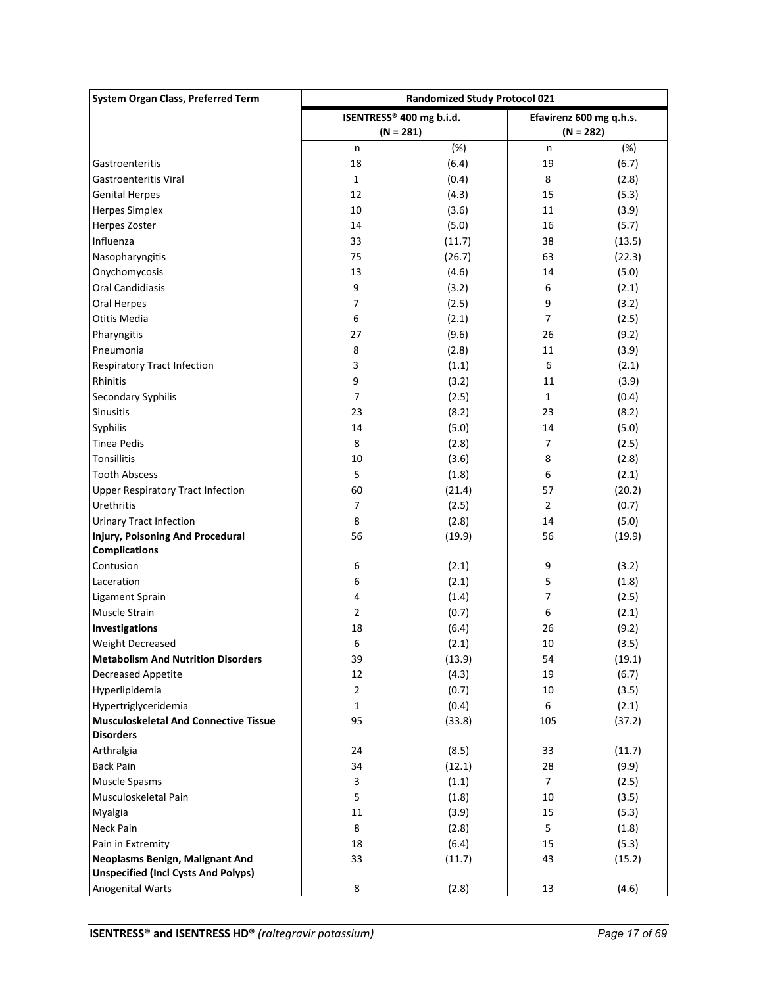| <b>System Organ Class, Preferred Term</b>    | <b>Randomized Study Protocol 021</b> |             |                         |        |
|----------------------------------------------|--------------------------------------|-------------|-------------------------|--------|
|                                              | ISENTRESS® 400 mg b.i.d.             |             | Efavirenz 600 mg q.h.s. |        |
|                                              |                                      | $(N = 281)$ | $(N = 282)$             |        |
|                                              | n                                    | (%)         | n                       | (%)    |
| Gastroenteritis                              | 18                                   | (6.4)       | 19                      | (6.7)  |
| <b>Gastroenteritis Viral</b>                 | $\mathbf 1$                          | (0.4)       | 8                       | (2.8)  |
| <b>Genital Herpes</b>                        | 12                                   | (4.3)       | 15                      | (5.3)  |
| <b>Herpes Simplex</b>                        | 10                                   | (3.6)       | 11                      | (3.9)  |
| Herpes Zoster                                | 14                                   | (5.0)       | 16                      | (5.7)  |
| Influenza                                    | 33                                   | (11.7)      | 38                      | (13.5) |
| Nasopharyngitis                              | 75                                   | (26.7)      | 63                      | (22.3) |
| Onychomycosis                                | 13                                   | (4.6)       | 14                      | (5.0)  |
| Oral Candidiasis                             | 9                                    | (3.2)       | 6                       | (2.1)  |
| Oral Herpes                                  | 7                                    | (2.5)       | 9                       | (3.2)  |
| Otitis Media                                 | 6                                    | (2.1)       | $\overline{7}$          | (2.5)  |
| Pharyngitis                                  | 27                                   | (9.6)       | 26                      | (9.2)  |
| Pneumonia                                    | 8                                    | (2.8)       | 11                      | (3.9)  |
| <b>Respiratory Tract Infection</b>           | 3                                    | (1.1)       | 6                       | (2.1)  |
| Rhinitis                                     | 9                                    | (3.2)       | 11                      | (3.9)  |
| Secondary Syphilis                           | 7                                    | (2.5)       | $\mathbf{1}$            | (0.4)  |
| Sinusitis                                    | 23                                   | (8.2)       | 23                      | (8.2)  |
| Syphilis                                     | 14                                   | (5.0)       | 14                      | (5.0)  |
| <b>Tinea Pedis</b>                           | 8                                    | (2.8)       | $\overline{7}$          | (2.5)  |
| <b>Tonsillitis</b>                           | 10                                   | (3.6)       | 8                       | (2.8)  |
| <b>Tooth Abscess</b>                         | 5                                    | (1.8)       | 6                       | (2.1)  |
| <b>Upper Respiratory Tract Infection</b>     | 60                                   | (21.4)      | 57                      | (20.2) |
| Urethritis                                   | $\overline{7}$                       | (2.5)       | $\overline{2}$          | (0.7)  |
| <b>Urinary Tract Infection</b>               | 8                                    | (2.8)       | 14                      | (5.0)  |
| Injury, Poisoning And Procedural             | 56                                   | (19.9)      | 56                      | (19.9) |
| <b>Complications</b>                         |                                      |             |                         |        |
| Contusion                                    | 6                                    | (2.1)       | 9                       | (3.2)  |
| Laceration                                   | 6                                    | (2.1)       | 5                       | (1.8)  |
| <b>Ligament Sprain</b>                       | 4                                    | (1.4)       | 7                       | (2.5)  |
| Muscle Strain                                | $\overline{2}$                       | (0.7)       | 6                       | (2.1)  |
| Investigations                               | 18                                   | (6.4)       | 26                      | (9.2)  |
| <b>Weight Decreased</b>                      | 6                                    | (2.1)       | 10                      | (3.5)  |
| <b>Metabolism And Nutrition Disorders</b>    | 39                                   | (13.9)      | 54                      | (19.1) |
| Decreased Appetite                           | 12                                   | (4.3)       | 19                      | (6.7)  |
| Hyperlipidemia                               | $\overline{2}$                       | (0.7)       | 10                      | (3.5)  |
| Hypertriglyceridemia                         | 1                                    | (0.4)       | 6                       | (2.1)  |
| <b>Musculoskeletal And Connective Tissue</b> | 95                                   | (33.8)      | 105                     | (37.2) |
| <b>Disorders</b>                             |                                      |             |                         |        |
| Arthralgia                                   | 24                                   | (8.5)       | 33                      | (11.7) |
| <b>Back Pain</b>                             | 34                                   | (12.1)      | 28                      | (9.9)  |
| Muscle Spasms                                | 3                                    | (1.1)       | $\overline{7}$          | (2.5)  |
| Musculoskeletal Pain                         | 5                                    | (1.8)       | 10                      | (3.5)  |
| Myalgia                                      | 11                                   | (3.9)       | 15                      | (5.3)  |
| Neck Pain                                    | 8                                    | (2.8)       | 5                       | (1.8)  |
| Pain in Extremity                            | 18                                   | (6.4)       | 15                      | (5.3)  |
| Neoplasms Benign, Malignant And              | 33                                   | (11.7)      | 43                      | (15.2) |
| <b>Unspecified (Incl Cysts And Polyps)</b>   |                                      |             |                         |        |
| <b>Anogenital Warts</b>                      | 8                                    | (2.8)       | 13                      | (4.6)  |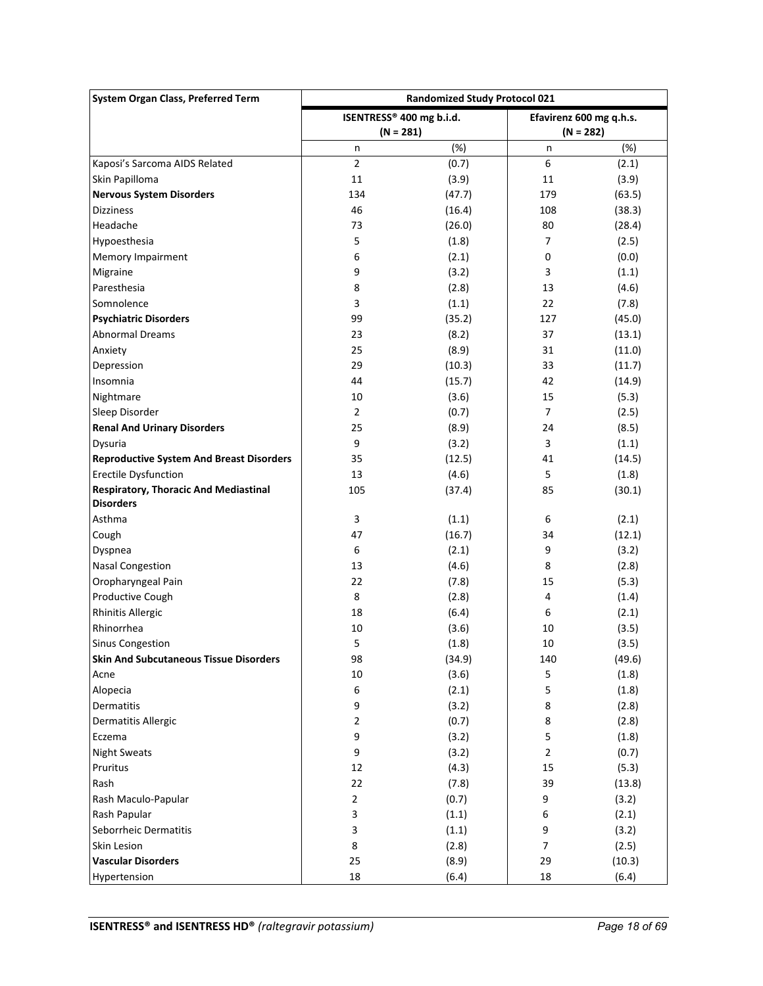| System Organ Class, Preferred Term<br><b>Randomized Study Protocol 021</b> |                          |        |                         |        |
|----------------------------------------------------------------------------|--------------------------|--------|-------------------------|--------|
|                                                                            | ISENTRESS® 400 mg b.i.d. |        | Efavirenz 600 mg q.h.s. |        |
|                                                                            | $(N = 281)$              |        | $(N = 282)$             |        |
|                                                                            | n                        | (%)    | n                       | (%)    |
| Kaposi's Sarcoma AIDS Related                                              | $\overline{2}$           | (0.7)  | 6                       | (2.1)  |
| Skin Papilloma                                                             | 11                       | (3.9)  | 11                      | (3.9)  |
| <b>Nervous System Disorders</b>                                            | 134                      | (47.7) | 179                     | (63.5) |
| <b>Dizziness</b>                                                           | 46                       | (16.4) | 108                     | (38.3) |
| Headache                                                                   | 73                       | (26.0) | 80                      | (28.4) |
| Hypoesthesia                                                               | 5                        | (1.8)  | $\overline{7}$          | (2.5)  |
| Memory Impairment                                                          | 6                        | (2.1)  | 0                       | (0.0)  |
| Migraine                                                                   | 9                        | (3.2)  | 3                       | (1.1)  |
| Paresthesia                                                                | 8                        | (2.8)  | 13                      | (4.6)  |
| Somnolence                                                                 | 3                        | (1.1)  | 22                      | (7.8)  |
| <b>Psychiatric Disorders</b>                                               | 99                       | (35.2) | 127                     | (45.0) |
| <b>Abnormal Dreams</b>                                                     | 23                       | (8.2)  | 37                      | (13.1) |
| Anxiety                                                                    | 25                       | (8.9)  | 31                      | (11.0) |
| Depression                                                                 | 29                       | (10.3) | 33                      | (11.7) |
| Insomnia                                                                   | 44                       | (15.7) | 42                      | (14.9) |
| Nightmare                                                                  | 10                       | (3.6)  | 15                      | (5.3)  |
| Sleep Disorder                                                             | $\overline{2}$           | (0.7)  | $\overline{7}$          | (2.5)  |
| <b>Renal And Urinary Disorders</b>                                         | 25                       | (8.9)  | 24                      | (8.5)  |
| Dysuria                                                                    | 9                        | (3.2)  | 3                       | (1.1)  |
| <b>Reproductive System And Breast Disorders</b>                            | 35                       | (12.5) | 41                      | (14.5) |
| <b>Erectile Dysfunction</b>                                                | 13                       | (4.6)  | 5                       | (1.8)  |
| <b>Respiratory, Thoracic And Mediastinal</b>                               | 105                      | (37.4) | 85                      | (30.1) |
| <b>Disorders</b>                                                           |                          |        |                         |        |
| Asthma                                                                     | 3                        | (1.1)  | 6                       | (2.1)  |
| Cough                                                                      | 47                       | (16.7) | 34                      | (12.1) |
| Dyspnea                                                                    | 6                        | (2.1)  | 9                       | (3.2)  |
| <b>Nasal Congestion</b>                                                    | 13                       | (4.6)  | 8                       | (2.8)  |
| Oropharyngeal Pain                                                         | 22                       | (7.8)  | 15                      | (5.3)  |
| Productive Cough                                                           | 8                        | (2.8)  | 4                       | (1.4)  |
| <b>Rhinitis Allergic</b>                                                   | 18                       | (6.4)  | 6                       | (2.1)  |
| Rhinorrhea                                                                 | 10                       | (3.6)  | 10                      | (3.5)  |
| <b>Sinus Congestion</b>                                                    | 5                        | (1.8)  | 10                      | (3.5)  |
| <b>Skin And Subcutaneous Tissue Disorders</b>                              | 98                       | (34.9) | 140                     | (49.6) |
| Acne                                                                       | $10\,$                   | (3.6)  | 5                       | (1.8)  |
| Alopecia                                                                   | 6                        | (2.1)  | 5                       | (1.8)  |
| Dermatitis                                                                 | 9                        | (3.2)  | 8                       | (2.8)  |
| Dermatitis Allergic                                                        | 2                        | (0.7)  | 8                       | (2.8)  |
| Eczema                                                                     | 9                        | (3.2)  | 5                       | (1.8)  |
| <b>Night Sweats</b>                                                        | 9                        | (3.2)  | $\overline{2}$          | (0.7)  |
| Pruritus                                                                   | 12                       | (4.3)  | 15                      | (5.3)  |
| Rash                                                                       | 22                       | (7.8)  | 39                      | (13.8) |
| Rash Maculo-Papular                                                        | 2                        | (0.7)  | 9                       | (3.2)  |
| Rash Papular                                                               | 3                        | (1.1)  | 6                       | (2.1)  |
| Seborrheic Dermatitis                                                      | 3                        | (1.1)  | 9                       | (3.2)  |
| Skin Lesion                                                                | 8                        | (2.8)  | $\overline{7}$          | (2.5)  |
| <b>Vascular Disorders</b>                                                  | 25                       | (8.9)  | 29                      | (10.3) |
| Hypertension                                                               | 18                       | (6.4)  | 18                      | (6.4)  |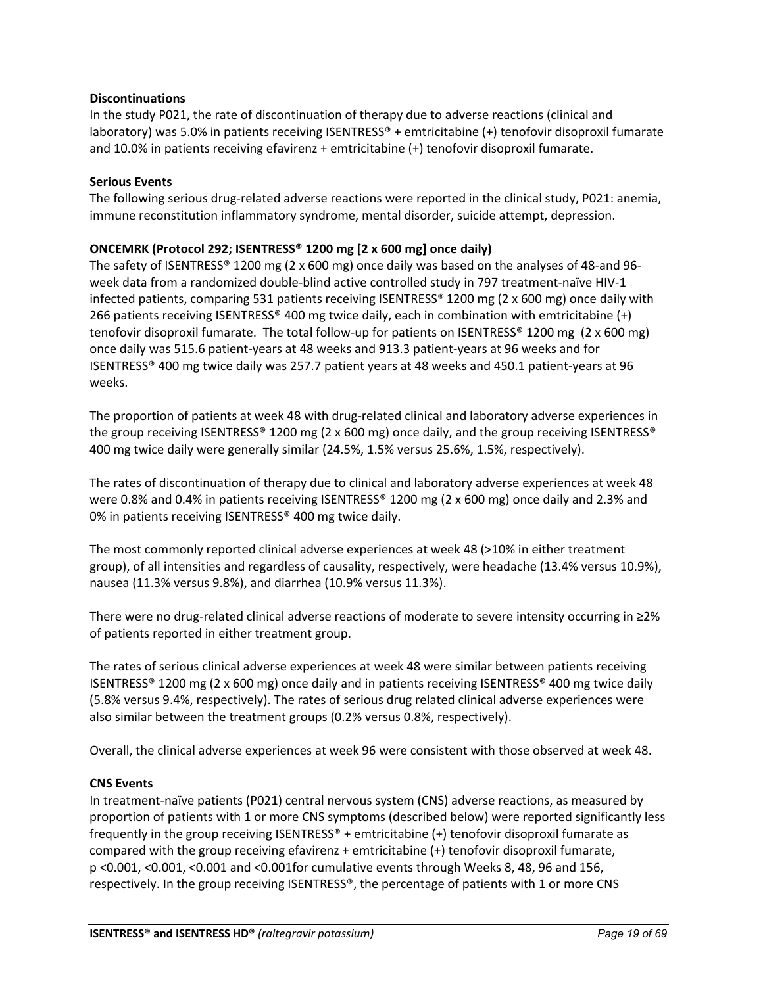## **Discontinuations**

In the study P021, the rate of discontinuation of therapy due to adverse reactions (clinical and laboratory) was 5.0% in patients receiving ISENTRESS® + emtricitabine (+) tenofovir disoproxil fumarate and 10.0% in patients receiving efavirenz + emtricitabine (+) tenofovir disoproxil fumarate.

## **Serious Events**

The following serious drug-related adverse reactions were reported in the clinical study, P021: anemia, immune reconstitution inflammatory syndrome, mental disorder, suicide attempt, depression.

## **ONCEMRK (Protocol 292; ISENTRESS® 1200 mg [2 x 600 mg] once daily)**

The safety of ISENTRESS® 1200 mg (2 x 600 mg) once daily was based on the analyses of 48-and 96 week data from a randomized double-blind active controlled study in 797 treatment-naïve HIV-1 infected patients, comparing 531 patients receiving ISENTRESS® 1200 mg (2 x 600 mg) once daily with 266 patients receiving ISENTRESS® 400 mg twice daily, each in combination with emtricitabine (+) tenofovir disoproxil fumarate. The total follow-up for patients on ISENTRESS® 1200 mg (2 x 600 mg) once daily was 515.6 patient-years at 48 weeks and 913.3 patient-years at 96 weeks and for ISENTRESS® 400 mg twice daily was 257.7 patient years at 48 weeks and 450.1 patient-years at 96 weeks.

The proportion of patients at week 48 with drug-related clinical and laboratory adverse experiences in the group receiving ISENTRESS® 1200 mg (2 x 600 mg) once daily, and the group receiving ISENTRESS® 400 mg twice daily were generally similar (24.5%, 1.5% versus 25.6%, 1.5%, respectively).

The rates of discontinuation of therapy due to clinical and laboratory adverse experiences at week 48 were 0.8% and 0.4% in patients receiving ISENTRESS® 1200 mg (2 x 600 mg) once daily and 2.3% and 0% in patients receiving ISENTRESS® 400 mg twice daily.

The most commonly reported clinical adverse experiences at week 48 (>10% in either treatment group), of all intensities and regardless of causality, respectively, were headache (13.4% versus 10.9%), nausea (11.3% versus 9.8%), and diarrhea (10.9% versus 11.3%).

There were no drug-related clinical adverse reactions of moderate to severe intensity occurring in ≥2% of patients reported in either treatment group.

The rates of serious clinical adverse experiences at week 48 were similar between patients receiving ISENTRESS® 1200 mg (2 x 600 mg) once daily and in patients receiving ISENTRESS® 400 mg twice daily (5.8% versus 9.4%, respectively). The rates of serious drug related clinical adverse experiences were also similar between the treatment groups (0.2% versus 0.8%, respectively).

Overall, the clinical adverse experiences at week 96 were consistent with those observed at week 48.

## **CNS Events**

In treatment-naïve patients (P021) central nervous system (CNS) adverse reactions, as measured by proportion of patients with 1 or more CNS symptoms (described below) were reported significantly less frequently in the group receiving ISENTRESS® + emtricitabine (+) tenofovir disoproxil fumarate as compared with the group receiving efavirenz + emtricitabine (+) tenofovir disoproxil fumarate, p <0.001, <0.001, <0.001 and <0.001for cumulative events through Weeks 8, 48, 96 and 156, respectively. In the group receiving ISENTRESS®, the percentage of patients with 1 or more CNS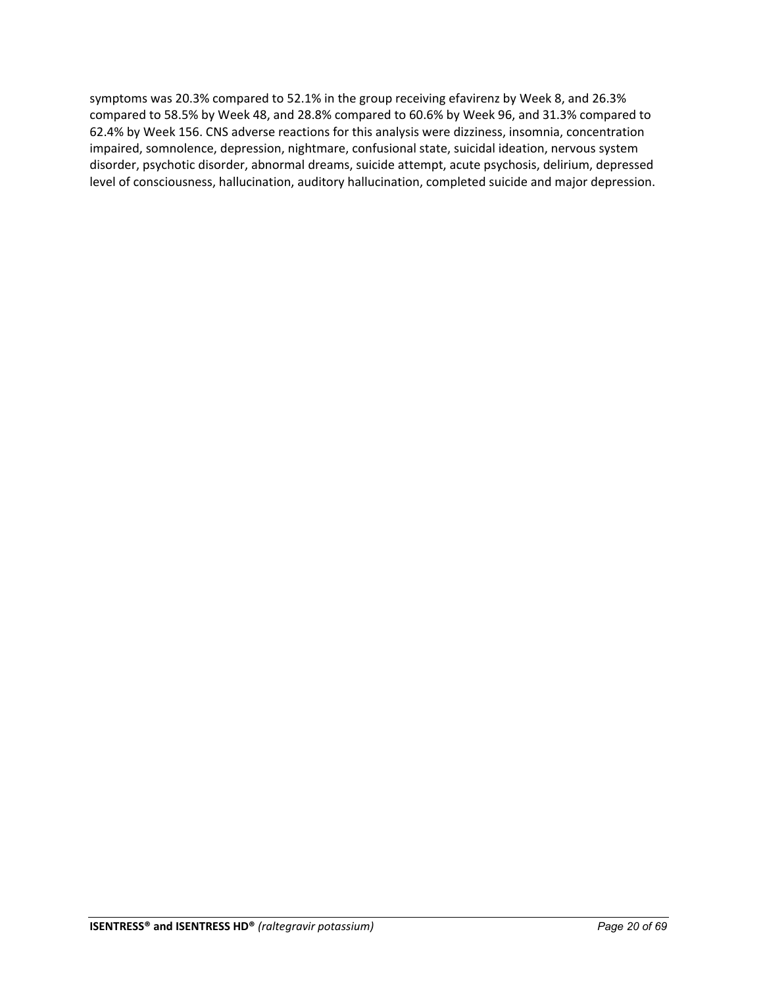symptoms was 20.3% compared to 52.1% in the group receiving efavirenz by Week 8, and 26.3% compared to 58.5% by Week 48, and 28.8% compared to 60.6% by Week 96, and 31.3% compared to 62.4% by Week 156. CNS adverse reactions for this analysis were dizziness, insomnia, concentration impaired, somnolence, depression, nightmare, confusional state, suicidal ideation, nervous system disorder, psychotic disorder, abnormal dreams, suicide attempt, acute psychosis, delirium, depressed level of consciousness, hallucination, auditory hallucination, completed suicide and major depression.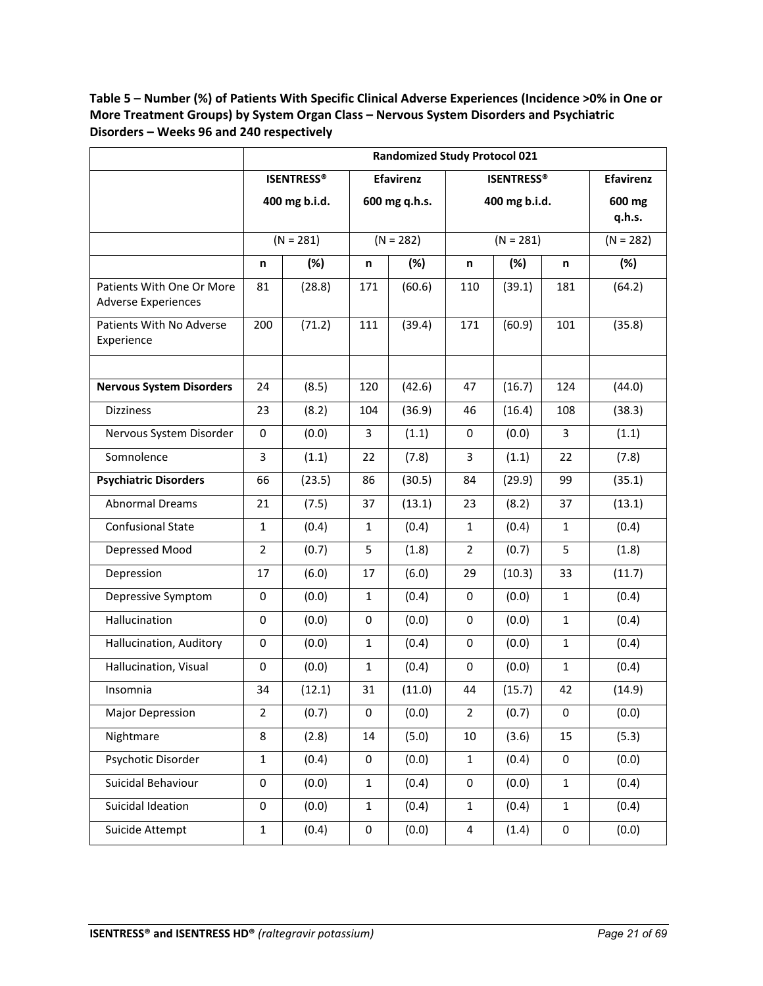**Table 5 – Number (%) of Patients With Specific Clinical Adverse Experiences (Incidence >0% in One or More Treatment Groups) by System Organ Class – Nervous System Disorders and Psychiatric Disorders – Weeks 96 and 240 respectively**

|                                        | <b>Randomized Study Protocol 021</b> |                   |               |                  |                |                   |                  |                  |
|----------------------------------------|--------------------------------------|-------------------|---------------|------------------|----------------|-------------------|------------------|------------------|
|                                        |                                      | <b>ISENTRESS®</b> |               | <b>Efavirenz</b> |                | <b>ISENTRESS®</b> |                  | <b>Efavirenz</b> |
|                                        |                                      | 400 mg b.i.d.     | 600 mg q.h.s. |                  |                | 400 mg b.i.d.     | 600 mg<br>q.h.s. |                  |
|                                        |                                      | $(N = 281)$       |               | $(N = 282)$      |                | $(N = 281)$       |                  | $(N = 282)$      |
|                                        | n                                    | (%)<br>(%)<br>n   |               | n                | (%)            | $(\%)$            |                  |                  |
| Patients With One Or More              | 81                                   | (28.8)            | 171           | (60.6)           | 110            | (39.1)            | n<br>181         | (64.2)           |
| <b>Adverse Experiences</b>             |                                      |                   |               |                  |                |                   |                  |                  |
| Patients With No Adverse<br>Experience | 200                                  | (71.2)            | 111           | (39.4)           | 171            | (60.9)            | 101              | (35.8)           |
| <b>Nervous System Disorders</b>        | 24                                   | (8.5)             | 120           | (42.6)           | 47             | (16.7)            | 124              | (44.0)           |
| <b>Dizziness</b>                       | 23                                   | (8.2)             | 104           | (36.9)           | 46             | (16.4)            | 108              | (38.3)           |
| Nervous System Disorder                | 0                                    | (0.0)             | 3             | (1.1)            | 0              | (0.0)             | 3                | (1.1)            |
| Somnolence                             | 3                                    | (1.1)             | 22            | (7.8)            | 3              | (1.1)             | 22               | (7.8)            |
|                                        |                                      |                   |               |                  |                |                   |                  |                  |
| <b>Psychiatric Disorders</b>           | 66                                   | (23.5)            | 86            | (30.5)           | 84             | (29.9)            | 99               | (35.1)           |
| <b>Abnormal Dreams</b>                 | 21                                   | (7.5)             | 37            | (13.1)           | 23             | (8.2)             | 37               | (13.1)           |
| <b>Confusional State</b>               | $\mathbf{1}$                         | (0.4)             | $\mathbf{1}$  | (0.4)            | $\mathbf{1}$   | (0.4)             | $\mathbf{1}$     | (0.4)            |
| Depressed Mood                         | $\overline{2}$                       | (0.7)             | 5             | (1.8)            | $\overline{2}$ | (0.7)             | 5                | (1.8)            |
| Depression                             | 17                                   | (6.0)             | 17            | (6.0)            | 29             | (10.3)            | 33               | (11.7)           |
| Depressive Symptom                     | $\mathbf 0$                          | (0.0)             | $\mathbf{1}$  | (0.4)            | 0              | (0.0)             | $\mathbf{1}$     | (0.4)            |
| Hallucination                          | 0                                    | (0.0)             | 0             | (0.0)            | 0              | (0.0)             | 1                | (0.4)            |
| Hallucination, Auditory                | 0                                    | (0.0)             | $\mathbf{1}$  | (0.4)            | 0              | (0.0)             | $\mathbf{1}$     | (0.4)            |
| Hallucination, Visual                  | 0                                    | (0.0)             | 1             | (0.4)            | 0              | (0.0)             | $\mathbf{1}$     | (0.4)            |
| Insomnia                               | 34                                   | (12.1)            | 31            | (11.0)           | 44             | (15.7)            | 42               | (14.9)           |
| <b>Major Depression</b>                | $\overline{2}$                       | (0.7)             | 0             | (0.0)            | $\overline{2}$ | (0.7)             | 0                | (0.0)            |
| Nightmare                              | 8                                    | (2.8)             | 14            | (5.0)            | 10             | (3.6)             | 15               | (5.3)            |
| Psychotic Disorder                     | $\mathbf 1$                          | (0.4)             | $\pmb{0}$     | (0.0)            | $\mathbf{1}$   | (0.4)             | 0                | (0.0)            |
| Suicidal Behaviour                     | 0                                    | (0.0)             | $\mathbf{1}$  | (0.4)            | 0              | (0.0)             | $\mathbf{1}$     | (0.4)            |
| Suicidal Ideation                      | 0                                    | (0.0)             | $\mathbf{1}$  | (0.4)            | $\mathbf{1}$   | (0.4)             | $\mathbf{1}$     | (0.4)            |
| Suicide Attempt                        | $\mathbf{1}$                         | (0.4)             | 0             | (0.0)            | 4              | (1.4)             | 0                | (0.0)            |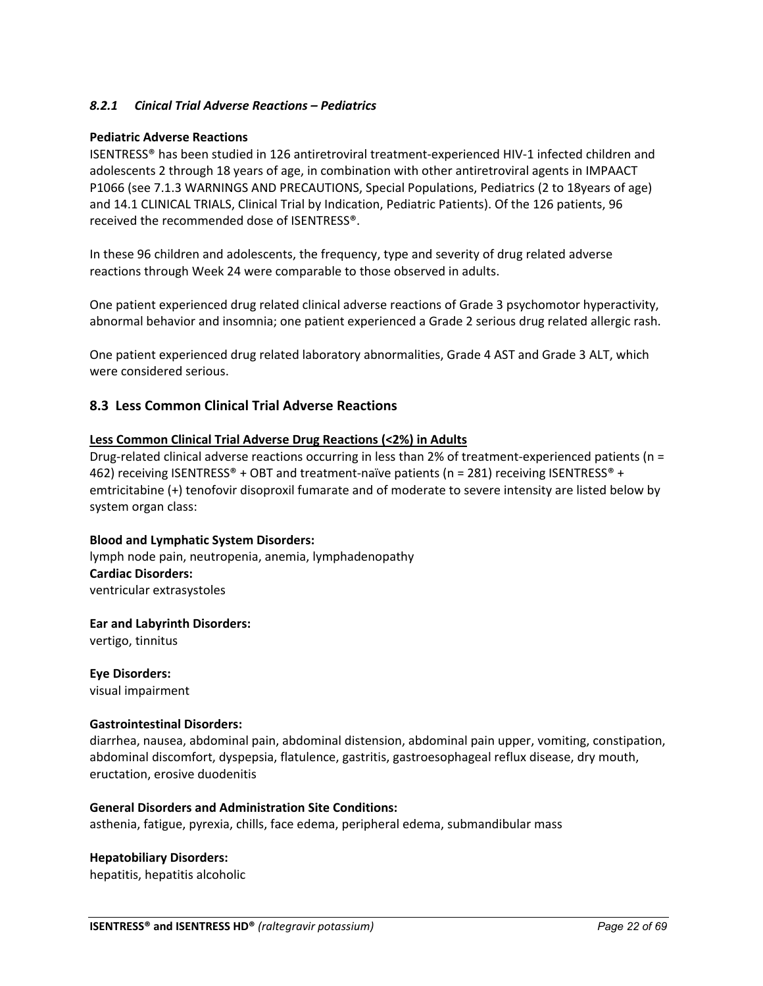## <span id="page-21-0"></span>*8.2.1 Cinical Trial Adverse Reactions – Pediatrics*

#### **Pediatric Adverse Reactions**

ISENTRESS® has been studied in 126 antiretroviral treatment-experienced HIV-1 infected children and adolescents 2 through 18 years of age, in combination with other antiretroviral agents in IMPAACT P1066 (see 7.1.3 WARNINGS AND PRECAUTIONS, Special Populations, Pediatrics (2 to 18years of age) and 14.1 CLINICAL TRIALS, Clinical Trial by Indication, Pediatric Patients). Of the 126 patients, 96 received the recommended dose of ISENTRESS®.

In these 96 children and adolescents, the frequency, type and severity of drug related adverse reactions through Week 24 were comparable to those observed in adults.

One patient experienced drug related clinical adverse reactions of Grade 3 psychomotor hyperactivity, abnormal behavior and insomnia; one patient experienced a Grade 2 serious drug related allergic rash.

One patient experienced drug related laboratory abnormalities, Grade 4 AST and Grade 3 ALT, which were considered serious.

## <span id="page-21-1"></span>**8.3 Less Common Clinical Trial Adverse Reactions**

#### **Less Common Clinical Trial Adverse Drug Reactions (<2%) in Adults**

Drug-related clinical adverse reactions occurring in less than 2% of treatment-experienced patients (n = 462) receiving ISENTRESS® + OBT and treatment-naïve patients (n = 281) receiving ISENTRESS® + emtricitabine (+) tenofovir disoproxil fumarate and of moderate to severe intensity are listed below by system organ class:

#### **Blood and Lymphatic System Disorders:**

lymph node pain, neutropenia, anemia, lymphadenopathy **Cardiac Disorders:** ventricular extrasystoles

**Ear and Labyrinth Disorders:**

vertigo, tinnitus

**Eye Disorders:** visual impairment

#### **Gastrointestinal Disorders:**

diarrhea, nausea, abdominal pain, abdominal distension, abdominal pain upper, vomiting, constipation, abdominal discomfort, dyspepsia, flatulence, gastritis, gastroesophageal reflux disease, dry mouth, eructation, erosive duodenitis

#### **General Disorders and Administration Site Conditions:**

asthenia, fatigue, pyrexia, chills, face edema, peripheral edema, submandibular mass

#### **Hepatobiliary Disorders:**

hepatitis, hepatitis alcoholic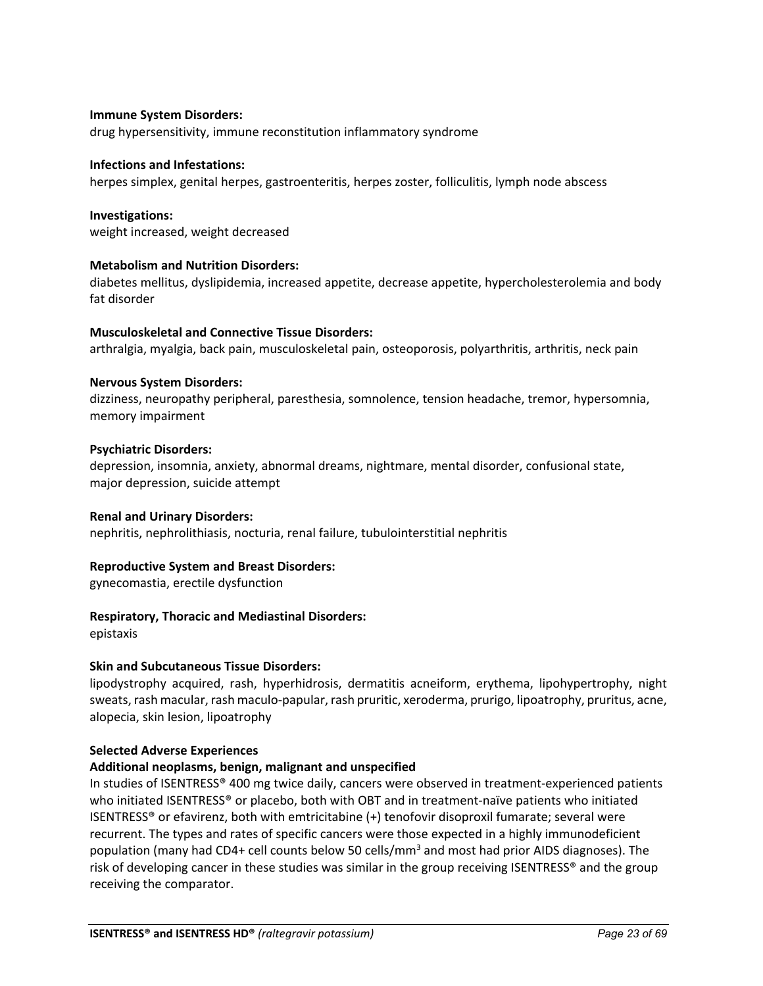## **Immune System Disorders:**

drug hypersensitivity, immune reconstitution inflammatory syndrome

#### **Infections and Infestations:**

herpes simplex, genital herpes, gastroenteritis, herpes zoster, folliculitis, lymph node abscess

#### **Investigations:**

weight increased, weight decreased

#### **Metabolism and Nutrition Disorders:**

diabetes mellitus, dyslipidemia, increased appetite, decrease appetite, hypercholesterolemia and body fat disorder

#### **Musculoskeletal and Connective Tissue Disorders:**

arthralgia, myalgia, back pain, musculoskeletal pain, osteoporosis, polyarthritis, arthritis, neck pain

#### **Nervous System Disorders:**

dizziness, neuropathy peripheral, paresthesia, somnolence, tension headache, tremor, hypersomnia, memory impairment

#### **Psychiatric Disorders:**

depression, insomnia, anxiety, abnormal dreams, nightmare, mental disorder, confusional state, major depression, suicide attempt

#### **Renal and Urinary Disorders:**

nephritis, nephrolithiasis, nocturia, renal failure, tubulointerstitial nephritis

## **Reproductive System and Breast Disorders:**

gynecomastia, erectile dysfunction

## **Respiratory, Thoracic and Mediastinal Disorders:**

epistaxis

## **Skin and Subcutaneous Tissue Disorders:**

lipodystrophy acquired, rash, hyperhidrosis, dermatitis acneiform, erythema, lipohypertrophy, night sweats, rash macular, rash maculo-papular, rash pruritic, xeroderma, prurigo, lipoatrophy, pruritus, acne, alopecia, skin lesion, lipoatrophy

#### **Selected Adverse Experiences**

## **Additional neoplasms, benign, malignant and unspecified**

In studies of ISENTRESS® 400 mg twice daily, cancers were observed in treatment-experienced patients who initiated ISENTRESS® or placebo, both with OBT and in treatment-naïve patients who initiated ISENTRESS® or efavirenz, both with emtricitabine (+) tenofovir disoproxil fumarate; several were recurrent. The types and rates of specific cancers were those expected in a highly immunodeficient population (many had CD4+ cell counts below 50 cells/mm3 and most had prior AIDS diagnoses). The risk of developing cancer in these studies was similar in the group receiving ISENTRESS® and the group receiving the comparator.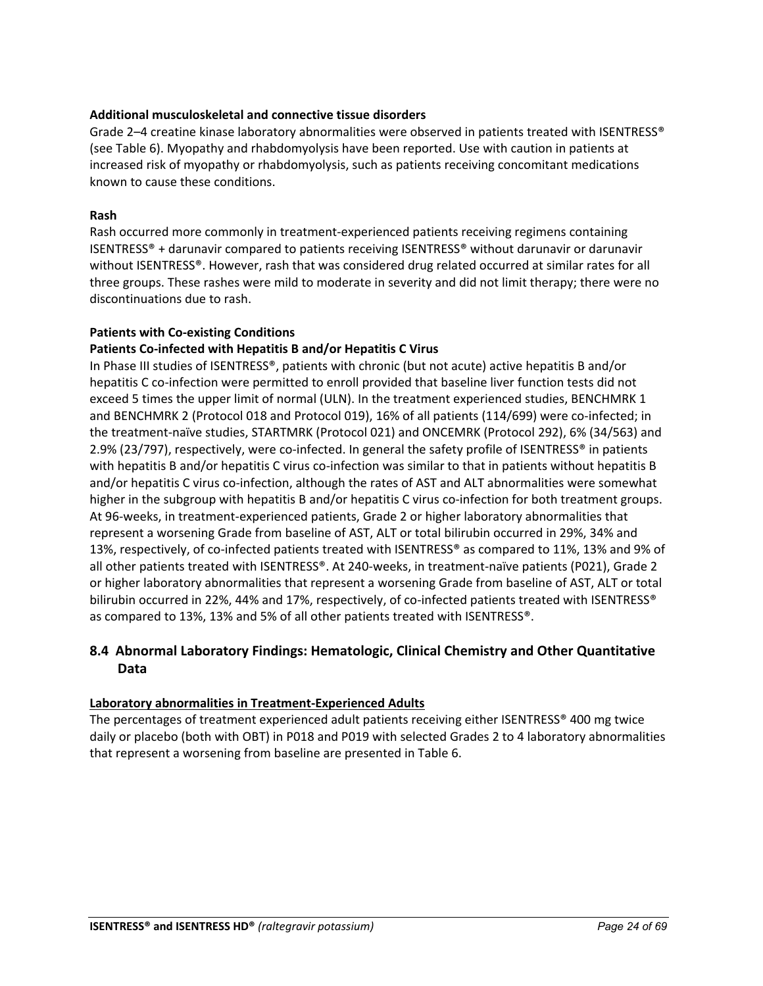## **Additional musculoskeletal and connective tissue disorders**

Grade 2-4 creatine kinase laboratory abnormalities were observed in patients treated with ISENTRESS® (see Table 6). Myopathy and rhabdomyolysis have been reported. Use with caution in patients at increased risk of myopathy or rhabdomyolysis, such as patients receiving concomitant medications known to cause these conditions.

## **Rash**

Rash occurred more commonly in treatment-experienced patients receiving regimens containing ISENTRESS® + darunavir compared to patients receiving ISENTRESS® without darunavir or darunavir without ISENTRESS®. However, rash that was considered drug related occurred at similar rates for all three groups. These rashes were mild to moderate in severity and did not limit therapy; there were no discontinuations due to rash.

## **Patients with Co-existing Conditions**

## **Patients Co-infected with Hepatitis B and/or Hepatitis C Virus**

In Phase III studies of ISENTRESS®, patients with chronic (but not acute) active hepatitis B and/or hepatitis C co-infection were permitted to enroll provided that baseline liver function tests did not exceed 5 times the upper limit of normal (ULN). In the treatment experienced studies, BENCHMRK 1 and BENCHMRK 2 (Protocol 018 and Protocol 019), 16% of all patients (114/699) were co-infected; in the treatment-naïve studies, STARTMRK (Protocol 021) and ONCEMRK (Protocol 292), 6% (34/563) and 2.9% (23/797), respectively, were co-infected. In general the safety profile of ISENTRESS® in patients with hepatitis B and/or hepatitis C virus co-infection was similar to that in patients without hepatitis B and/or hepatitis C virus co-infection, although the rates of AST and ALT abnormalities were somewhat higher in the subgroup with hepatitis B and/or hepatitis C virus co-infection for both treatment groups. At 96-weeks, in treatment-experienced patients, Grade 2 or higher laboratory abnormalities that represent a worsening Grade from baseline of AST, ALT or total bilirubin occurred in 29%, 34% and 13%, respectively, of co-infected patients treated with ISENTRESS® as compared to 11%, 13% and 9% of all other patients treated with ISENTRESS®. At 240-weeks, in treatment-naïve patients (P021), Grade 2 or higher laboratory abnormalities that represent a worsening Grade from baseline of AST, ALT or total bilirubin occurred in 22%, 44% and 17%, respectively, of co-infected patients treated with ISENTRESS® as compared to 13%, 13% and 5% of all other patients treated with ISENTRESS®.

## <span id="page-23-0"></span>**8.4 Abnormal Laboratory Findings: Hematologic, Clinical Chemistry and Other Quantitative Data**

## **Laboratory abnormalities in Treatment-Experienced Adults**

The percentages of treatment experienced adult patients receiving either ISENTRESS® 400 mg twice daily or placebo (both with OBT) in P018 and P019 with selected Grades 2 to 4 laboratory abnormalities that represent a worsening from baseline are presented in Table 6.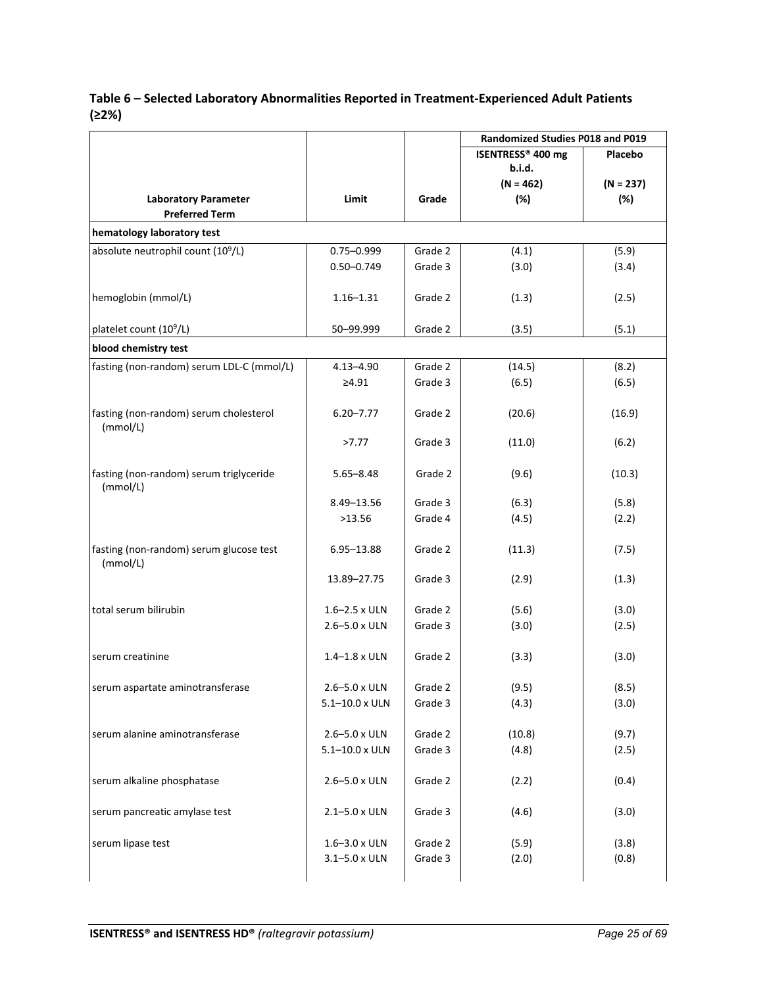## **Table 6 – Selected Laboratory Abnormalities Reported in Treatment-Experienced Adult Patients (≥2%)**

|                                                      |                         |         | Randomized Studies P018 and P019 |             |  |
|------------------------------------------------------|-------------------------|---------|----------------------------------|-------------|--|
|                                                      |                         |         | ISENTRESS® 400 mg                | Placebo     |  |
|                                                      |                         |         | b.i.d.                           |             |  |
|                                                      |                         |         | $(N = 462)$                      | $(N = 237)$ |  |
| <b>Laboratory Parameter</b><br><b>Preferred Term</b> | Limit                   | Grade   | (%)                              | (%)         |  |
| hematology laboratory test                           |                         |         |                                  |             |  |
| absolute neutrophil count (10 <sup>9</sup> /L)       | $0.75 - 0.999$          | Grade 2 | (4.1)                            | (5.9)       |  |
|                                                      | $0.50 - 0.749$          | Grade 3 | (3.0)                            | (3.4)       |  |
|                                                      |                         |         |                                  |             |  |
| hemoglobin (mmol/L)                                  | $1.16 - 1.31$           | Grade 2 | (1.3)                            | (2.5)       |  |
|                                                      |                         |         |                                  |             |  |
| platelet count (10 <sup>9</sup> /L)                  | 50-99.999               | Grade 2 | (3.5)                            | (5.1)       |  |
| blood chemistry test                                 |                         |         |                                  |             |  |
| fasting (non-random) serum LDL-C (mmol/L)            | $4.13 - 4.90$           | Grade 2 | (14.5)                           | (8.2)       |  |
|                                                      | ≥4.91                   | Grade 3 | (6.5)                            | (6.5)       |  |
| fasting (non-random) serum cholesterol               | $6.20 - 7.77$           | Grade 2 | (20.6)                           | (16.9)      |  |
| (mmol/L)                                             |                         |         |                                  |             |  |
|                                                      | >7.77                   | Grade 3 | (11.0)                           | (6.2)       |  |
| fasting (non-random) serum triglyceride              | $5.65 - 8.48$           | Grade 2 | (9.6)                            | (10.3)      |  |
| (mmol/L)                                             |                         |         |                                  |             |  |
|                                                      | 8.49-13.56              | Grade 3 | (6.3)                            | (5.8)       |  |
|                                                      | >13.56                  | Grade 4 | (4.5)                            | (2.2)       |  |
|                                                      |                         |         |                                  |             |  |
| fasting (non-random) serum glucose test<br>(mmol/L)  | $6.95 - 13.88$          | Grade 2 | (11.3)                           | (7.5)       |  |
|                                                      | 13.89-27.75             | Grade 3 | (2.9)                            | (1.3)       |  |
|                                                      |                         |         |                                  |             |  |
| total serum bilirubin                                | $1.6 - 2.5 \times ULN$  | Grade 2 | (5.6)                            | (3.0)       |  |
|                                                      | 2.6-5.0 x ULN           | Grade 3 | (3.0)                            | (2.5)       |  |
|                                                      |                         |         |                                  |             |  |
| serum creatinine                                     | $1.4 - 1.8 \times ULN$  | Grade 2 | (3.3)                            | (3.0)       |  |
| serum aspartate aminotransferase                     | 2.6-5.0 x ULN           | Grade 2 | (9.5)                            | (8.5)       |  |
|                                                      | $5.1 - 10.0 \times ULN$ | Grade 3 | (4.3)                            | (3.0)       |  |
|                                                      |                         |         |                                  |             |  |
| serum alanine aminotransferase                       | 2.6-5.0 x ULN           | Grade 2 | (10.8)                           | (9.7)       |  |
|                                                      | $5.1 - 10.0 \times ULN$ | Grade 3 | (4.8)                            | (2.5)       |  |
|                                                      |                         |         |                                  |             |  |
| serum alkaline phosphatase                           | 2.6-5.0 x ULN           | Grade 2 | (2.2)                            | (0.4)       |  |
| serum pancreatic amylase test                        | 2.1-5.0 x ULN           | Grade 3 | (4.6)                            | (3.0)       |  |
|                                                      |                         |         |                                  |             |  |
| serum lipase test                                    | 1.6-3.0 x ULN           | Grade 2 | (5.9)                            | (3.8)       |  |
|                                                      | $3.1 - 5.0 \times ULN$  | Grade 3 | (2.0)                            | (0.8)       |  |
|                                                      |                         |         |                                  |             |  |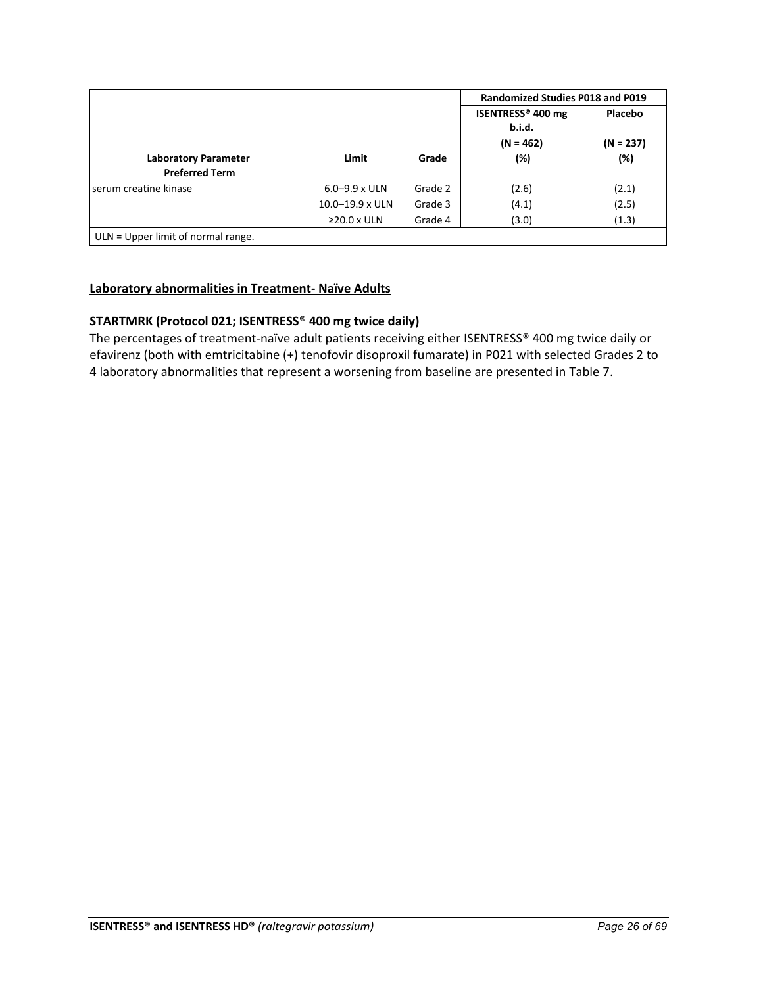|                                                      |                        |         | <b>Randomized Studies P018 and P019</b>                       |                               |
|------------------------------------------------------|------------------------|---------|---------------------------------------------------------------|-------------------------------|
| <b>Laboratory Parameter</b><br><b>Preferred Term</b> | Limit                  | Grade   | ISENTRESS <sup>®</sup> 400 mg<br>b.i.d.<br>$(N = 462)$<br>(%) | Placebo<br>$(N = 237)$<br>(%) |
| serum creatine kinase                                | $6.0 - 9.9 \times ULN$ | Grade 2 | (2.6)                                                         | (2.1)                         |
|                                                      | $10.0 - 19.9$ x ULN    | Grade 3 | (4.1)                                                         | (2.5)                         |
|                                                      | $\geq$ 20.0 x ULN      | Grade 4 | (3.0)                                                         | (1.3)                         |

## **Laboratory abnormalities in Treatment- Naïve Adults**

## **STARTMRK (Protocol 021; ISENTRESS**® **400 mg twice daily)**

The percentages of treatment-naïve adult patients receiving either ISENTRESS® 400 mg twice daily or efavirenz (both with emtricitabine (+) tenofovir disoproxil fumarate) in P021 with selected Grades 2 to 4 laboratory abnormalities that represent a worsening from baseline are presented in Table 7.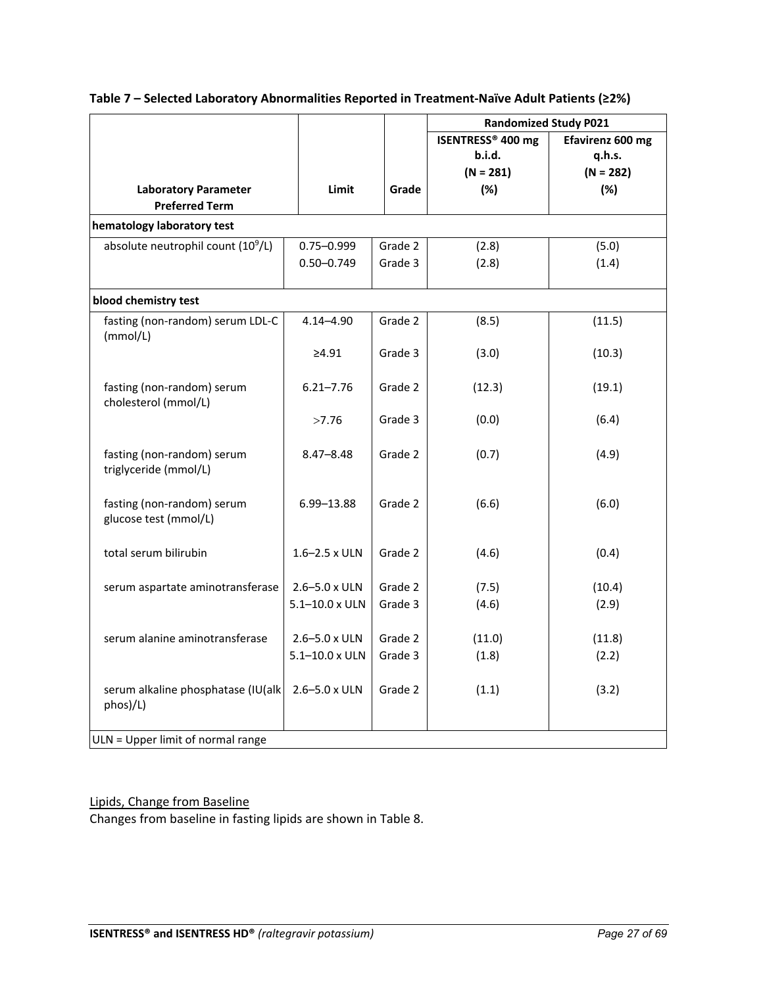|                                                      |                        |         | <b>Randomized Study P021</b>  |                  |
|------------------------------------------------------|------------------------|---------|-------------------------------|------------------|
|                                                      |                        |         | ISENTRESS <sup>®</sup> 400 mg | Efavirenz 600 mg |
|                                                      |                        |         | b.i.d.                        | q.h.s.           |
|                                                      |                        |         | $(N = 281)$                   | $(N = 282)$      |
| <b>Laboratory Parameter</b><br><b>Preferred Term</b> | Limit                  | Grade   | (%)                           | (%)              |
|                                                      |                        |         |                               |                  |
| hematology laboratory test                           |                        |         |                               |                  |
| absolute neutrophil count (10 <sup>9</sup> /L)       | $0.75 - 0.999$         | Grade 2 | (2.8)                         | (5.0)            |
|                                                      | $0.50 - 0.749$         | Grade 3 | (2.8)                         | (1.4)            |
| blood chemistry test                                 |                        |         |                               |                  |
| fasting (non-random) serum LDL-C<br>(mmol/L)         | $4.14 - 4.90$          | Grade 2 | (8.5)                         | (11.5)           |
|                                                      | ≥4.91                  | Grade 3 | (3.0)                         | (10.3)           |
| fasting (non-random) serum<br>cholesterol (mmol/L)   | $6.21 - 7.76$          | Grade 2 | (12.3)                        | (19.1)           |
|                                                      | >7.76                  | Grade 3 | (0.0)                         | (6.4)            |
| fasting (non-random) serum<br>triglyceride (mmol/L)  | $8.47 - 8.48$          | Grade 2 | (0.7)                         | (4.9)            |
| fasting (non-random) serum<br>glucose test (mmol/L)  | 6.99-13.88             | Grade 2 | (6.6)                         | (6.0)            |
| total serum bilirubin                                | $1.6 - 2.5 \times ULN$ | Grade 2 | (4.6)                         | (0.4)            |
| serum aspartate aminotransferase                     | 2.6-5.0 x ULN          | Grade 2 | (7.5)                         | (10.4)           |
|                                                      | 5.1-10.0 x ULN         | Grade 3 | (4.6)                         | (2.9)            |
| serum alanine aminotransferase                       | 2.6-5.0 x ULN          | Grade 2 | (11.0)                        | (11.8)           |
|                                                      | 5.1-10.0 x ULN         | Grade 3 | (1.8)                         | (2.2)            |
| serum alkaline phosphatase (IU(alk<br>phos)/L)       | 2.6-5.0 x ULN          | Grade 2 | (1.1)                         | (3.2)            |
| ULN = Upper limit of normal range                    |                        |         |                               |                  |

## **Table 7 – Selected Laboratory Abnormalities Reported in Treatment-Naïve Adult Patients (≥2%)**

Lipids, Change from Baseline Changes from baseline in fasting lipids are shown in Table 8.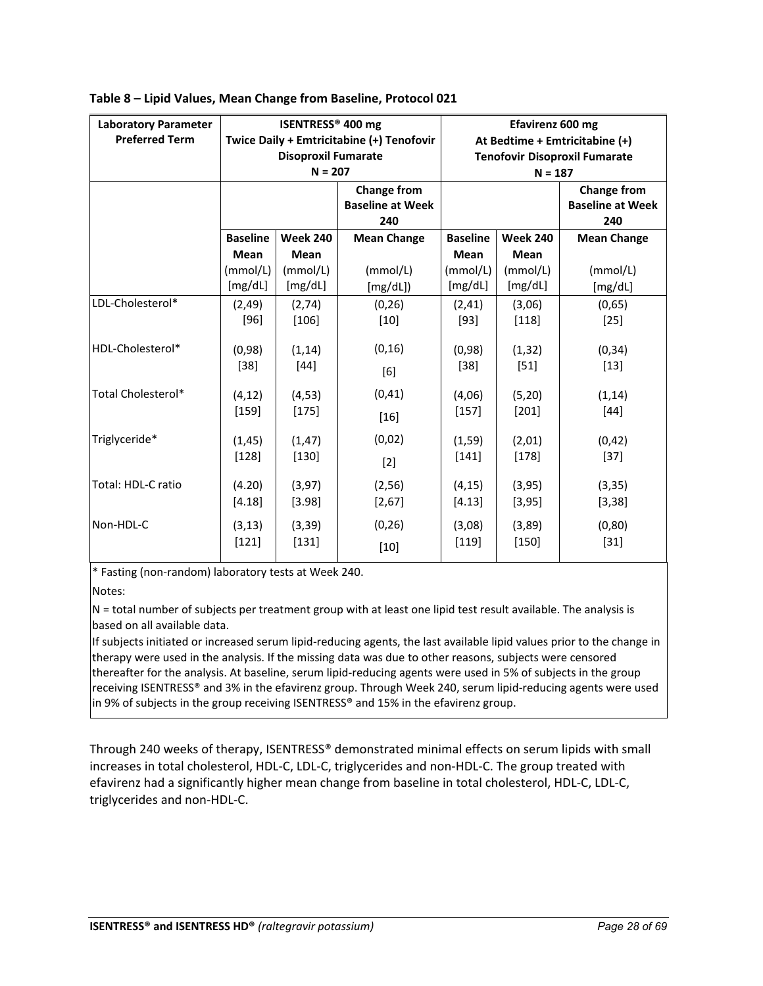| <b>Laboratory Parameter</b><br><b>Preferred Term</b> |                    | ISENTRESS® 400 mg<br><b>Disoproxil Fumarate</b><br>$N = 207$ | Twice Daily + Emtricitabine (+) Tenofovir            | Efavirenz 600 mg<br>At Bedtime + Emtricitabine (+)<br><b>Tenofovir Disoproxil Fumarate</b><br>$N = 187$ |                   |                                                      |  |
|------------------------------------------------------|--------------------|--------------------------------------------------------------|------------------------------------------------------|---------------------------------------------------------------------------------------------------------|-------------------|------------------------------------------------------|--|
|                                                      |                    |                                                              | <b>Change from</b><br><b>Baseline at Week</b><br>240 |                                                                                                         |                   | <b>Change from</b><br><b>Baseline at Week</b><br>240 |  |
|                                                      | <b>Baseline</b>    | <b>Week 240</b>                                              | <b>Mean Change</b>                                   | <b>Baseline</b>                                                                                         | <b>Week 240</b>   | <b>Mean Change</b>                                   |  |
|                                                      | <b>Mean</b>        | <b>Mean</b>                                                  |                                                      | <b>Mean</b>                                                                                             | <b>Mean</b>       |                                                      |  |
|                                                      | (mmol/L)           | (mmol/L)                                                     | (mmol/L)                                             | (mmol/L)                                                                                                | (mmol/L)          | (mmol/L)                                             |  |
|                                                      | [mg/dL]            | [mg/dL]                                                      | [mg/dL])                                             | [mg/dL]                                                                                                 | [mg/dL]           | [mg/dL]                                              |  |
| LDL-Cholesterol*                                     | (2, 49)            | (2,74)                                                       | (0, 26)                                              | (2, 41)                                                                                                 | (3,06)            | (0,65)                                               |  |
|                                                      | $[96]$             | $[106]$                                                      | $[10]$                                               | $[93]$                                                                                                  | $[118]$           | $[25]$                                               |  |
| HDL-Cholesterol*                                     | (0,98)<br>$[38]$   | (1, 14)<br>$[44]$                                            | (0, 16)<br>[6]                                       | (0,98)<br>$[38]$                                                                                        | (1, 32)<br>$[51]$ | (0, 34)<br>$[13]$                                    |  |
| Total Cholesterol*                                   | (4, 12)            | (4, 53)                                                      | (0, 41)                                              | (4,06)                                                                                                  | (5, 20)           | (1, 14)                                              |  |
|                                                      | $[159]$            | $[175]$                                                      | $[16]$                                               | $[157]$                                                                                                 | $[201]$           | $[44]$                                               |  |
| Triglyceride*                                        | (1, 45)            | (1, 47)                                                      | (0,02)                                               | (1, 59)                                                                                                 | (2,01)            | (0, 42)                                              |  |
|                                                      | $[128]$            | $[130]$                                                      | $[2]$                                                | $[141]$                                                                                                 | $[178]$           | $[37]$                                               |  |
| Total: HDL-C ratio                                   | (4.20)             | (3, 97)                                                      | (2, 56)                                              | (4, 15)                                                                                                 | (3, 95)           | (3, 35)                                              |  |
|                                                      | [4.18]             | [3.98]                                                       | [2,67]                                               | [4.13]                                                                                                  | [3, 95]           | [3, 38]                                              |  |
| Non-HDL-C                                            | (3, 13)<br>$[121]$ | (3, 39)<br>$[131]$                                           | (0, 26)<br>$[10]$                                    | (3,08)<br>$[119]$                                                                                       | (3,89)<br>$[150]$ | (0, 80)<br>$[31]$                                    |  |

|  |  |  | Table 8 - Lipid Values, Mean Change from Baseline, Protocol 021 |
|--|--|--|-----------------------------------------------------------------|
|  |  |  |                                                                 |

\* Fasting (non-random) laboratory tests at Week 240.

Notes:

N = total number of subjects per treatment group with at least one lipid test result available. The analysis is based on all available data.

If subjects initiated or increased serum lipid-reducing agents, the last available lipid values prior to the change in therapy were used in the analysis. If the missing data was due to other reasons, subjects were censored thereafter for the analysis. At baseline, serum lipid-reducing agents were used in 5% of subjects in the group receiving ISENTRESS® and 3% in the efavirenz group. Through Week 240, serum lipid-reducing agents were used in 9% of subjects in the group receiving ISENTRESS® and 15% in the efavirenz group.

Through 240 weeks of therapy, ISENTRESS® demonstrated minimal effects on serum lipids with small increases in total cholesterol, HDL-C, LDL-C, triglycerides and non-HDL-C. The group treated with efavirenz had a significantly higher mean change from baseline in total cholesterol, HDL-C, LDL-C, triglycerides and non-HDL-C.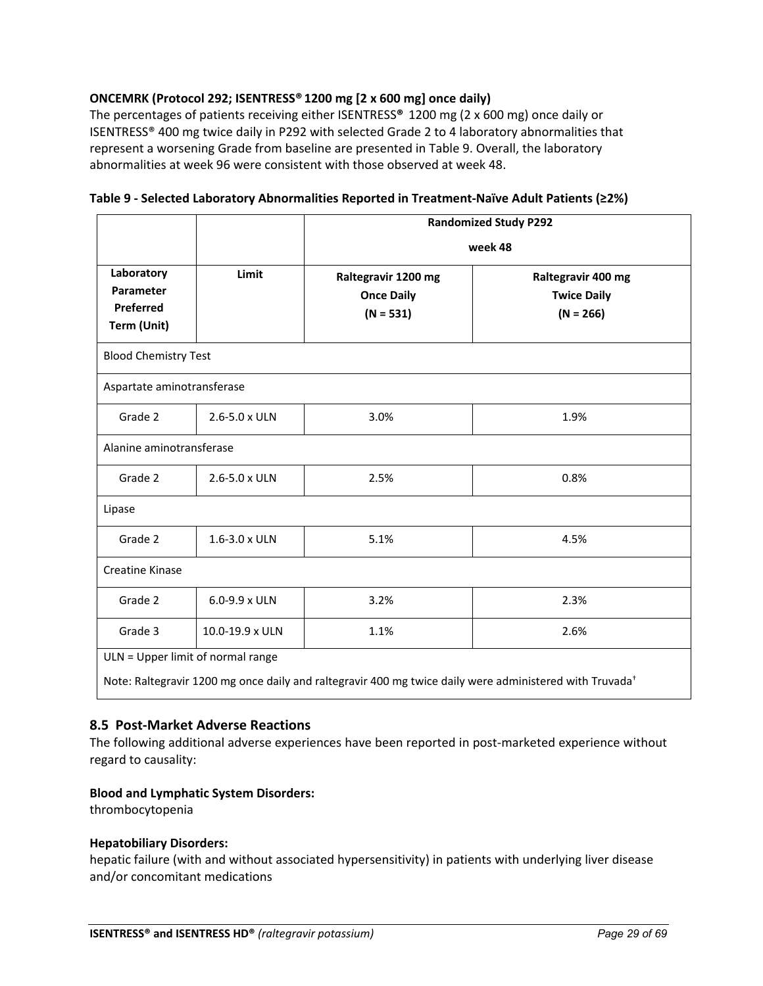## **ONCEMRK (Protocol 292; ISENTRESS® 1200 mg [2 x 600 mg] once daily)**

The percentages of patients receiving either ISENTRESS**®** 1200 mg (2 x 600 mg) once daily or ISENTRESS® 400 mg twice daily in P292 with selected Grade 2 to 4 laboratory abnormalities that represent a worsening Grade from baseline are presented in Table 9. Overall, the laboratory abnormalities at week 96 were consistent with those observed at week 48.

|                                                     |                        |                                                         | <b>Randomized Study P292</b>                            |
|-----------------------------------------------------|------------------------|---------------------------------------------------------|---------------------------------------------------------|
|                                                     |                        |                                                         | week 48                                                 |
| Laboratory<br>Parameter<br>Preferred<br>Term (Unit) | Limit                  | Raltegravir 1200 mg<br><b>Once Daily</b><br>$(N = 531)$ | Raltegravir 400 mg<br><b>Twice Daily</b><br>$(N = 266)$ |
| <b>Blood Chemistry Test</b>                         |                        |                                                         |                                                         |
| Aspartate aminotransferase                          |                        |                                                         |                                                         |
| Grade 2                                             | 2.6-5.0 x ULN          | 3.0%                                                    | 1.9%                                                    |
| Alanine aminotransferase                            |                        |                                                         |                                                         |
| Grade 2                                             | $2.6 - 5.0 \times ULN$ | 2.5%                                                    | 0.8%                                                    |
| Lipase                                              |                        |                                                         |                                                         |
| Grade 2                                             | 1.6-3.0 x ULN          | 5.1%                                                    | 4.5%                                                    |
| <b>Creatine Kinase</b>                              |                        |                                                         |                                                         |
|                                                     | $6.0 - 9.9 \times ULN$ | 3.2%                                                    | 2.3%                                                    |
| Grade 2                                             |                        |                                                         |                                                         |

**Table 9 - Selected Laboratory Abnormalities Reported in Treatment-Naïve Adult Patients (≥2%)** 

## <span id="page-28-0"></span>**8.5 Post-Market Adverse Reactions**

The following additional adverse experiences have been reported in post-marketed experience without regard to causality:

## **Blood and Lymphatic System Disorders:**

thrombocytopenia

#### **Hepatobiliary Disorders:**

hepatic failure (with and without associated hypersensitivity) in patients with underlying liver disease and/or concomitant medications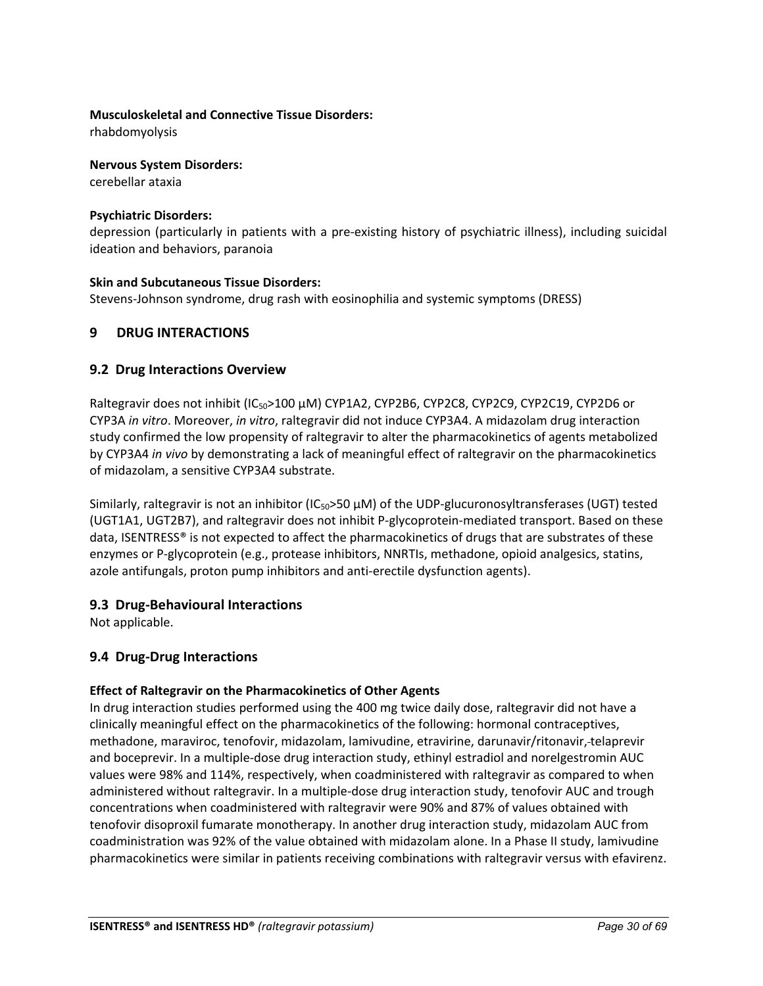## **Musculoskeletal and Connective Tissue Disorders:**

rhabdomyolysis

## **Nervous System Disorders:**

cerebellar ataxia

## **Psychiatric Disorders:**

depression (particularly in patients with a pre-existing history of psychiatric illness), including suicidal ideation and behaviors, paranoia

## **Skin and Subcutaneous Tissue Disorders:**

Stevens-Johnson syndrome, drug rash with eosinophilia and systemic symptoms (DRESS)

## <span id="page-29-0"></span>**9 DRUG INTERACTIONS**

## <span id="page-29-1"></span>**9.2 Drug Interactions Overview**

Raltegravir does not inhibit (IC<sub>50</sub>>100 μM) CYP1A2, CYP2B6, CYP2C8, CYP2C9, CYP2C19, CYP2D6 or CYP3A *in vitro*. Moreover, *in vitro*, raltegravir did not induce CYP3A4. A midazolam drug interaction study confirmed the low propensity of raltegravir to alter the pharmacokinetics of agents metabolized by CYP3A4 *in vivo* by demonstrating a lack of meaningful effect of raltegravir on the pharmacokinetics of midazolam, a sensitive CYP3A4 substrate.

Similarly, raltegravir is not an inhibitor (IC50>50 μM) of the UDP-glucuronosyltransferases (UGT) tested (UGT1A1, UGT2B7), and raltegravir does not inhibit P-glycoprotein-mediated transport. Based on these data, ISENTRESS® is not expected to affect the pharmacokinetics of drugs that are substrates of these enzymes or P-glycoprotein (e.g., protease inhibitors, NNRTIs, methadone, opioid analgesics, statins, azole antifungals, proton pump inhibitors and anti-erectile dysfunction agents).

## <span id="page-29-2"></span>**9.3 Drug-Behavioural Interactions**

Not applicable.

## <span id="page-29-3"></span>**9.4 Drug-Drug Interactions**

## **Effect of Raltegravir on the Pharmacokinetics of Other Agents**

In drug interaction studies performed using the 400 mg twice daily dose, raltegravir did not have a clinically meaningful effect on the pharmacokinetics of the following: hormonal contraceptives, methadone, maraviroc, tenofovir, midazolam, lamivudine, etravirine, darunavir/ritonavir, telaprevir and boceprevir. In a multiple-dose drug interaction study, ethinyl estradiol and norelgestromin AUC values were 98% and 114%, respectively, when coadministered with raltegravir as compared to when administered without raltegravir. In a multiple-dose drug interaction study, tenofovir AUC and trough concentrations when coadministered with raltegravir were 90% and 87% of values obtained with tenofovir disoproxil fumarate monotherapy. In another drug interaction study, midazolam AUC from coadministration was 92% of the value obtained with midazolam alone. In a Phase II study, lamivudine pharmacokinetics were similar in patients receiving combinations with raltegravir versus with efavirenz.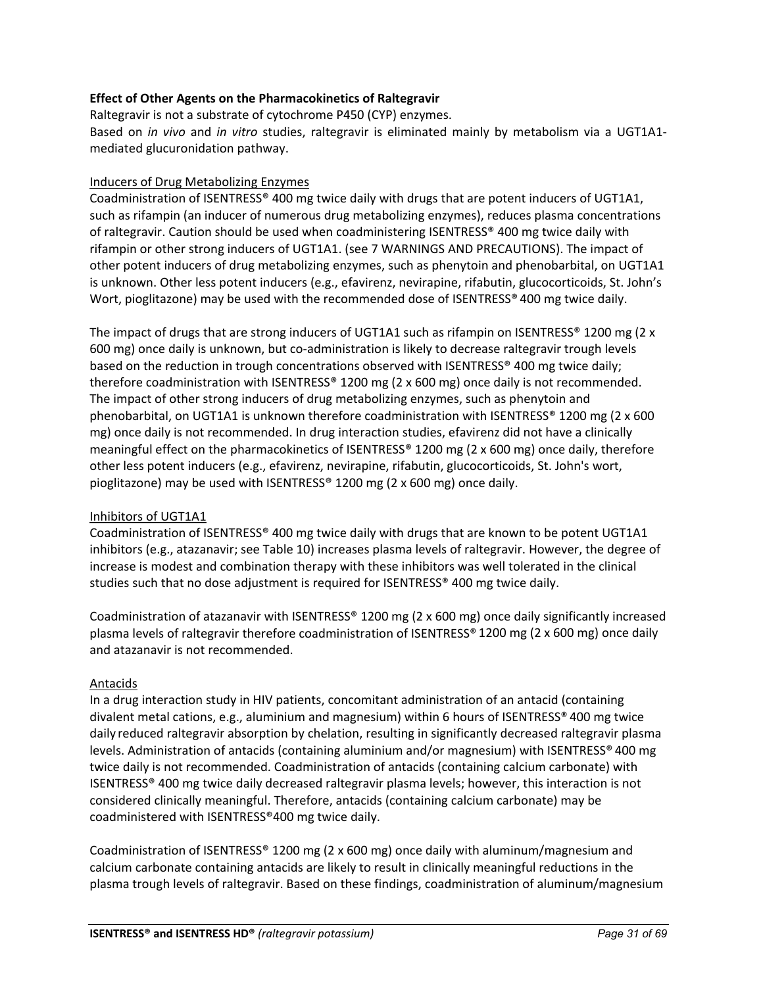## **Effect of Other Agents on the Pharmacokinetics of Raltegravir**

Raltegravir is not a substrate of cytochrome P450 (CYP) enzymes.

Based on *in vivo* and *in vitro* studies, raltegravir is eliminated mainly by metabolism via a UGT1A1 mediated glucuronidation pathway.

## Inducers of Drug Metabolizing Enzymes

Coadministration of ISENTRESS® 400 mg twice daily with drugs that are potent inducers of UGT1A1, such as rifampin (an inducer of numerous drug metabolizing enzymes), reduces plasma concentrations of raltegravir. Caution should be used when coadministering ISENTRESS® 400 mg twice daily with rifampin or other strong inducers of UGT1A1. (see 7 WARNINGS AND PRECAUTIONS). The impact of other potent inducers of drug metabolizing enzymes, such as phenytoin and phenobarbital, on UGT1A1 is unknown. Other less potent inducers (e.g., efavirenz, nevirapine, rifabutin, glucocorticoids, St. John's Wort, pioglitazone) may be used with the recommended dose of ISENTRESS<sup>®</sup> 400 mg twice daily.

The impact of drugs that are strong inducers of UGT1A1 such as rifampin on ISENTRESS® 1200 mg (2 x 600 mg) once daily is unknown, but co-administration is likely to decrease raltegravir trough levels based on the reduction in trough concentrations observed with ISENTRESS® 400 mg twice daily; therefore coadministration with ISENTRESS® 1200 mg (2 x 600 mg) once daily is not recommended. The impact of other strong inducers of drug metabolizing enzymes, such as phenytoin and phenobarbital, on UGT1A1 is unknown therefore coadministration with ISENTRESS® 1200 mg (2 x 600 mg) once daily is not recommended. In drug interaction studies, efavirenz did not have a clinically meaningful effect on the pharmacokinetics of ISENTRESS® 1200 mg (2 x 600 mg) once daily, therefore other less potent inducers (e.g., efavirenz, nevirapine, rifabutin, glucocorticoids, St. John's wort, pioglitazone) may be used with ISENTRESS® 1200 mg (2 x 600 mg) once daily.

## Inhibitors of UGT1A1

Coadministration of ISENTRESS® 400 mg twice daily with drugs that are known to be potent UGT1A1 inhibitors (e.g., atazanavir; see Table 10) increases plasma levels of raltegravir. However, the degree of increase is modest and combination therapy with these inhibitors was well tolerated in the clinical studies such that no dose adjustment is required for ISENTRESS® 400 mg twice daily.

Coadministration of atazanavir with ISENTRESS® 1200 mg (2 x 600 mg) once daily significantly increased plasma levels of raltegravir therefore coadministration of ISENTRESS® 1200 mg (2 x 600 mg) once daily and atazanavir is not recommended.

## Antacids

In a drug interaction study in HIV patients, concomitant administration of an antacid (containing divalent metal cations, e.g., aluminium and magnesium) within 6 hours of ISENTRESS® 400 mg twice daily reduced raltegravir absorption by chelation, resulting in significantly decreased raltegravir plasma levels. Administration of antacids (containing aluminium and/or magnesium) with ISENTRESS® 400 mg twice daily is not recommended. Coadministration of antacids (containing calcium carbonate) with ISENTRESS® 400 mg twice daily decreased raltegravir plasma levels; however, this interaction is not considered clinically meaningful. Therefore, antacids (containing calcium carbonate) may be coadministered with ISENTRESS®400 mg twice daily.

Coadministration of ISENTRESS® 1200 mg (2 x 600 mg) once daily with aluminum/magnesium and calcium carbonate containing antacids are likely to result in clinically meaningful reductions in the plasma trough levels of raltegravir. Based on these findings, coadministration of aluminum/magnesium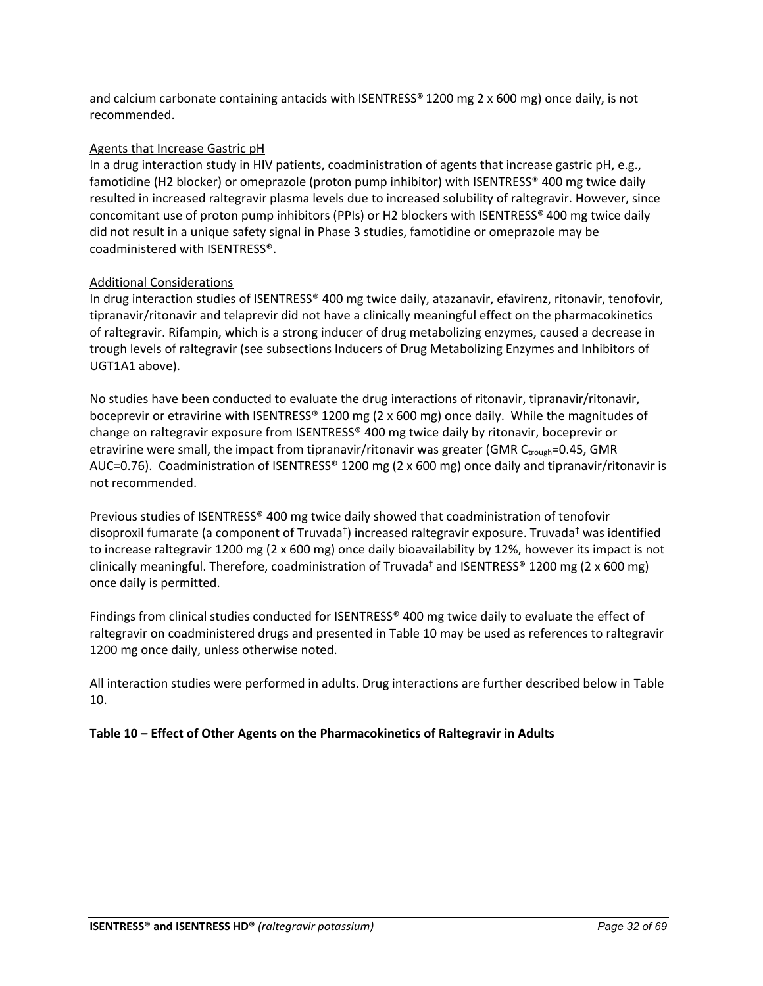and calcium carbonate containing antacids with ISENTRESS® 1200 mg 2 x 600 mg) once daily, is not recommended.

## Agents that Increase Gastric pH

In a drug interaction study in HIV patients, coadministration of agents that increase gastric pH, e.g., famotidine (H2 blocker) or omeprazole (proton pump inhibitor) with ISENTRESS® 400 mg twice daily resulted in increased raltegravir plasma levels due to increased solubility of raltegravir. However, since concomitant use of proton pump inhibitors (PPIs) or H2 blockers with ISENTRESS® 400 mg twice daily did not result in a unique safety signal in Phase 3 studies, famotidine or omeprazole may be coadministered with ISENTRESS®.

## Additional Considerations

In drug interaction studies of ISENTRESS® 400 mg twice daily, atazanavir, efavirenz, ritonavir, tenofovir, tipranavir/ritonavir and telaprevir did not have a clinically meaningful effect on the pharmacokinetics of raltegravir. Rifampin, which is a strong inducer of drug metabolizing enzymes, caused a decrease in trough levels of raltegravir (see subsections Inducers of Drug Metabolizing Enzymes and Inhibitors of UGT1A1 above).

No studies have been conducted to evaluate the drug interactions of ritonavir, tipranavir/ritonavir, boceprevir or etravirine with ISENTRESS® 1200 mg (2 x 600 mg) once daily. While the magnitudes of change on raltegravir exposure from ISENTRESS® 400 mg twice daily by ritonavir, boceprevir or etravirine were small, the impact from tipranavir/ritonavir was greater (GMR  $C_{\text{trough}}$ =0.45, GMR AUC=0.76). Coadministration of ISENTRESS® 1200 mg (2 x 600 mg) once daily and tipranavir/ritonavir is not recommended.

Previous studies of ISENTRESS® 400 mg twice daily showed that coadministration of tenofovir disoproxil fumarate (a component of Truvada†) increased raltegravir exposure. Truvada† was identified to increase raltegravir 1200 mg (2 x 600 mg) once daily bioavailability by 12%, however its impact is not clinically meaningful. Therefore, coadministration of Truvada<sup>†</sup> and ISENTRESS<sup>®</sup> 1200 mg (2 x 600 mg) once daily is permitted.

Findings from clinical studies conducted for ISENTRESS® 400 mg twice daily to evaluate the effect of raltegravir on coadministered drugs and presented in Table 10 may be used as references to raltegravir 1200 mg once daily, unless otherwise noted.

All interaction studies were performed in adults. Drug interactions are further described below in Table 10.

## **Table 10 – Effect of Other Agents on the Pharmacokinetics of Raltegravir in Adults**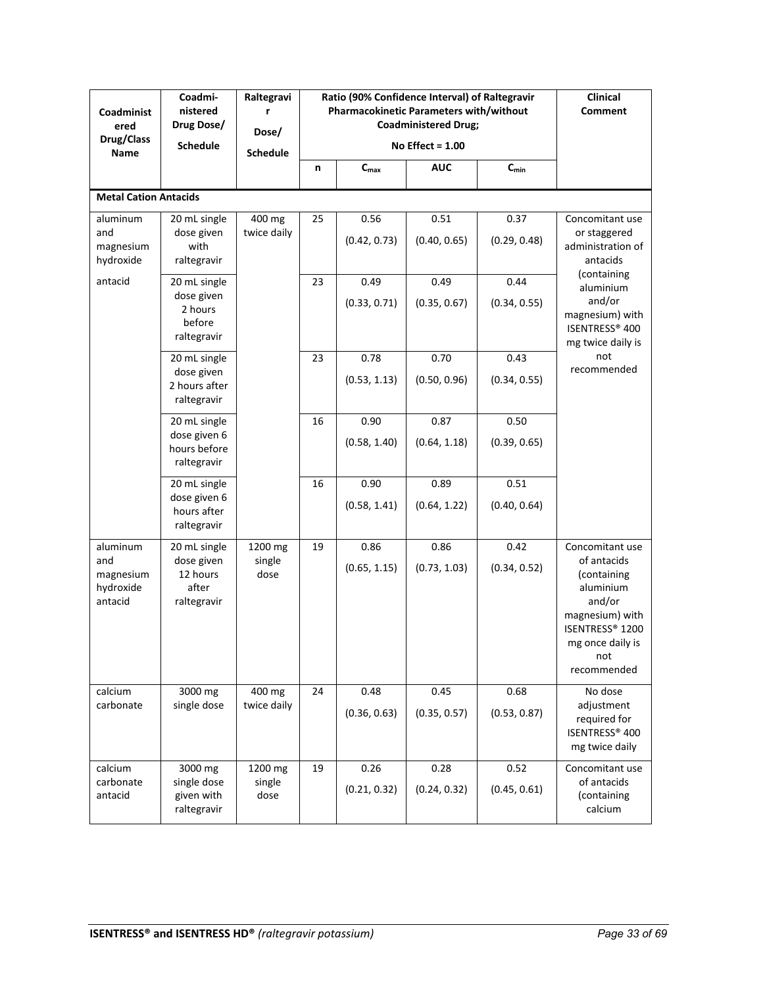| Coadminist<br>ered<br><b>Drug/Class</b><br>Name      | Coadmi-<br>nistered<br>Drug Dose/<br><b>Schedule</b>           | Raltegravi<br>Dose/<br><b>Schedule</b> |    | Ratio (90% Confidence Interval) of Raltegravir<br>Pharmacokinetic Parameters with/without<br><b>Coadministered Drug;</b><br>No Effect = $1.00$ | Clinical<br><b>Comment</b> |                      |                                                                                                                                                      |
|------------------------------------------------------|----------------------------------------------------------------|----------------------------------------|----|------------------------------------------------------------------------------------------------------------------------------------------------|----------------------------|----------------------|------------------------------------------------------------------------------------------------------------------------------------------------------|
|                                                      |                                                                |                                        | n  | $C_{max}$                                                                                                                                      | <b>AUC</b>                 | $C_{min}$            |                                                                                                                                                      |
| <b>Metal Cation Antacids</b>                         |                                                                |                                        |    |                                                                                                                                                |                            |                      |                                                                                                                                                      |
| aluminum<br>and<br>magnesium<br>hydroxide            | 20 mL single<br>dose given<br>with<br>raltegravir              | 400 mg<br>twice daily                  | 25 | 0.56<br>(0.42, 0.73)                                                                                                                           | 0.51<br>(0.40, 0.65)       | 0.37<br>(0.29, 0.48) | Concomitant use<br>or staggered<br>administration of<br>antacids                                                                                     |
| antacid                                              | 20 mL single<br>dose given<br>2 hours<br>before<br>raltegravir |                                        | 23 | 0.49<br>(0.33, 0.71)                                                                                                                           | 0.49<br>(0.35, 0.67)       | 0.44<br>(0.34, 0.55) | (containing<br>aluminium<br>and/or<br>magnesium) with<br>ISENTRESS® 400<br>mg twice daily is                                                         |
|                                                      | 20 mL single<br>dose given<br>2 hours after<br>raltegravir     |                                        | 23 | 0.78<br>(0.53, 1.13)                                                                                                                           | 0.70<br>(0.50, 0.96)       | 0.43<br>(0.34, 0.55) | not<br>recommended                                                                                                                                   |
|                                                      | 20 mL single<br>dose given 6<br>hours before<br>raltegravir    |                                        | 16 | 0.90<br>(0.58, 1.40)                                                                                                                           | 0.87<br>(0.64, 1.18)       | 0.50<br>(0.39, 0.65) |                                                                                                                                                      |
|                                                      | 20 mL single<br>dose given 6<br>hours after<br>raltegravir     |                                        | 16 | 0.90<br>(0.58, 1.41)                                                                                                                           | 0.89<br>(0.64, 1.22)       | 0.51<br>(0.40, 0.64) |                                                                                                                                                      |
| aluminum<br>and<br>magnesium<br>hydroxide<br>antacid | 20 mL single<br>dose given<br>12 hours<br>after<br>raltegravir | 1200 mg<br>single<br>dose              | 19 | 0.86<br>(0.65, 1.15)                                                                                                                           | 0.86<br>(0.73, 1.03)       | 0.42<br>(0.34, 0.52) | Concomitant use<br>of antacids<br>(containing<br>aluminium<br>and/or<br>magnesium) with<br>ISENTRESS® 1200<br>mg once daily is<br>not<br>recommended |
| calcium<br>carbonate                                 | 3000 mg<br>single dose                                         | 400 mg<br>twice daily                  | 24 | 0.48<br>(0.36, 0.63)                                                                                                                           | 0.45<br>(0.35, 0.57)       | 0.68<br>(0.53, 0.87) | No dose<br>adjustment<br>required for<br>ISENTRESS® 400<br>mg twice daily                                                                            |
| calcium<br>carbonate<br>antacid                      | 3000 mg<br>single dose<br>given with<br>raltegravir            | 1200 mg<br>single<br>dose              | 19 | 0.26<br>(0.21, 0.32)                                                                                                                           | 0.28<br>(0.24, 0.32)       | 0.52<br>(0.45, 0.61) | Concomitant use<br>of antacids<br>(containing<br>calcium                                                                                             |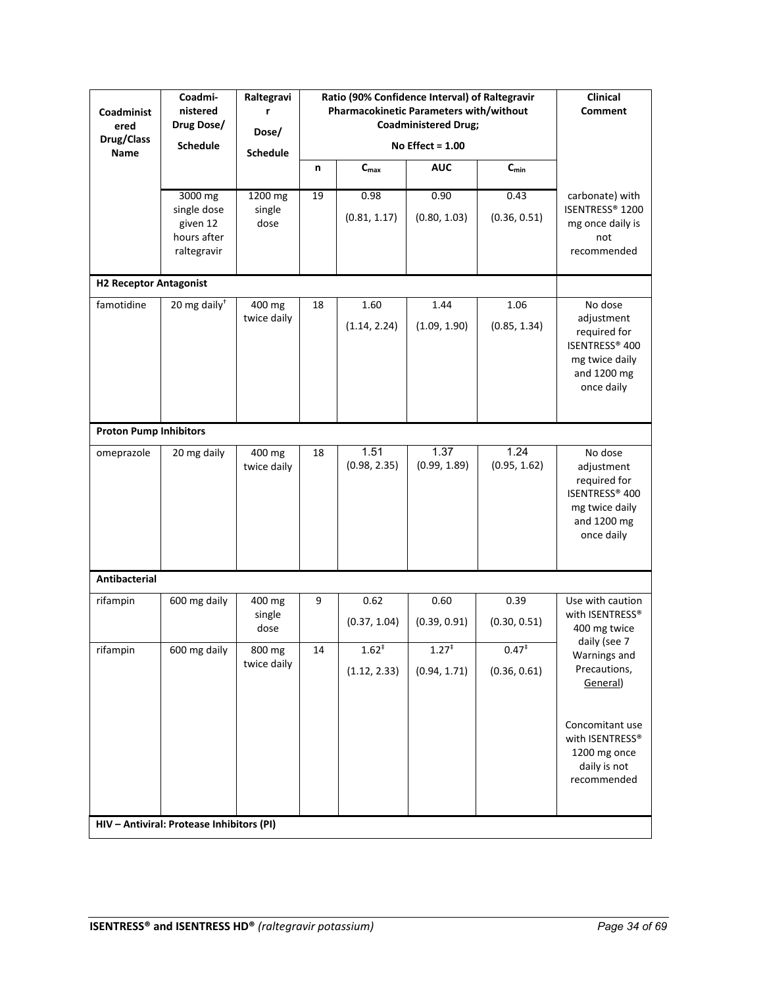| Coadminist<br>ered<br>Drug/Class<br>Name | Coadmi-<br>nistered<br>Drug Dose/<br><b>Schedule</b>             | Raltegravi<br>Dose/<br><b>Schedule</b> |    | Ratio (90% Confidence Interval) of Raltegravir<br>Pharmacokinetic Parameters with/without | <b>Coadministered Drug;</b><br>No Effect = $1.00$ |                          | Clinical<br><b>Comment</b>                                                                             |
|------------------------------------------|------------------------------------------------------------------|----------------------------------------|----|-------------------------------------------------------------------------------------------|---------------------------------------------------|--------------------------|--------------------------------------------------------------------------------------------------------|
|                                          |                                                                  |                                        | n  | $C_{\text{max}}$                                                                          | <b>AUC</b>                                        | $C_{min}$                |                                                                                                        |
|                                          | 3000 mg<br>single dose<br>given 12<br>hours after<br>raltegravir | 1200 mg<br>single<br>dose              | 19 | 0.98<br>(0.81, 1.17)                                                                      | 0.90<br>(0.80, 1.03)                              | 0.43<br>(0.36, 0.51)     | carbonate) with<br>ISENTRESS® 1200<br>mg once daily is<br>not<br>recommended                           |
| <b>H2 Receptor Antagonist</b>            |                                                                  |                                        |    |                                                                                           |                                                   |                          |                                                                                                        |
| famotidine                               | 20 mg daily <sup>+</sup>                                         | 400 mg<br>twice daily                  | 18 | 1.60<br>(1.14, 2.24)                                                                      | 1.44<br>(1.09, 1.90)                              | 1.06<br>(0.85, 1.34)     | No dose<br>adjustment<br>required for<br>ISENTRESS® 400<br>mg twice daily<br>and 1200 mg<br>once daily |
| <b>Proton Pump Inhibitors</b>            |                                                                  |                                        |    |                                                                                           |                                                   |                          |                                                                                                        |
| omeprazole                               | 20 mg daily                                                      | 400 mg<br>twice daily                  | 18 | 1.51<br>(0.98, 2.35)                                                                      | 1.37<br>(0.99, 1.89)                              | 1.24<br>(0.95, 1.62)     | No dose<br>adjustment<br>required for<br>ISENTRESS® 400<br>mg twice daily<br>and 1200 mg<br>once daily |
| Antibacterial                            |                                                                  |                                        |    |                                                                                           |                                                   |                          |                                                                                                        |
| rifampin                                 | 600 mg daily                                                     | 400 mg<br>single<br>dose               | 9  | 0.62<br>(0.37, 1.04)                                                                      | 0.60<br>(0.39, 0.91)                              | 0.39<br>(0.30, 0.51)     | Use with caution<br>with ISENTRESS®<br>400 mg twice<br>daily (see 7                                    |
| rifampin                                 | 600 mg daily                                                     | 800 mg<br>twice daily                  | 14 | $1.62^{*}$<br>(1.12, 2.33)                                                                | $1.27^{+}$<br>(0.94, 1.71)                        | $0.47^*$<br>(0.36, 0.61) | Warnings and<br>Precautions,<br>General)                                                               |
|                                          | HIV - Antiviral: Protease Inhibitors (PI)                        |                                        |    |                                                                                           |                                                   |                          | Concomitant use<br>with ISENTRESS®<br>1200 mg once<br>daily is not<br>recommended                      |
|                                          |                                                                  |                                        |    |                                                                                           |                                                   |                          |                                                                                                        |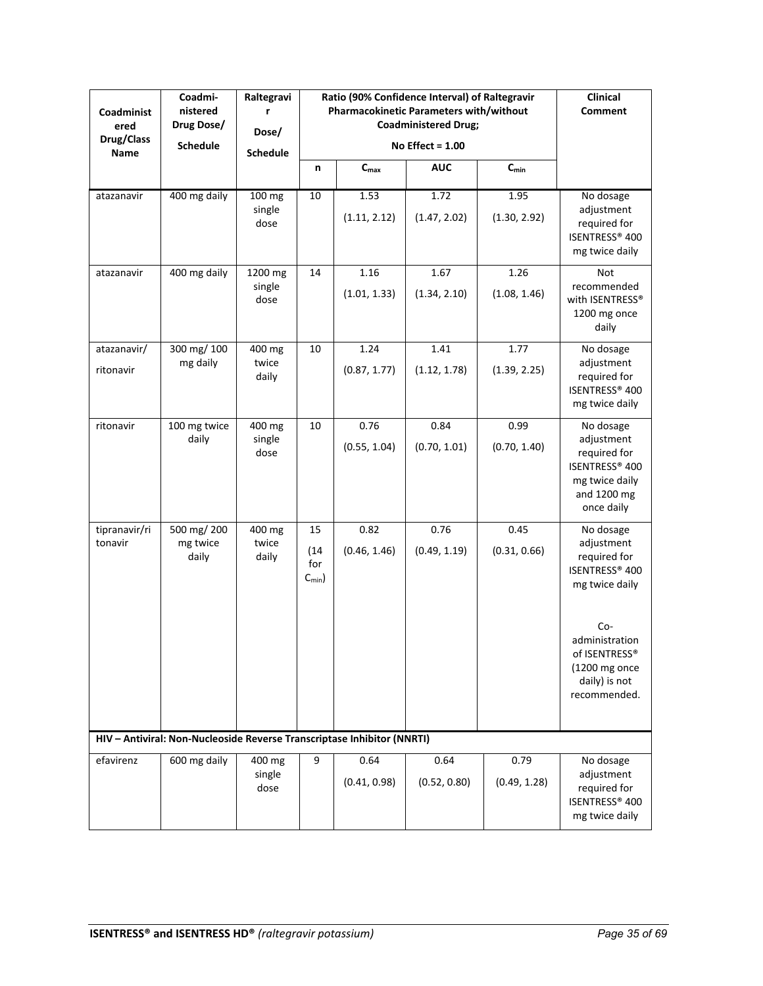| Coadminist<br>ered<br>Drug/Class<br>Name | Coadmi-<br>nistered<br>Drug Dose/<br><b>Schedule</b>                    | Raltegravi<br>Dose/<br><b>Schedule</b> |                                         | Ratio (90% Confidence Interval) of Raltegravir<br>Pharmacokinetic Parameters with/without<br><b>Coadministered Drug;</b><br>No Effect = $1.00$ |                      | Clinical<br><b>Comment</b> |                                                                                                                                                                           |
|------------------------------------------|-------------------------------------------------------------------------|----------------------------------------|-----------------------------------------|------------------------------------------------------------------------------------------------------------------------------------------------|----------------------|----------------------------|---------------------------------------------------------------------------------------------------------------------------------------------------------------------------|
|                                          |                                                                         |                                        | n                                       | $C_{\text{max}}$                                                                                                                               | <b>AUC</b>           | $C_{min}$                  |                                                                                                                                                                           |
| atazanavir                               | 400 mg daily                                                            | 100 mg<br>single<br>dose               | 10                                      | 1.53<br>(1.11, 2.12)                                                                                                                           | 1.72<br>(1.47, 2.02) | 1.95<br>(1.30, 2.92)       | No dosage<br>adjustment<br>required for<br>ISENTRESS® 400<br>mg twice daily                                                                                               |
| atazanavir                               | 400 mg daily                                                            | 1200 mg<br>single<br>dose              | 14                                      | 1.16<br>(1.01, 1.33)                                                                                                                           | 1.67<br>(1.34, 2.10) | 1.26<br>(1.08, 1.46)       | Not<br>recommended<br>with ISENTRESS®<br>1200 mg once<br>daily                                                                                                            |
| atazanavir/<br>ritonavir                 | 300 mg/ 100<br>mg daily                                                 | 400 mg<br>twice<br>daily               | 10                                      | 1.24<br>(0.87, 1.77)                                                                                                                           | 1.41<br>(1.12, 1.78) | 1.77<br>(1.39, 2.25)       | No dosage<br>adjustment<br>required for<br>ISENTRESS® 400<br>mg twice daily                                                                                               |
| ritonavir                                | 100 mg twice<br>daily                                                   | 400 mg<br>single<br>dose               | 10                                      | 0.76<br>(0.55, 1.04)                                                                                                                           | 0.84<br>(0.70, 1.01) | 0.99<br>(0.70, 1.40)       | No dosage<br>adjustment<br>required for<br>ISENTRESS® 400<br>mg twice daily<br>and 1200 mg<br>once daily                                                                  |
| tipranavir/ri<br>tonavir                 | 500 mg/ 200<br>mg twice<br>daily                                        | 400 mg<br>twice<br>daily               | 15<br>(14)<br>for<br>$C_{\text{min}}$ ) | 0.82<br>(0.46, 1.46)                                                                                                                           | 0.76<br>(0.49, 1.19) | 0.45<br>(0.31, 0.66)       | No dosage<br>adjustment<br>required for<br>ISENTRESS® 400<br>mg twice daily<br>$Co-$<br>administration<br>of ISENTRESS®<br>(1200 mg once<br>daily) is not<br>recommended. |
|                                          | HIV - Antiviral: Non-Nucleoside Reverse Transcriptase Inhibitor (NNRTI) |                                        |                                         |                                                                                                                                                |                      |                            |                                                                                                                                                                           |
| efavirenz                                | 600 mg daily                                                            | 400 mg<br>single<br>dose               | 9                                       | 0.64<br>(0.41, 0.98)                                                                                                                           | 0.64<br>(0.52, 0.80) | 0.79<br>(0.49, 1.28)       | No dosage<br>adjustment<br>required for<br>ISENTRESS® 400<br>mg twice daily                                                                                               |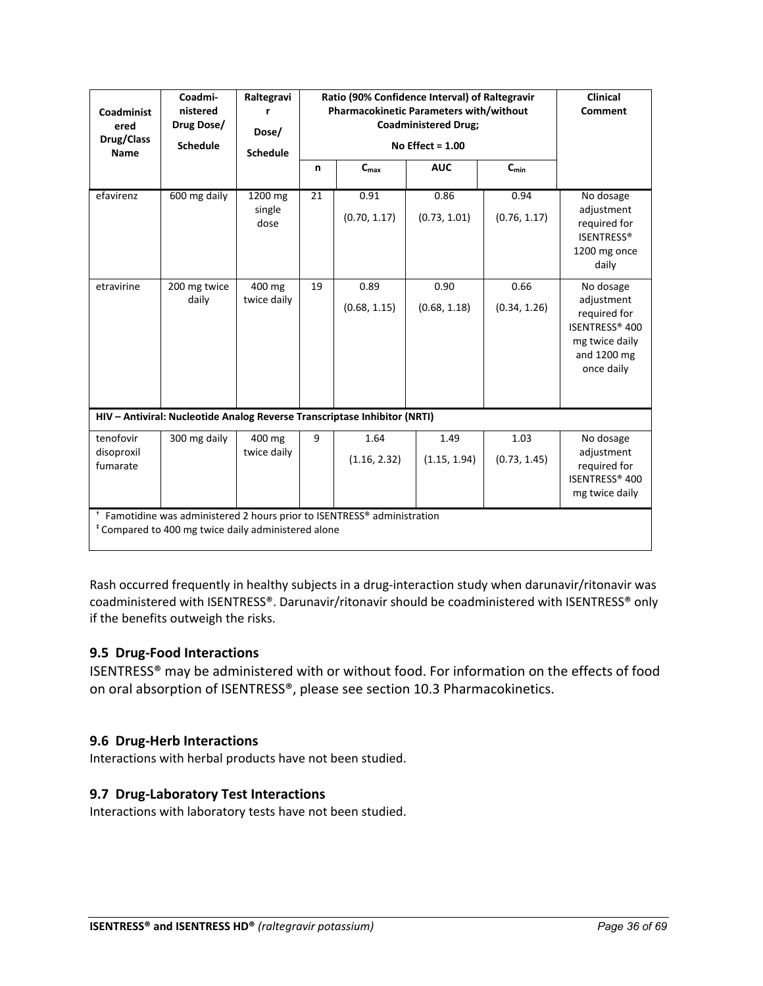| Coadminist<br>ered<br>Drug/Class<br><b>Name</b> | Coadmi-<br>nistered<br>Drug Dose/<br><b>Schedule</b>                                                                                                  | Raltegravi<br>r<br>Dose/<br><b>Schedule</b> |    | Ratio (90% Confidence Interval) of Raltegravir<br>Pharmacokinetic Parameters with/without<br><b>Coadministered Drug;</b><br>No Effect = $1.00$ | <b>Clinical</b><br>Comment |                      |                                                                                                          |
|-------------------------------------------------|-------------------------------------------------------------------------------------------------------------------------------------------------------|---------------------------------------------|----|------------------------------------------------------------------------------------------------------------------------------------------------|----------------------------|----------------------|----------------------------------------------------------------------------------------------------------|
|                                                 |                                                                                                                                                       |                                             | n  | $\mathbf{C}_{\text{max}}$                                                                                                                      | <b>AUC</b>                 | $C_{min}$            |                                                                                                          |
| efavirenz                                       | 600 mg daily                                                                                                                                          | 1200 mg<br>single<br>dose                   | 21 | 0.91<br>(0.70, 1.17)                                                                                                                           | 0.86<br>(0.73, 1.01)       | 0.94<br>(0.76, 1.17) | No dosage<br>adjustment<br>required for<br><b>ISENTRESS®</b><br>1200 mg once<br>daily                    |
| etravirine                                      | 200 mg twice<br>daily                                                                                                                                 | 400 mg<br>twice daily                       | 19 | 0.89<br>(0.68, 1.15)                                                                                                                           | 0.90<br>(0.68, 1.18)       | 0.66<br>(0.34, 1.26) | No dosage<br>adjustment<br>required for<br>ISENTRESS® 400<br>mg twice daily<br>and 1200 mg<br>once daily |
|                                                 | HIV - Antiviral: Nucleotide Analog Reverse Transcriptase Inhibitor (NRTI)                                                                             |                                             |    |                                                                                                                                                |                            |                      |                                                                                                          |
| tenofovir<br>disoproxil<br>fumarate             | 300 mg daily                                                                                                                                          | 400 mg<br>twice daily                       | 9  | 1.64<br>(1.16, 2.32)                                                                                                                           | 1.49<br>(1.15, 1.94)       | 1.03<br>(0.73, 1.45) | No dosage<br>adjustment<br>required for<br>ISENTRESS® 400<br>mg twice daily                              |
|                                                 | <sup>†</sup> Famotidine was administered 2 hours prior to ISENTRESS® administration<br><sup>‡</sup> Compared to 400 mg twice daily administered alone |                                             |    |                                                                                                                                                |                            |                      |                                                                                                          |

Rash occurred frequently in healthy subjects in a drug-interaction study when darunavir/ritonavir was coadministered with ISENTRESS®. Darunavir/ritonavir should be coadministered with ISENTRESS® only if the benefits outweigh the risks.

## <span id="page-35-0"></span>**9.5 Drug-Food Interactions**

ISENTRESS® may be administered with or without food. For information on the effects of food on oral absorption of ISENTRESS®, please see section 10.3 Pharmacokinetics.

## <span id="page-35-1"></span>**9.6 Drug-Herb Interactions**

Interactions with herbal products have not been studied.

## <span id="page-35-2"></span>**9.7 Drug-Laboratory Test Interactions**

Interactions with laboratory tests have not been studied.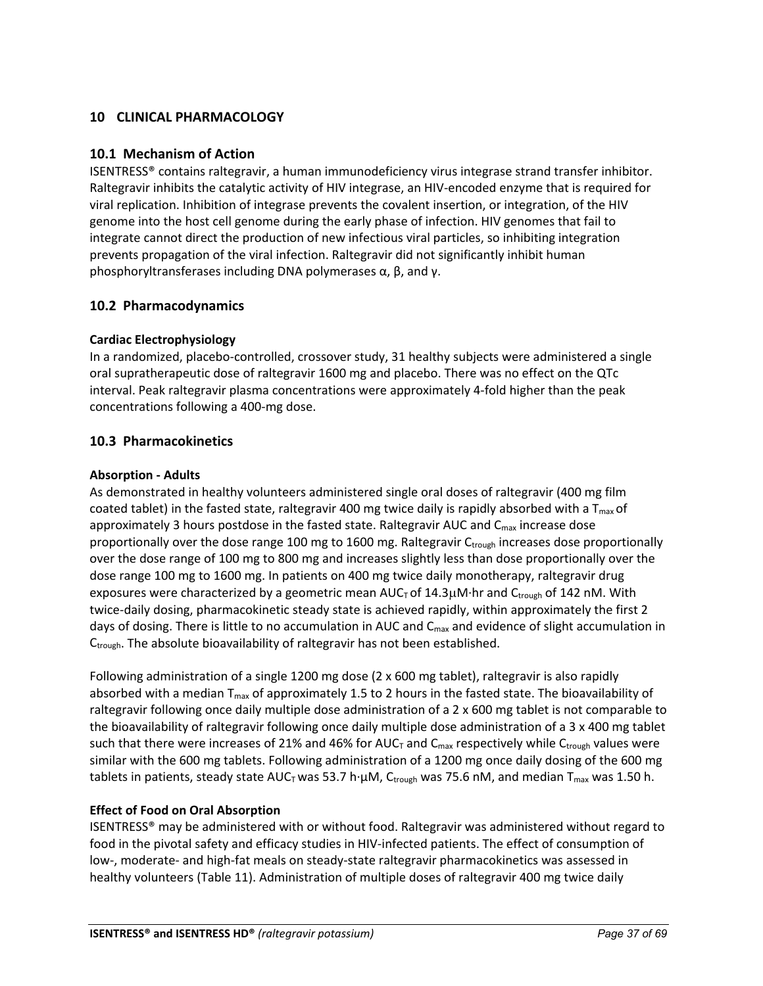## <span id="page-36-0"></span>**10 CLINICAL PHARMACOLOGY**

## <span id="page-36-1"></span>**10.1 Mechanism of Action**

ISENTRESS® contains raltegravir, a human immunodeficiency virus integrase strand transfer inhibitor. Raltegravir inhibits the catalytic activity of HIV integrase, an HIV-encoded enzyme that is required for viral replication. Inhibition of integrase prevents the covalent insertion, or integration, of the HIV genome into the host cell genome during the early phase of infection. HIV genomes that fail to integrate cannot direct the production of new infectious viral particles, so inhibiting integration prevents propagation of the viral infection. Raltegravir did not significantly inhibit human phosphoryltransferases including DNA polymerases α, β, and γ.

## <span id="page-36-2"></span>**10.2 Pharmacodynamics**

## **Cardiac Electrophysiology**

In a randomized, placebo-controlled, crossover study, 31 healthy subjects were administered a single oral supratherapeutic dose of raltegravir 1600 mg and placebo. There was no effect on the QTc interval. Peak raltegravir plasma concentrations were approximately 4-fold higher than the peak concentrations following a 400-mg dose.

## <span id="page-36-3"></span>**10.3 Pharmacokinetics**

## **Absorption - Adults**

As demonstrated in healthy volunteers administered single oral doses of raltegravir (400 mg film coated tablet) in the fasted state, raltegravir 400 mg twice daily is rapidly absorbed with a  $T_{\text{max}}$  of approximately 3 hours postdose in the fasted state. Raltegravir AUC and  $C_{\text{max}}$  increase dose proportionally over the dose range 100 mg to 1600 mg. Raltegravir Ctrough increases dose proportionally over the dose range of 100 mg to 800 mg and increases slightly less than dose proportionally over the dose range 100 mg to 1600 mg. In patients on 400 mg twice daily monotherapy, raltegravir drug exposures were characterized by a geometric mean  $AUC<sub>T</sub>$  of 14.3 $\mu$ M·hr and C<sub>trough</sub> of 142 nM. With twice-daily dosing, pharmacokinetic steady state is achieved rapidly, within approximately the first 2 days of dosing. There is little to no accumulation in AUC and  $C_{\text{max}}$  and evidence of slight accumulation in C<sub>trough</sub>. The absolute bioavailability of raltegravir has not been established.

Following administration of a single 1200 mg dose (2 x 600 mg tablet), raltegravir is also rapidly absorbed with a median  $T_{max}$  of approximately 1.5 to 2 hours in the fasted state. The bioavailability of raltegravir following once daily multiple dose administration of a 2 x 600 mg tablet is not comparable to the bioavailability of raltegravir following once daily multiple dose administration of a 3 x 400 mg tablet such that there were increases of 21% and 46% for AUC $_T$  and  $C_{max}$  respectively while  $C_{trought}$  values were similar with the 600 mg tablets. Following administration of a 1200 mg once daily dosing of the 600 mg tablets in patients, steady state AUC<sub>T</sub> was 53.7 h· $\mu$ M, C<sub>trough</sub> was 75.6 nM, and median T<sub>max</sub> was 1.50 h.

## **Effect of Food on Oral Absorption**

ISENTRESS® may be administered with or without food. Raltegravir was administered without regard to food in the pivotal safety and efficacy studies in HIV-infected patients. The effect of consumption of low-, moderate- and high-fat meals on steady-state raltegravir pharmacokinetics was assessed in healthy volunteers (Table 11). Administration of multiple doses of raltegravir 400 mg twice daily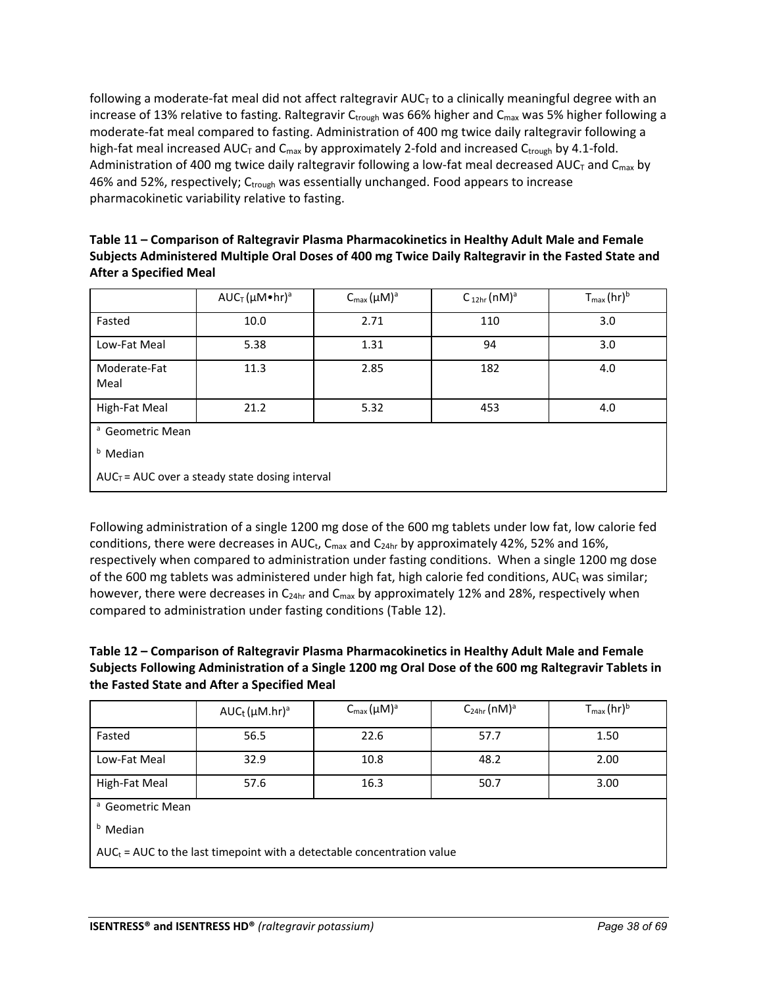following a moderate-fat meal did not affect raltegravir  $AUC<sub>T</sub>$  to a clinically meaningful degree with an increase of 13% relative to fasting. Raltegravir  $C_{\text{trough}}$  was 66% higher and  $C_{\text{max}}$  was 5% higher following a moderate-fat meal compared to fasting. Administration of 400 mg twice daily raltegravir following a high-fat meal increased AUC<sub>T</sub> and C<sub>max</sub> by approximately 2-fold and increased C<sub>trough</sub> by 4.1-fold. Administration of 400 mg twice daily raltegravir following a low-fat meal decreased AUC<sub>T</sub> and C<sub>max</sub> by 46% and 52%, respectively;  $C_{\text{trought}}$  was essentially unchanged. Food appears to increase pharmacokinetic variability relative to fasting.

| Table 11 – Comparison of Raltegravir Plasma Pharmacokinetics in Healthy Adult Male and Female       |
|-----------------------------------------------------------------------------------------------------|
| Subjects Administered Multiple Oral Doses of 400 mg Twice Daily Raltegravir in the Fasted State and |
| After a Specified Meal                                                                              |

|                             | $AUC_T(\mu M\bullet hr)^a$                        | $C_{\text{max}}(\mu M)^a$ | $C_{12hr}$ (nM) <sup>a</sup> | $T_{max}(hr)^b$ |
|-----------------------------|---------------------------------------------------|---------------------------|------------------------------|-----------------|
| Fasted                      | 10.0                                              | 2.71                      | 110                          | 3.0             |
| Low-Fat Meal                | 5.38                                              | 1.31                      | 94                           | 3.0             |
| Moderate-Fat<br>Meal        | 11.3                                              | 2.85                      | 182                          | 4.0             |
| High-Fat Meal               | 21.2                                              | 5.32                      | 453                          | 4.0             |
| <sup>a</sup> Geometric Mean |                                                   |                           |                              |                 |
| <sup>b</sup> Median         |                                                   |                           |                              |                 |
|                             | $AUC_T = AUC$ over a steady state dosing interval |                           |                              |                 |

Following administration of a single 1200 mg dose of the 600 mg tablets under low fat, low calorie fed conditions, there were decreases in AUC<sub>t</sub>, C<sub>max</sub> and C<sub>24hr</sub> by approximately 42%, 52% and 16%, respectively when compared to administration under fasting conditions. When a single 1200 mg dose of the 600 mg tablets was administered under high fat, high calorie fed conditions,  $AUC_t$  was similar; however, there were decreases in  $C_{24hr}$  and  $C_{max}$  by approximately 12% and 28%, respectively when compared to administration under fasting conditions (Table 12).

## **Table 12 – Comparison of Raltegravir Plasma Pharmacokinetics in Healthy Adult Male and Female Subjects Following Administration of a Single 1200 mg Oral Dose of the 600 mg Raltegravir Tablets in the Fasted State and After a Specified Meal**

|               | $AUC_t (\mu M.hr)^a$ | $C_{\text{max}}(\mu M)^a$ | $C_{24hr}$ (nM) <sup>a</sup> | $T_{\text{max}}$ (hr) <sup>b</sup> |
|---------------|----------------------|---------------------------|------------------------------|------------------------------------|
| Fasted        | 56.5                 | 22.6                      | 57.7                         | 1.50                               |
| Low-Fat Meal  | 32.9                 | 10.8                      | 48.2                         | 2.00                               |
| High-Fat Meal | 57.6                 | 16.3                      | 50.7                         | 3.00                               |

a Geometric Mean

**b** Median

 $AUC_t = AUC$  to the last timepoint with a detectable concentration value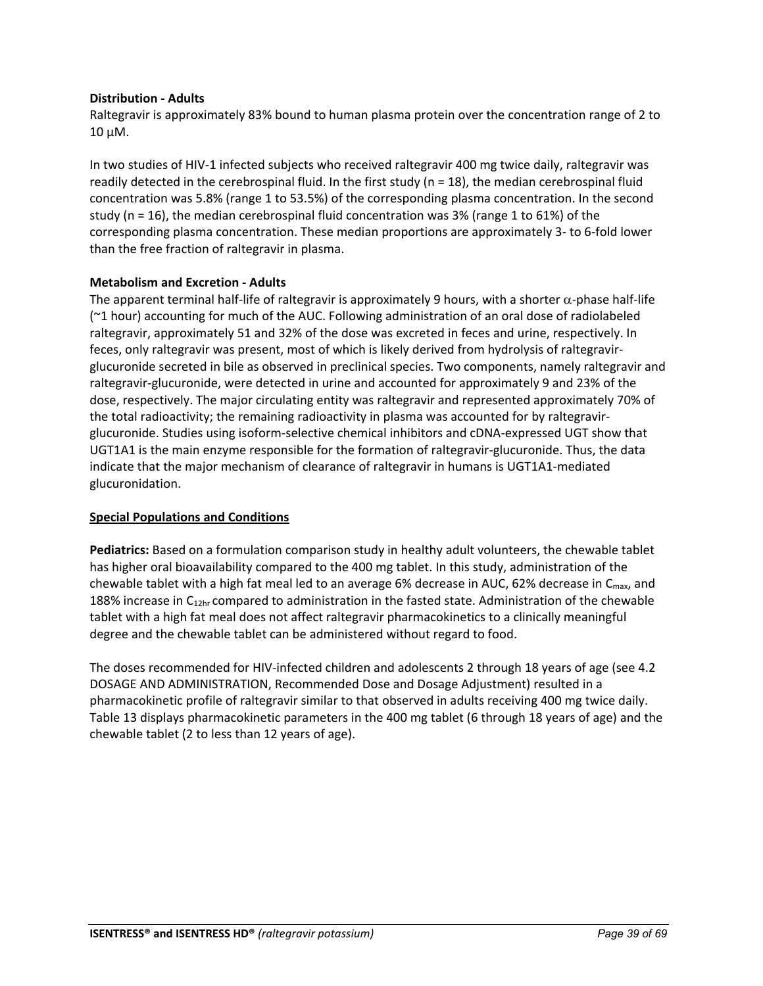## **Distribution - Adults**

Raltegravir is approximately 83% bound to human plasma protein over the concentration range of 2 to  $10 \mu M$ .

In two studies of HIV-1 infected subjects who received raltegravir 400 mg twice daily, raltegravir was readily detected in the cerebrospinal fluid. In the first study ( $n = 18$ ), the median cerebrospinal fluid concentration was 5.8% (range 1 to 53.5%) of the corresponding plasma concentration. In the second study (n = 16), the median cerebrospinal fluid concentration was 3% (range 1 to 61%) of the corresponding plasma concentration. These median proportions are approximately 3- to 6-fold lower than the free fraction of raltegravir in plasma.

## **Metabolism and Excretion - Adults**

The apparent terminal half-life of raltegravir is approximately 9 hours, with a shorter α-phase half-life (~1 hour) accounting for much of the AUC. Following administration of an oral dose of radiolabeled raltegravir, approximately 51 and 32% of the dose was excreted in feces and urine, respectively. In feces, only raltegravir was present, most of which is likely derived from hydrolysis of raltegravirglucuronide secreted in bile as observed in preclinical species. Two components, namely raltegravir and raltegravir-glucuronide, were detected in urine and accounted for approximately 9 and 23% of the dose, respectively. The major circulating entity was raltegravir and represented approximately 70% of the total radioactivity; the remaining radioactivity in plasma was accounted for by raltegravirglucuronide. Studies using isoform-selective chemical inhibitors and cDNA-expressed UGT show that UGT1A1 is the main enzyme responsible for the formation of raltegravir-glucuronide. Thus, the data indicate that the major mechanism of clearance of raltegravir in humans is UGT1A1-mediated glucuronidation.

## **Special Populations and Conditions**

**Pediatrics:** Based on a formulation comparison study in healthy adult volunteers, the chewable tablet has higher oral bioavailability compared to the 400 mg tablet. In this study, administration of the chewable tablet with a high fat meal led to an average 6% decrease in AUC, 62% decrease in  $C_{\text{max}}$ , and 188% increase in  $C_{12hr}$  compared to administration in the fasted state. Administration of the chewable tablet with a high fat meal does not affect raltegravir pharmacokinetics to a clinically meaningful degree and the chewable tablet can be administered without regard to food.

The doses recommended for HIV-infected children and adolescents 2 through 18 years of age (see 4.2 DOSAGE AND ADMINISTRATION, Recommended Dose and Dosage Adjustment) resulted in a pharmacokinetic profile of raltegravir similar to that observed in adults receiving 400 mg twice daily. Table 13 displays pharmacokinetic parameters in the 400 mg tablet (6 through 18 years of age) and the chewable tablet (2 to less than 12 years of age).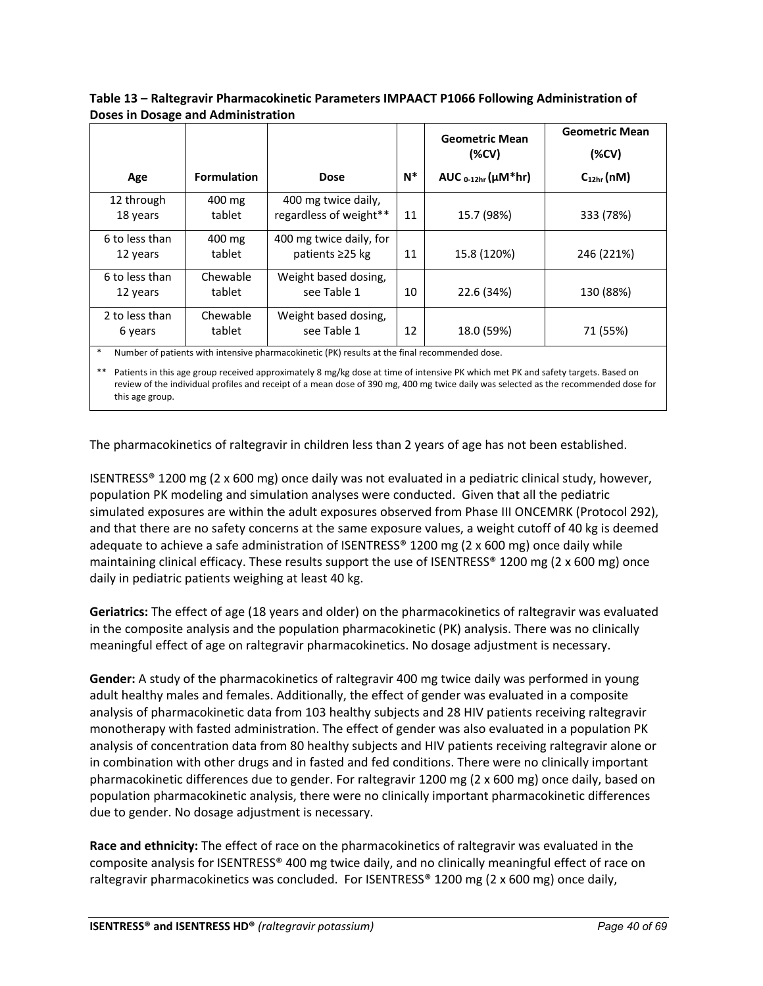|                            |                    |                                               |       | <b>Geometric Mean</b><br>( <b>W</b> ) | <b>Geometric Mean</b><br>( <b>W</b> ) |
|----------------------------|--------------------|-----------------------------------------------|-------|---------------------------------------|---------------------------------------|
| Age                        | <b>Formulation</b> | <b>Dose</b>                                   | $N^*$ | AUC $_{0-12hr}$ ( $\mu$ M*hr)         | $C_{12hr}$ (nM)                       |
| 12 through<br>18 years     | 400 mg<br>tablet   | 400 mg twice daily,<br>regardless of weight** | 11    | 15.7 (98%)                            | 333 (78%)                             |
| 6 to less than<br>12 years | 400 mg<br>tablet   | 400 mg twice daily, for<br>patients ≥25 kg    | 11    | 15.8 (120%)                           | 246 (221%)                            |
| 6 to less than<br>12 years | Chewable<br>tablet | Weight based dosing,<br>see Table 1           | 10    | 22.6 (34%)                            | 130 (88%)                             |
| 2 to less than<br>6 years  | Chewable<br>tablet | Weight based dosing,<br>see Table 1           | 12    | 18.0 (59%)                            | 71 (55%)                              |

**Table 13 – Raltegravir Pharmacokinetic Parameters IMPAACT P1066 Following Administration of Doses in Dosage and Administration**

Number of patients with intensive pharmacokinetic (PK) results at the final recommended dose.

\*\* Patients in this age group received approximately 8 mg/kg dose at time of intensive PK which met PK and safety targets. Based on review of the individual profiles and receipt of a mean dose of 390 mg, 400 mg twice daily was selected as the recommended dose for this age group.

The pharmacokinetics of raltegravir in children less than 2 years of age has not been established.

ISENTRESS® 1200 mg (2 x 600 mg) once daily was not evaluated in a pediatric clinical study, however, population PK modeling and simulation analyses were conducted. Given that all the pediatric simulated exposures are within the adult exposures observed from Phase III ONCEMRK (Protocol 292), and that there are no safety concerns at the same exposure values, a weight cutoff of 40 kg is deemed adequate to achieve a safe administration of ISENTRESS® 1200 mg (2 x 600 mg) once daily while maintaining clinical efficacy. These results support the use of ISENTRESS® 1200 mg (2 x 600 mg) once daily in pediatric patients weighing at least 40 kg.

**Geriatrics:** The effect of age (18 years and older) on the pharmacokinetics of raltegravir was evaluated in the composite analysis and the population pharmacokinetic (PK) analysis. There was no clinically meaningful effect of age on raltegravir pharmacokinetics. No dosage adjustment is necessary.

**Gender:** A study of the pharmacokinetics of raltegravir 400 mg twice daily was performed in young adult healthy males and females. Additionally, the effect of gender was evaluated in a composite analysis of pharmacokinetic data from 103 healthy subjects and 28 HIV patients receiving raltegravir monotherapy with fasted administration. The effect of gender was also evaluated in a population PK analysis of concentration data from 80 healthy subjects and HIV patients receiving raltegravir alone or in combination with other drugs and in fasted and fed conditions. There were no clinically important pharmacokinetic differences due to gender. For raltegravir 1200 mg (2 x 600 mg) once daily, based on population pharmacokinetic analysis, there were no clinically important pharmacokinetic differences due to gender. No dosage adjustment is necessary.

**Race and ethnicity:** The effect of race on the pharmacokinetics of raltegravir was evaluated in the composite analysis for ISENTRESS® 400 mg twice daily, and no clinically meaningful effect of race on raltegravir pharmacokinetics was concluded. For ISENTRESS® 1200 mg (2 x 600 mg) once daily,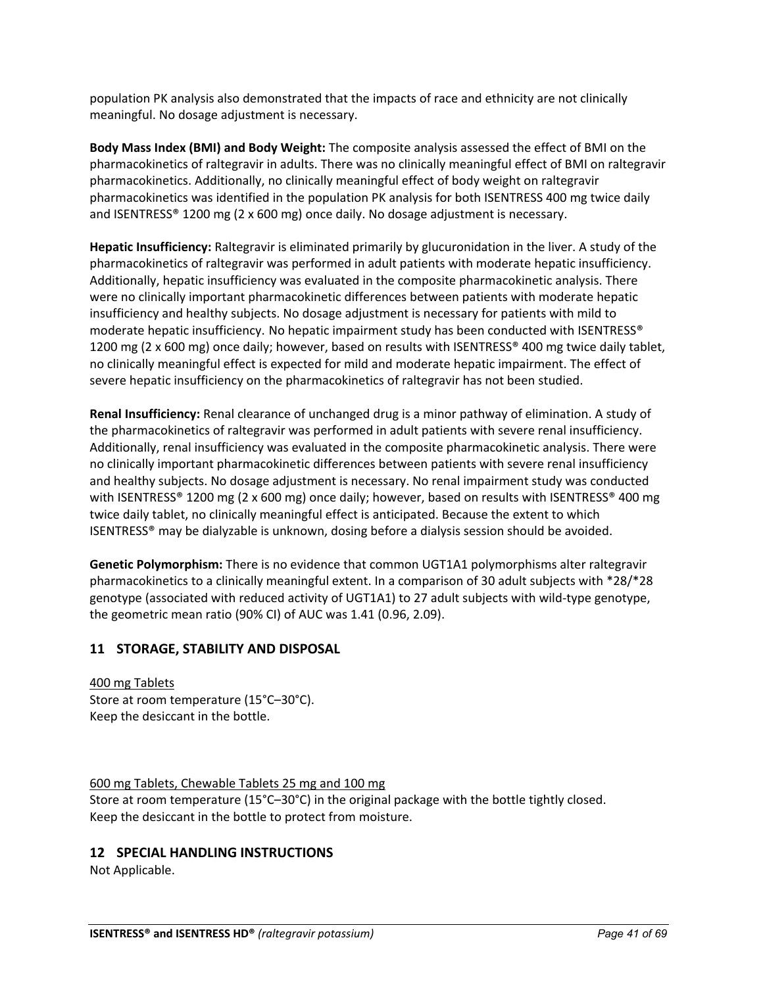population PK analysis also demonstrated that the impacts of race and ethnicity are not clinically meaningful. No dosage adjustment is necessary.

**Body Mass Index (BMI) and Body Weight:** The composite analysis assessed the effect of BMI on the pharmacokinetics of raltegravir in adults. There was no clinically meaningful effect of BMI on raltegravir pharmacokinetics. Additionally, no clinically meaningful effect of body weight on raltegravir pharmacokinetics was identified in the population PK analysis for both ISENTRESS 400 mg twice daily and ISENTRESS® 1200 mg (2 x 600 mg) once daily. No dosage adjustment is necessary.

**Hepatic Insufficiency:** Raltegravir is eliminated primarily by glucuronidation in the liver. A study of the pharmacokinetics of raltegravir was performed in adult patients with moderate hepatic insufficiency. Additionally, hepatic insufficiency was evaluated in the composite pharmacokinetic analysis. There were no clinically important pharmacokinetic differences between patients with moderate hepatic insufficiency and healthy subjects. No dosage adjustment is necessary for patients with mild to moderate hepatic insufficiency. No hepatic impairment study has been conducted with ISENTRESS® 1200 mg (2 x 600 mg) once daily; however, based on results with ISENTRESS® 400 mg twice daily tablet, no clinically meaningful effect is expected for mild and moderate hepatic impairment. The effect of severe hepatic insufficiency on the pharmacokinetics of raltegravir has not been studied.

**Renal Insufficiency:** Renal clearance of unchanged drug is a minor pathway of elimination. A study of the pharmacokinetics of raltegravir was performed in adult patients with severe renal insufficiency. Additionally, renal insufficiency was evaluated in the composite pharmacokinetic analysis. There were no clinically important pharmacokinetic differences between patients with severe renal insufficiency and healthy subjects. No dosage adjustment is necessary. No renal impairment study was conducted with ISENTRESS® 1200 mg (2 x 600 mg) once daily; however, based on results with ISENTRESS® 400 mg twice daily tablet, no clinically meaningful effect is anticipated. Because the extent to which ISENTRESS® may be dialyzable is unknown, dosing before a dialysis session should be avoided.

**Genetic Polymorphism:** There is no evidence that common UGT1A1 polymorphisms alter raltegravir pharmacokinetics to a clinically meaningful extent. In a comparison of 30 adult subjects with \*28/\*28 genotype (associated with reduced activity of UGT1A1) to 27 adult subjects with wild-type genotype, the geometric mean ratio (90% CI) of AUC was 1.41 (0.96, 2.09).

## <span id="page-40-0"></span>**11 STORAGE, STABILITY AND DISPOSAL**

400 mg Tablets Store at room temperature (15°C–30°C). Keep the desiccant in the bottle.

600 mg Tablets, Chewable Tablets 25 mg and 100 mg Store at room temperature (15°C–30°C) in the original package with the bottle tightly closed. Keep the desiccant in the bottle to protect from moisture.

## <span id="page-40-1"></span>**12 SPECIAL HANDLING INSTRUCTIONS**

Not Applicable.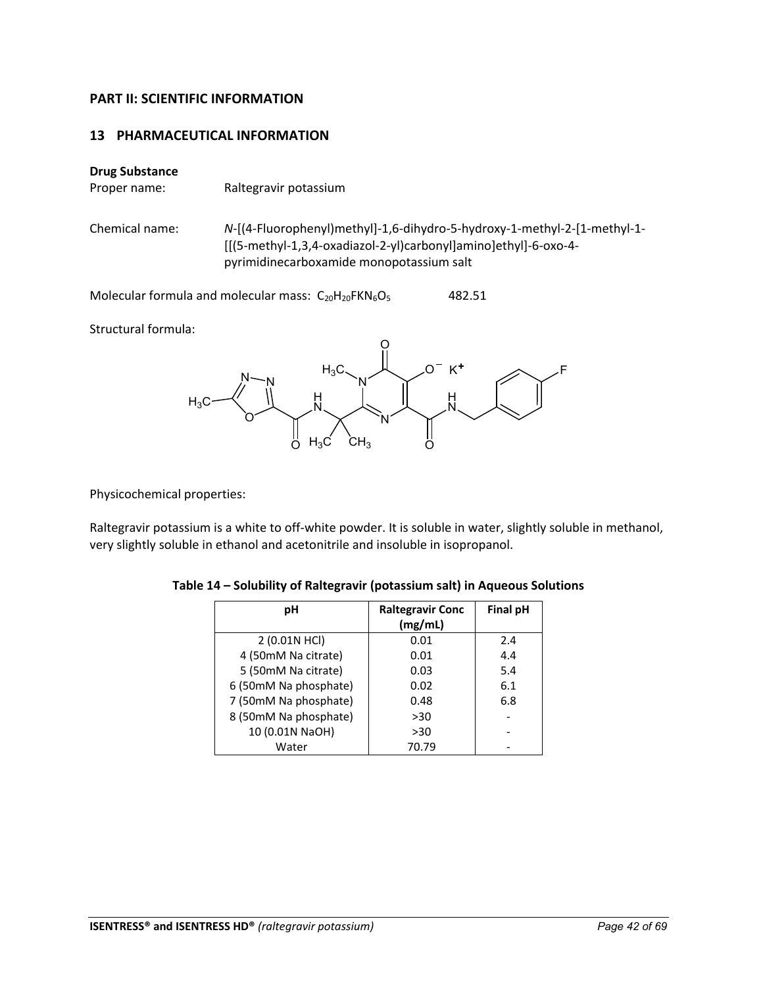## <span id="page-41-0"></span>**PART II: SCIENTIFIC INFORMATION**

## <span id="page-41-1"></span>**13 PHARMACEUTICAL INFORMATION**

## **Drug Substance**

Proper name: Raltegravir potassium

Chemical name: *N*-[(4-Fluorophenyl)methyl]-1,6-dihydro-5-hydroxy-1-methyl-2-[1-methyl-1- [[(5-methyl-1,3,4-oxadiazol-2-yl)carbonyl]amino]ethyl]-6-oxo-4 pyrimidinecarboxamide monopotassium salt

Molecular formula and molecular mass:  $C_{20}H_{20}FKN_6O_5$  482.51

Structural formula:



Physicochemical properties:

Raltegravir potassium is a white to off-white powder. It is soluble in water, slightly soluble in methanol, very slightly soluble in ethanol and acetonitrile and insoluble in isopropanol.

| рH                    | <b>Raltegravir Conc</b> | <b>Final pH</b> |
|-----------------------|-------------------------|-----------------|
|                       | (mg/mL)                 |                 |
| 2 (0.01N HCl)         | 0.01                    | 2.4             |
| 4 (50mM Na citrate)   | 0.01                    | 4.4             |
| 5 (50mM Na citrate)   | 0.03                    | 5.4             |
| 6 (50mM Na phosphate) | 0.02                    | 6.1             |
| 7 (50mM Na phosphate) | 0.48                    | 6.8             |
| 8 (50mM Na phosphate) | >30                     |                 |
| 10 (0.01N NaOH)       | >30                     |                 |
| Water                 | 70.79                   |                 |

**Table 14 – Solubility of Raltegravir (potassium salt) in Aqueous Solutions**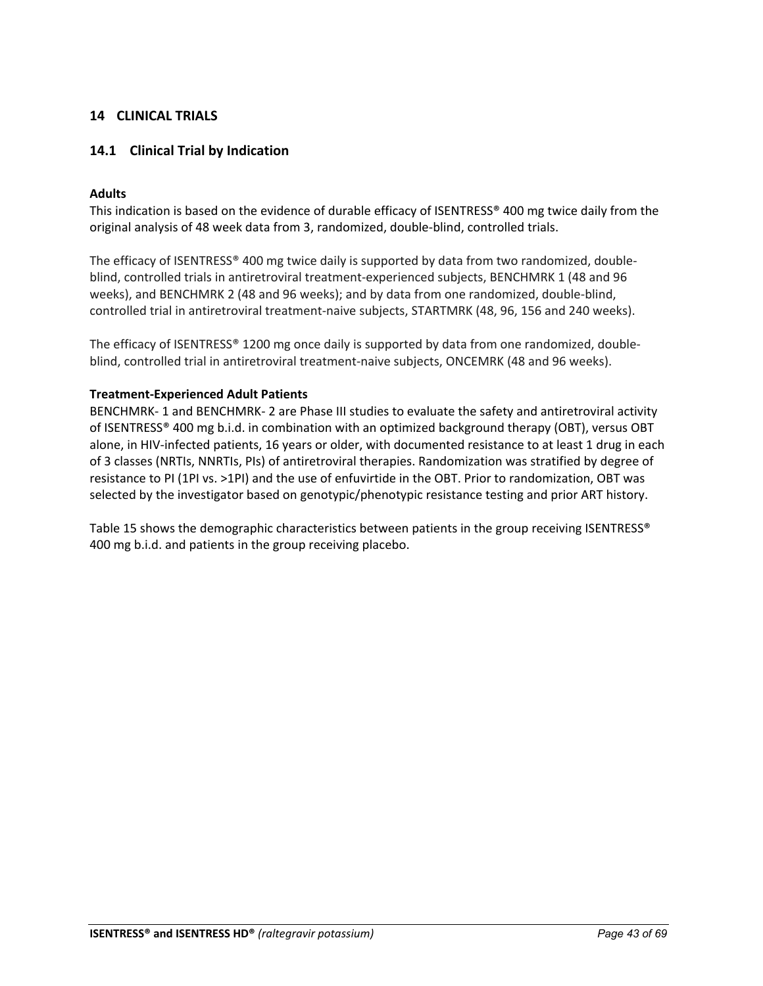## <span id="page-42-0"></span>**14 CLINICAL TRIALS**

## <span id="page-42-1"></span>**14.1 Clinical Trial by Indication**

## **Adults**

This indication is based on the evidence of durable efficacy of ISENTRESS® 400 mg twice daily from the original analysis of 48 week data from 3, randomized, double-blind, controlled trials.

The efficacy of ISENTRESS® 400 mg twice daily is supported by data from two randomized, doubleblind, controlled trials in antiretroviral treatment-experienced subjects, BENCHMRK 1 (48 and 96 weeks), and BENCHMRK 2 (48 and 96 weeks); and by data from one randomized, double-blind, controlled trial in antiretroviral treatment-naive subjects, STARTMRK (48, 96, 156 and 240 weeks).

The efficacy of ISENTRESS® 1200 mg once daily is supported by data from one randomized, doubleblind, controlled trial in antiretroviral treatment-naive subjects, ONCEMRK (48 and 96 weeks).

## **Treatment-Experienced Adult Patients**

BENCHMRK- 1 and BENCHMRK- 2 are Phase III studies to evaluate the safety and antiretroviral activity of ISENTRESS® 400 mg b.i.d. in combination with an optimized background therapy (OBT), versus OBT alone, in HIV-infected patients, 16 years or older, with documented resistance to at least 1 drug in each of 3 classes (NRTIs, NNRTIs, PIs) of antiretroviral therapies. Randomization was stratified by degree of resistance to PI (1PI vs. >1PI) and the use of enfuvirtide in the OBT. Prior to randomization, OBT was selected by the investigator based on genotypic/phenotypic resistance testing and prior ART history.

Table 15 shows the demographic characteristics between patients in the group receiving ISENTRESS® 400 mg b.i.d. and patients in the group receiving placebo.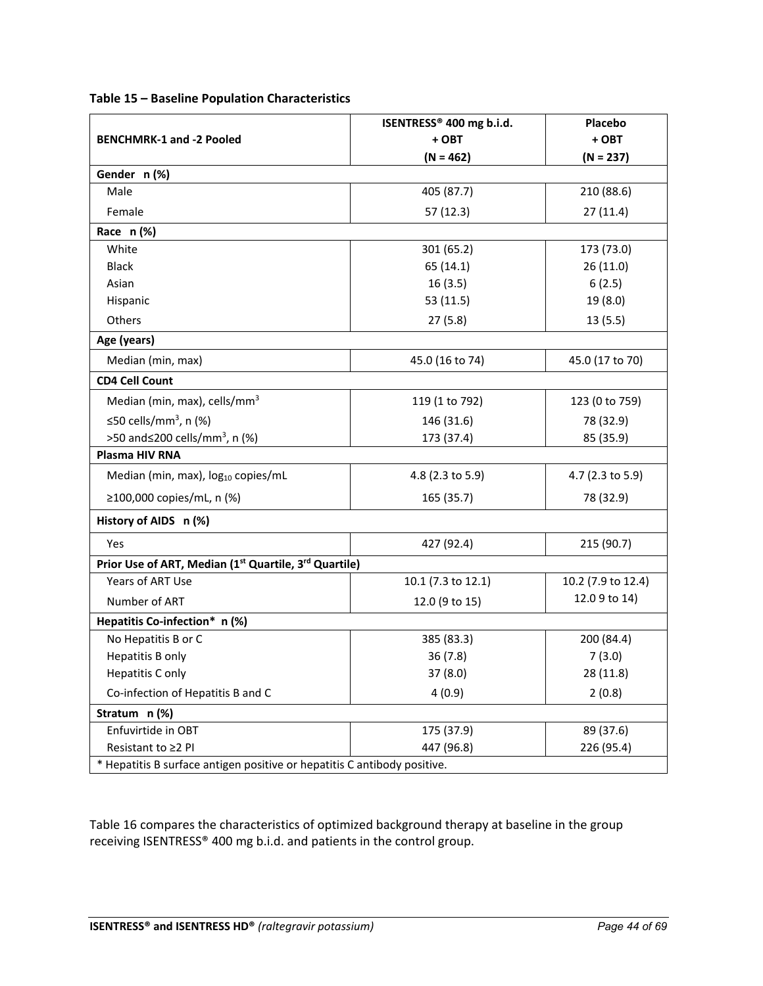|                                                                          | ISENTRESS® 400 mg b.i.d. | Placebo              |  |
|--------------------------------------------------------------------------|--------------------------|----------------------|--|
| <b>BENCHMRK-1 and -2 Pooled</b>                                          | + OBT                    | + OBT<br>$(N = 237)$ |  |
|                                                                          | $(N = 462)$              |                      |  |
| Gender n (%)                                                             |                          |                      |  |
| Male                                                                     | 405 (87.7)               | 210 (88.6)           |  |
| Female                                                                   | 57(12.3)                 | 27(11.4)             |  |
| Race $n$ (%)                                                             |                          |                      |  |
| White                                                                    | 301 (65.2)               | 173 (73.0)           |  |
| <b>Black</b>                                                             | 65 (14.1)                | 26 (11.0)            |  |
| Asian                                                                    | 16(3.5)                  | 6(2.5)               |  |
| Hispanic                                                                 | 53 (11.5)                | 19 (8.0)             |  |
| Others                                                                   | 27(5.8)                  | 13(5.5)              |  |
| Age (years)                                                              |                          |                      |  |
| Median (min, max)                                                        | 45.0 (16 to 74)          | 45.0 (17 to 70)      |  |
| <b>CD4 Cell Count</b>                                                    |                          |                      |  |
| Median (min, max), cells/mm <sup>3</sup>                                 | 119 (1 to 792)           | 123 (0 to 759)       |  |
| ≤50 cells/mm <sup>3</sup> , n (%)                                        | 146 (31.6)               | 78 (32.9)            |  |
| >50 and≤200 cells/mm <sup>3</sup> , n (%)                                | 173 (37.4)               | 85 (35.9)            |  |
| Plasma HIV RNA                                                           |                          |                      |  |
| Median (min, max), log <sub>10</sub> copies/mL                           | 4.8 (2.3 to 5.9)         | 4.7 (2.3 to 5.9)     |  |
| ≥100,000 copies/mL, n (%)                                                | 165 (35.7)               | 78 (32.9)            |  |
| History of AIDS n (%)                                                    |                          |                      |  |
| <b>Yes</b>                                                               | 427 (92.4)               | 215 (90.7)           |  |
| Prior Use of ART, Median (1st Quartile, 3rd Quartile)                    |                          |                      |  |
| Years of ART Use                                                         | 10.1 (7.3 to 12.1)       | 10.2 (7.9 to 12.4)   |  |
| Number of ART                                                            | 12.0 (9 to 15)           | 12.0 9 to 14)        |  |
| Hepatitis Co-infection* n (%)                                            |                          |                      |  |
| No Hepatitis B or C                                                      | 385 (83.3)               | 200 (84.4)           |  |
| Hepatitis B only                                                         | 36(7.8)                  | 7(3.0)               |  |
| Hepatitis C only                                                         | 37 (8.0)                 | 28 (11.8)            |  |
| Co-infection of Hepatitis B and C                                        | 4(0.9)                   | 2(0.8)               |  |
| Stratum n (%)                                                            |                          |                      |  |
| Enfuvirtide in OBT                                                       | 175 (37.9)               | 89 (37.6)            |  |
| Resistant to ≥2 PI                                                       | 447 (96.8)               | 226 (95.4)           |  |
| * Hepatitis B surface antigen positive or hepatitis C antibody positive. |                          |                      |  |

**Table 15 – Baseline Population Characteristics**

Table 16 compares the characteristics of optimized background therapy at baseline in the group receiving ISENTRESS® 400 mg b.i.d. and patients in the control group.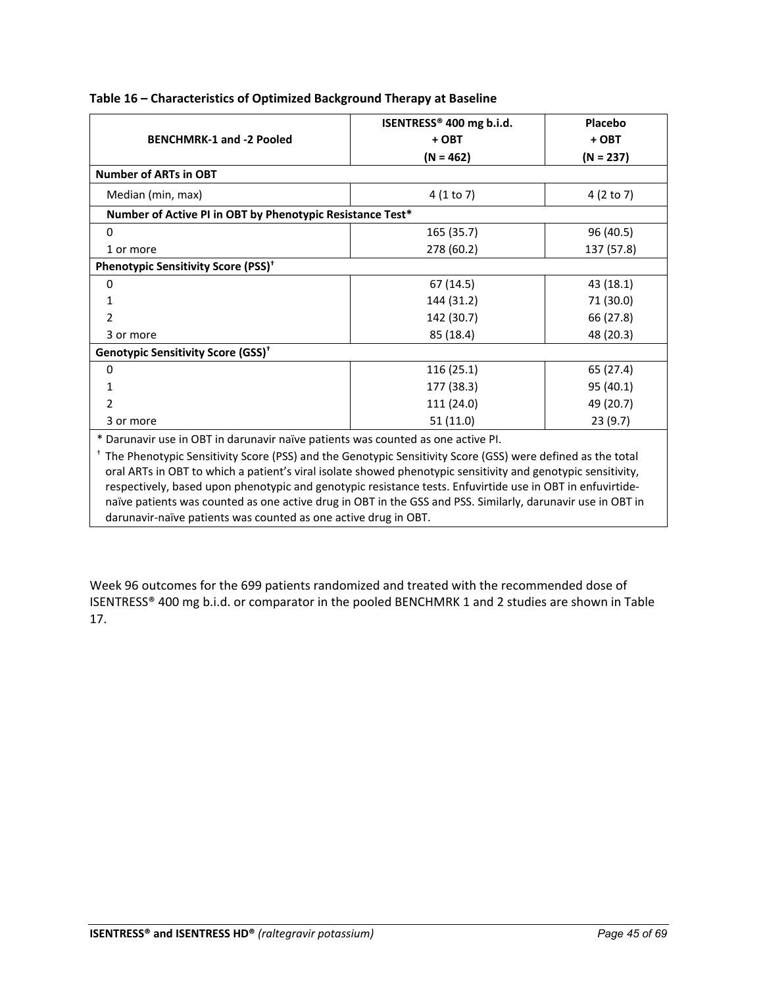|                                                                                                                         | ISENTRESS® 400 mg b.i.d. | Placebo     |  |
|-------------------------------------------------------------------------------------------------------------------------|--------------------------|-------------|--|
| <b>BENCHMRK-1 and -2 Pooled</b>                                                                                         | + OBT                    | + OBT       |  |
|                                                                                                                         | $(N = 462)$              | $(N = 237)$ |  |
| <b>Number of ARTs in OBT</b>                                                                                            |                          |             |  |
| Median (min, max)                                                                                                       | 4(1 to 7)                | 4 (2 to 7)  |  |
| Number of Active PI in OBT by Phenotypic Resistance Test*                                                               |                          |             |  |
| 0                                                                                                                       | 165 (35.7)               | 96 (40.5)   |  |
| 1 or more                                                                                                               | 278 (60.2)               | 137 (57.8)  |  |
| Phenotypic Sensitivity Score (PSS) <sup>+</sup>                                                                         |                          |             |  |
| 0                                                                                                                       | 67(14.5)                 | 43 (18.1)   |  |
| 1                                                                                                                       | 144 (31.2)               | 71 (30.0)   |  |
| 2                                                                                                                       | 142 (30.7)               | 66 (27.8)   |  |
| 3 or more                                                                                                               | 85 (18.4)                | 48 (20.3)   |  |
| Genotypic Sensitivity Score (GSS) <sup>+</sup>                                                                          |                          |             |  |
| 0                                                                                                                       | 116(25.1)                | 65 (27.4)   |  |
| 1                                                                                                                       | 177 (38.3)               | 95 (40.1)   |  |
| 2                                                                                                                       | 111 (24.0)               | 49 (20.7)   |  |
| 3 or more                                                                                                               | 51(11.0)                 | 23(9.7)     |  |
| * Darunavir use in OBT in darunavir naïve patients was counted as one active PI.                                        |                          |             |  |
| <sup>†</sup> The Phenotypic Sensitivity Score (PSS) and the Genotypic Sensitivity Score (GSS) were defined as the total |                          |             |  |

## **Table 16 – Characteristics of Optimized Background Therapy at Baseline**

oral ARTs in OBT to which a patient's viral isolate showed phenotypic sensitivity and genotypic sensitivity, respectively, based upon phenotypic and genotypic resistance tests. Enfuvirtide use in OBT in enfuvirtidenaïve patients was counted as one active drug in OBT in the GSS and PSS. Similarly, darunavir use in OBT in darunavir-naïve patients was counted as one active drug in OBT.

Week 96 outcomes for the 699 patients randomized and treated with the recommended dose of ISENTRESS® 400 mg b.i.d. or comparator in the pooled BENCHMRK 1 and 2 studies are shown in Table 17.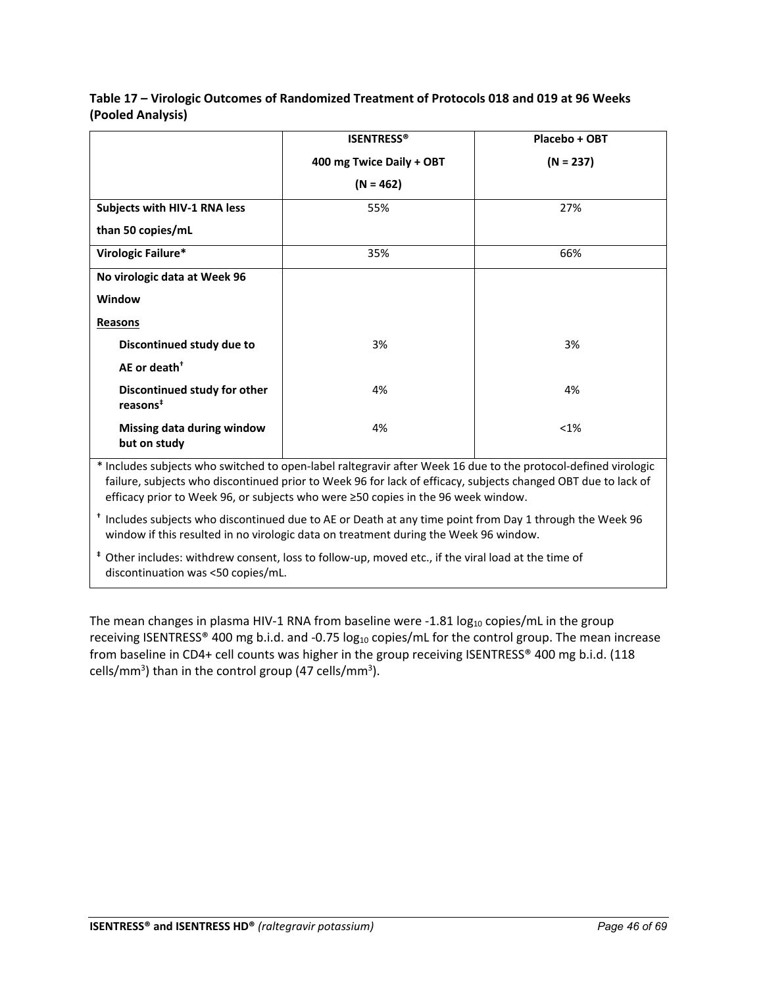|                                                                                                                      | <b>ISENTRESS®</b>        | Placebo + OBT |
|----------------------------------------------------------------------------------------------------------------------|--------------------------|---------------|
|                                                                                                                      | 400 mg Twice Daily + OBT | $(N = 237)$   |
|                                                                                                                      | $(N = 462)$              |               |
| Subjects with HIV-1 RNA less                                                                                         | 55%                      | 27%           |
| than 50 copies/mL                                                                                                    |                          |               |
| Virologic Failure*                                                                                                   | 35%                      | 66%           |
| No virologic data at Week 96                                                                                         |                          |               |
| Window                                                                                                               |                          |               |
| <b>Reasons</b>                                                                                                       |                          |               |
| Discontinued study due to                                                                                            | 3%                       | 3%            |
| AE or death <sup>+</sup>                                                                                             |                          |               |
| Discontinued study for other<br>reasons <sup>#</sup>                                                                 | 4%                       | 4%            |
| Missing data during window<br>but on study                                                                           | 4%                       | $< 1\%$       |
| * to alcohol in the manufacture of the manufacture of the manufacture of the manufacture of the fine designed of the |                          |               |

**Table 17 – Virologic Outcomes of Randomized Treatment of Protocols 018 and 019 at 96 Weeks (Pooled Analysis)** 

Includes subjects who switched to open-label raltegravir after Week 16 due to the protocol-defined virologic failure, subjects who discontinued prior to Week 96 for lack of efficacy, subjects changed OBT due to lack of efficacy prior to Week 96, or subjects who were ≥50 copies in the 96 week window.

**†** Includes subjects who discontinued due to AE or Death at any time point from Day 1 through the Week 96 window if this resulted in no virologic data on treatment during the Week 96 window.

**‡** Other includes: withdrew consent, loss to follow-up, moved etc., if the viral load at the time of discontinuation was <50 copies/mL.

The mean changes in plasma HIV-1 RNA from baseline were -1.81  $log_{10}$  copies/mL in the group receiving ISENTRESS® 400 mg b.i.d. and -0.75  $log_{10}$  copies/mL for the control group. The mean increase from baseline in CD4+ cell counts was higher in the group receiving ISENTRESS® 400 mg b.i.d. (118 cells/mm<sup>3</sup>) than in the control group (47 cells/mm<sup>3</sup>).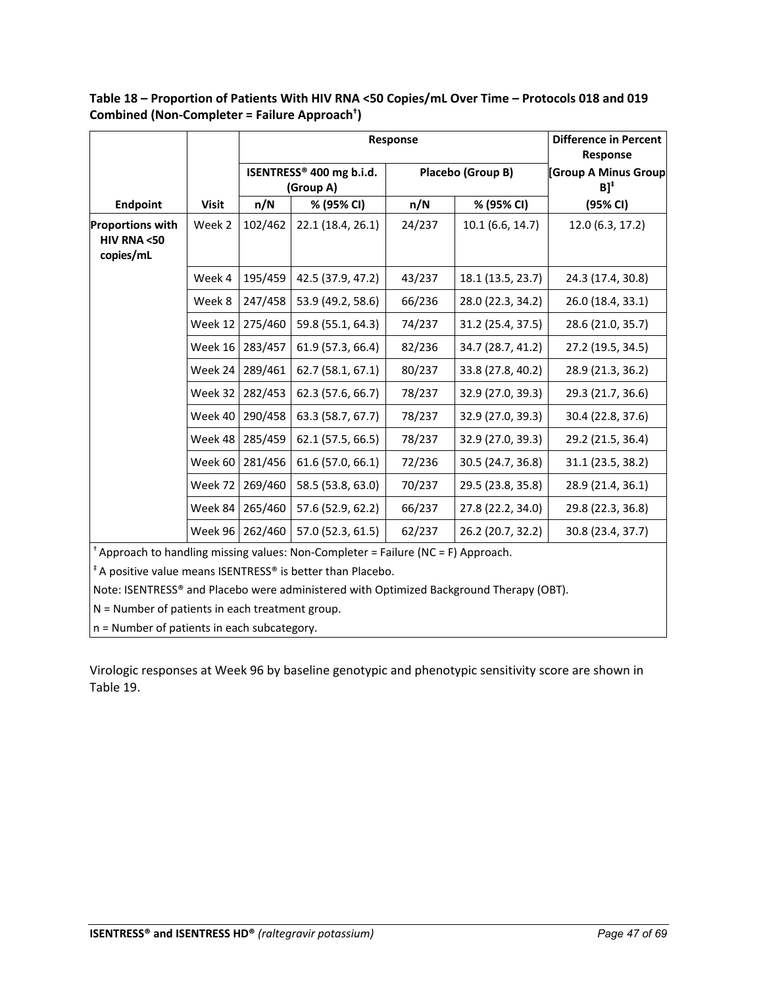|                                                     |              | Response        |                                                   |        |                   | <b>Difference in Percent</b><br>Response  |
|-----------------------------------------------------|--------------|-----------------|---------------------------------------------------|--------|-------------------|-------------------------------------------|
|                                                     |              |                 | ISENTRESS <sup>®</sup> 400 mg b.i.d.<br>(Group A) |        | Placebo (Group B) | [Group A Minus Group<br>$B]$ <sup>+</sup> |
| <b>Endpoint</b>                                     | <b>Visit</b> | n/N             | % (95% CI)                                        | n/N    | % (95% CI)        | (95% CI)                                  |
| <b>Proportions with</b><br>HIV RNA <50<br>copies/mL | Week 2       | 102/462         | 22.1 (18.4, 26.1)                                 | 24/237 | 10.1(6.6, 14.7)   | 12.0 (6.3, 17.2)                          |
|                                                     | Week 4       | 195/459         | 42.5 (37.9, 47.2)                                 | 43/237 | 18.1 (13.5, 23.7) | 24.3 (17.4, 30.8)                         |
|                                                     | Week 8       | 247/458         | 53.9 (49.2, 58.6)                                 | 66/236 | 28.0 (22.3, 34.2) | 26.0 (18.4, 33.1)                         |
|                                                     | Week 12      | 275/460         | 59.8 (55.1, 64.3)                                 | 74/237 | 31.2 (25.4, 37.5) | 28.6 (21.0, 35.7)                         |
|                                                     | Week 16      | 283/457         | 61.9 (57.3, 66.4)                                 | 82/236 | 34.7 (28.7, 41.2) | 27.2 (19.5, 34.5)                         |
|                                                     | Week 24      | 289/461         | 62.7 (58.1, 67.1)                                 | 80/237 | 33.8 (27.8, 40.2) | 28.9 (21.3, 36.2)                         |
|                                                     | Week 32      | 282/453         | 62.3 (57.6, 66.7)                                 | 78/237 | 32.9 (27.0, 39.3) | 29.3 (21.7, 36.6)                         |
|                                                     | Week 40      | 290/458         | 63.3 (58.7, 67.7)                                 | 78/237 | 32.9 (27.0, 39.3) | 30.4 (22.8, 37.6)                         |
|                                                     | Week 48      | 285/459         | 62.1 (57.5, 66.5)                                 | 78/237 | 32.9 (27.0, 39.3) | 29.2 (21.5, 36.4)                         |
|                                                     | Week 60      | 281/456         | 61.6 (57.0, 66.1)                                 | 72/236 | 30.5 (24.7, 36.8) | 31.1 (23.5, 38.2)                         |
|                                                     | Week 72      | 269/460         | 58.5 (53.8, 63.0)                                 | 70/237 | 29.5 (23.8, 35.8) | 28.9 (21.4, 36.1)                         |
|                                                     | Week 84      | 265/460         | 57.6 (52.9, 62.2)                                 | 66/237 | 27.8 (22.2, 34.0) | 29.8 (22.3, 36.8)                         |
|                                                     |              | Week 96 262/460 | 57.0 (52.3, 61.5)                                 | 62/237 | 26.2 (20.7, 32.2) | 30.8 (23.4, 37.7)                         |

**Table 18 – Proportion of Patients With HIV RNA <50 Copies/mL Over Time – Protocols 018 and 019 Combined (Non-Completer = Failure Approach† )**

† Approach to handling missing values: Non-Completer = Failure (NC = F) Approach.

‡ A positive value means ISENTRESS® is better than Placebo.

Note: ISENTRESS® and Placebo were administered with Optimized Background Therapy (OBT).

N = Number of patients in each treatment group.

n = Number of patients in each subcategory.

Virologic responses at Week 96 by baseline genotypic and phenotypic sensitivity score are shown in Table 19.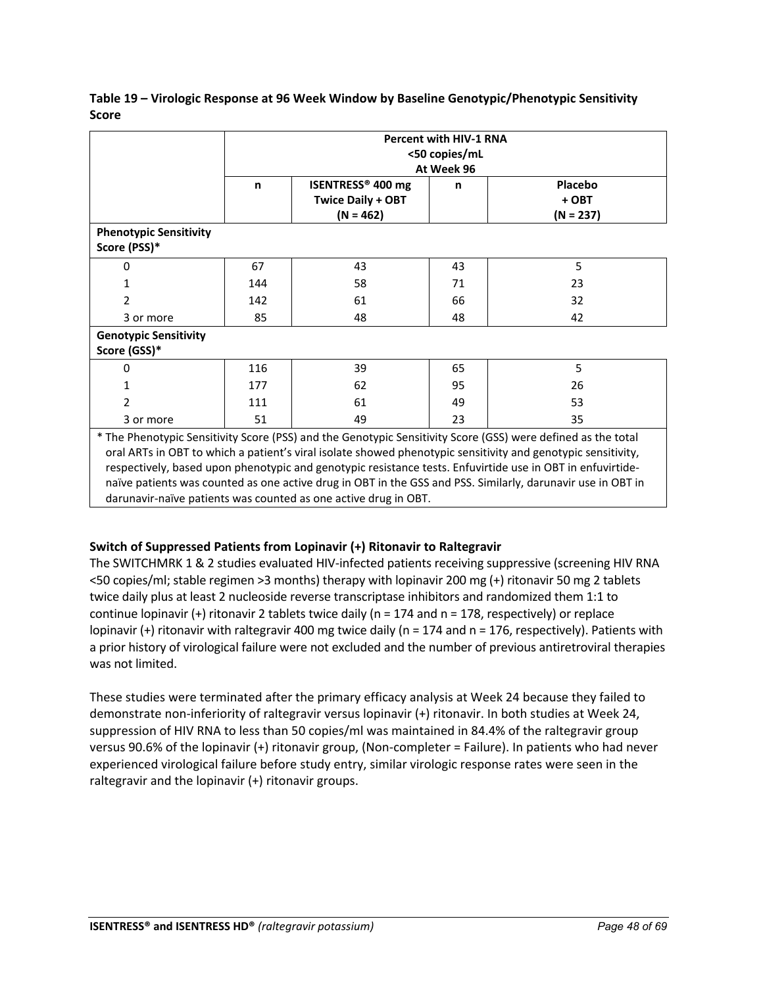|                                                                                                                                                                                                                                                                                                                                                                                                                                                                                                                              |     | <b>Percent with HIV-1 RNA</b><br><50 copies/mL<br>At Week 96 |    |                                 |  |  |
|------------------------------------------------------------------------------------------------------------------------------------------------------------------------------------------------------------------------------------------------------------------------------------------------------------------------------------------------------------------------------------------------------------------------------------------------------------------------------------------------------------------------------|-----|--------------------------------------------------------------|----|---------------------------------|--|--|
|                                                                                                                                                                                                                                                                                                                                                                                                                                                                                                                              | n   | ISENTRESS® 400 mg<br><b>Twice Daily + OBT</b><br>$(N = 462)$ | n  | Placebo<br>+ OBT<br>$(N = 237)$ |  |  |
| <b>Phenotypic Sensitivity</b><br>Score (PSS)*                                                                                                                                                                                                                                                                                                                                                                                                                                                                                |     |                                                              |    |                                 |  |  |
| $\Omega$                                                                                                                                                                                                                                                                                                                                                                                                                                                                                                                     | 67  | 43                                                           | 43 | 5                               |  |  |
| 1                                                                                                                                                                                                                                                                                                                                                                                                                                                                                                                            | 144 | 58                                                           | 71 | 23                              |  |  |
| 2                                                                                                                                                                                                                                                                                                                                                                                                                                                                                                                            | 142 | 61                                                           | 66 | 32                              |  |  |
| 3 or more                                                                                                                                                                                                                                                                                                                                                                                                                                                                                                                    | 85  | 48                                                           | 48 | 42                              |  |  |
| <b>Genotypic Sensitivity</b><br>Score (GSS)*                                                                                                                                                                                                                                                                                                                                                                                                                                                                                 |     |                                                              |    |                                 |  |  |
| $\Omega$                                                                                                                                                                                                                                                                                                                                                                                                                                                                                                                     | 116 | 39                                                           | 65 | 5                               |  |  |
| 1                                                                                                                                                                                                                                                                                                                                                                                                                                                                                                                            | 177 | 62                                                           | 95 | 26                              |  |  |
| 2                                                                                                                                                                                                                                                                                                                                                                                                                                                                                                                            | 111 | 61                                                           | 49 | 53                              |  |  |
| 3 or more                                                                                                                                                                                                                                                                                                                                                                                                                                                                                                                    | 51  | 49                                                           | 23 | 35                              |  |  |
| * The Phenotypic Sensitivity Score (PSS) and the Genotypic Sensitivity Score (GSS) were defined as the total<br>oral ARTs in OBT to which a patient's viral isolate showed phenotypic sensitivity and genotypic sensitivity,<br>respectively, based upon phenotypic and genotypic resistance tests. Enfuvirtide use in OBT in enfuvirtide-<br>naïve patients was counted as one active drug in OBT in the GSS and PSS. Similarly, darunavir use in OBT in<br>darunavir-naïve patients was counted as one active drug in OBT. |     |                                                              |    |                                 |  |  |

**Table 19 – Virologic Response at 96 Week Window by Baseline Genotypic/Phenotypic Sensitivity Score** 

## **Switch of Suppressed Patients from Lopinavir (+) Ritonavir to Raltegravir**

The SWITCHMRK 1 & 2 studies evaluated HIV-infected patients receiving suppressive (screening HIV RNA <50 copies/ml; stable regimen >3 months) therapy with lopinavir 200 mg (+) ritonavir 50 mg 2 tablets twice daily plus at least 2 nucleoside reverse transcriptase inhibitors and randomized them 1:1 to continue lopinavir  $(+)$  ritonavir 2 tablets twice daily (n = 174 and n = 178, respectively) or replace lopinavir (+) ritonavir with raltegravir 400 mg twice daily (n = 174 and n = 176, respectively). Patients with a prior history of virological failure were not excluded and the number of previous antiretroviral therapies was not limited.

These studies were terminated after the primary efficacy analysis at Week 24 because they failed to demonstrate non-inferiority of raltegravir versus lopinavir (+) ritonavir. In both studies at Week 24, suppression of HIV RNA to less than 50 copies/ml was maintained in 84.4% of the raltegravir group versus 90.6% of the lopinavir (+) ritonavir group, (Non-completer = Failure). In patients who had never experienced virological failure before study entry, similar virologic response rates were seen in the raltegravir and the lopinavir (+) ritonavir groups.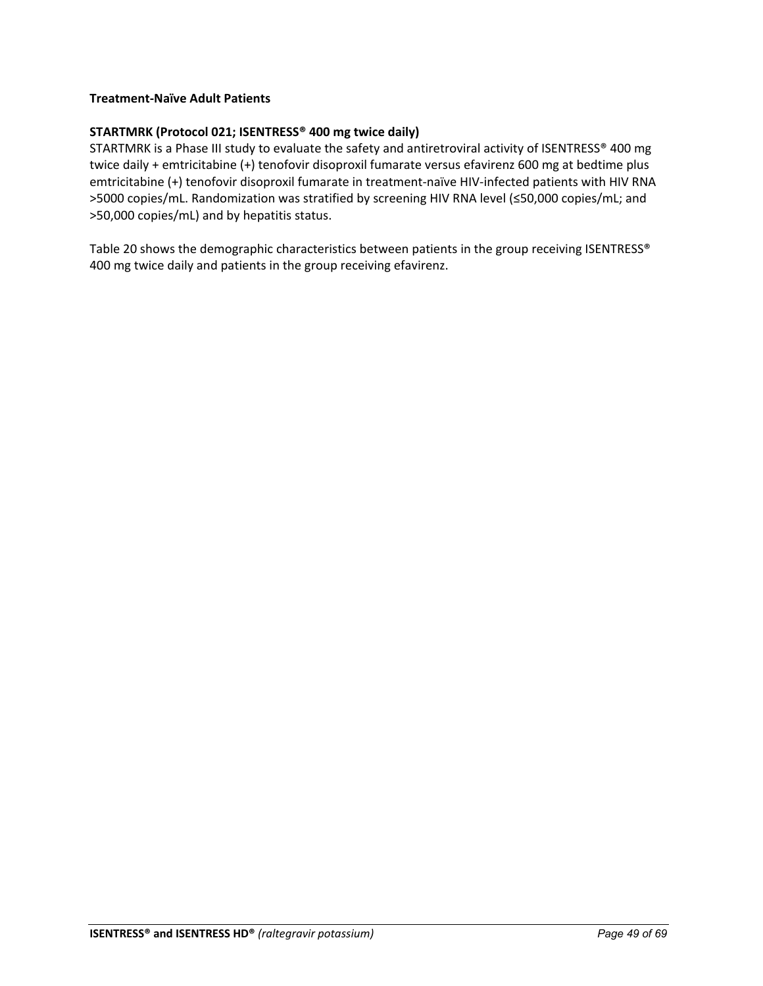## **Treatment-Naïve Adult Patients**

## **STARTMRK (Protocol 021; ISENTRESS® 400 mg twice daily)**

STARTMRK is a Phase III study to evaluate the safety and antiretroviral activity of ISENTRESS® 400 mg twice daily + emtricitabine (+) tenofovir disoproxil fumarate versus efavirenz 600 mg at bedtime plus emtricitabine (+) tenofovir disoproxil fumarate in treatment-naïve HIV-infected patients with HIV RNA >5000 copies/mL. Randomization was stratified by screening HIV RNA level (≤50,000 copies/mL; and >50,000 copies/mL) and by hepatitis status.

Table 20 shows the demographic characteristics between patients in the group receiving ISENTRESS® 400 mg twice daily and patients in the group receiving efavirenz.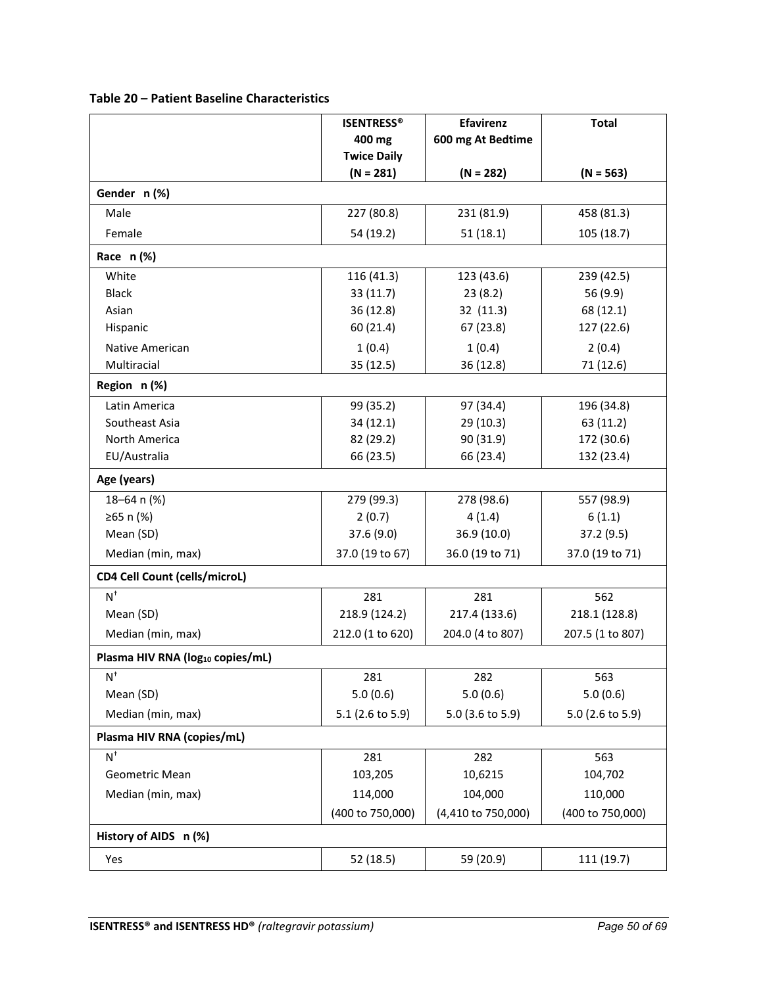| Table 20 - Patient Baseline Characteristics |  |  |
|---------------------------------------------|--|--|
|---------------------------------------------|--|--|

|                                              | <b>ISENTRESS®</b>  | <b>Efavirenz</b>   | <b>Total</b>     |  |
|----------------------------------------------|--------------------|--------------------|------------------|--|
|                                              | 400 mg             | 600 mg At Bedtime  |                  |  |
|                                              | <b>Twice Daily</b> |                    |                  |  |
|                                              | $(N = 281)$        | $(N = 282)$        | $(N = 563)$      |  |
| Gender n (%)                                 |                    |                    |                  |  |
| Male                                         | 227 (80.8)         | 231 (81.9)         | 458 (81.3)       |  |
| Female                                       | 54 (19.2)          | 51(18.1)           | 105 (18.7)       |  |
| Race $n$ (%)                                 |                    |                    |                  |  |
| White                                        | 116 (41.3)         | 123 (43.6)         | 239 (42.5)       |  |
| <b>Black</b>                                 | 33(11.7)           | 23(8.2)            | 56 (9.9)         |  |
| Asian                                        | 36 (12.8)          | 32 (11.3)          | 68 (12.1)        |  |
| Hispanic                                     | 60 (21.4)          | 67 (23.8)          | 127 (22.6)       |  |
| Native American                              | 1(0.4)             | 1(0.4)             | 2(0.4)           |  |
| Multiracial                                  | 35 (12.5)          | 36 (12.8)          | 71 (12.6)        |  |
| Region n(%)                                  |                    |                    |                  |  |
| Latin America                                | 99 (35.2)          | 97 (34.4)          | 196 (34.8)       |  |
| Southeast Asia                               | 34 (12.1)          | 29 (10.3)          | 63 (11.2)        |  |
| North America                                | 82 (29.2)          | 90 (31.9)          | 172 (30.6)       |  |
| EU/Australia                                 | 66 (23.5)          | 66 (23.4)          | 132 (23.4)       |  |
| Age (years)                                  |                    |                    |                  |  |
| 18-64 n (%)                                  | 279 (99.3)         | 278 (98.6)         | 557 (98.9)       |  |
| ≥65 n (%)                                    | 2(0.7)             | 4(1.4)             | 6(1.1)           |  |
| Mean (SD)                                    | 37.6 (9.0)         | 36.9 (10.0)        | 37.2(9.5)        |  |
| Median (min, max)                            | 37.0 (19 to 67)    | 36.0 (19 to 71)    | 37.0 (19 to 71)  |  |
| <b>CD4 Cell Count (cells/microL)</b>         |                    |                    |                  |  |
| $N^+$                                        | 281                | 281                | 562              |  |
| Mean (SD)                                    | 218.9 (124.2)      | 217.4 (133.6)      | 218.1 (128.8)    |  |
| Median (min, max)                            | 212.0 (1 to 620)   | 204.0 (4 to 807)   | 207.5 (1 to 807) |  |
| Plasma HIV RNA (log <sub>10</sub> copies/mL) |                    |                    |                  |  |
| $N^{\dagger}$                                | 281                | 282                | 563              |  |
| Mean (SD)                                    | 5.0(0.6)           | 5.0(0.6)           | 5.0(0.6)         |  |
| Median (min, max)                            | 5.1 (2.6 to 5.9)   | 5.0 (3.6 to 5.9)   | 5.0 (2.6 to 5.9) |  |
| Plasma HIV RNA (copies/mL)                   |                    |                    |                  |  |
| $N^+$                                        | 281                | 282                | 563              |  |
| Geometric Mean                               | 103,205            | 10,6215            | 104,702          |  |
| Median (min, max)                            | 114,000            | 104,000            | 110,000          |  |
|                                              | (400 to 750,000)   | (4,410 to 750,000) | (400 to 750,000) |  |
| History of AIDS n (%)                        |                    |                    |                  |  |
| Yes                                          | 52 (18.5)          | 59 (20.9)          | 111 (19.7)       |  |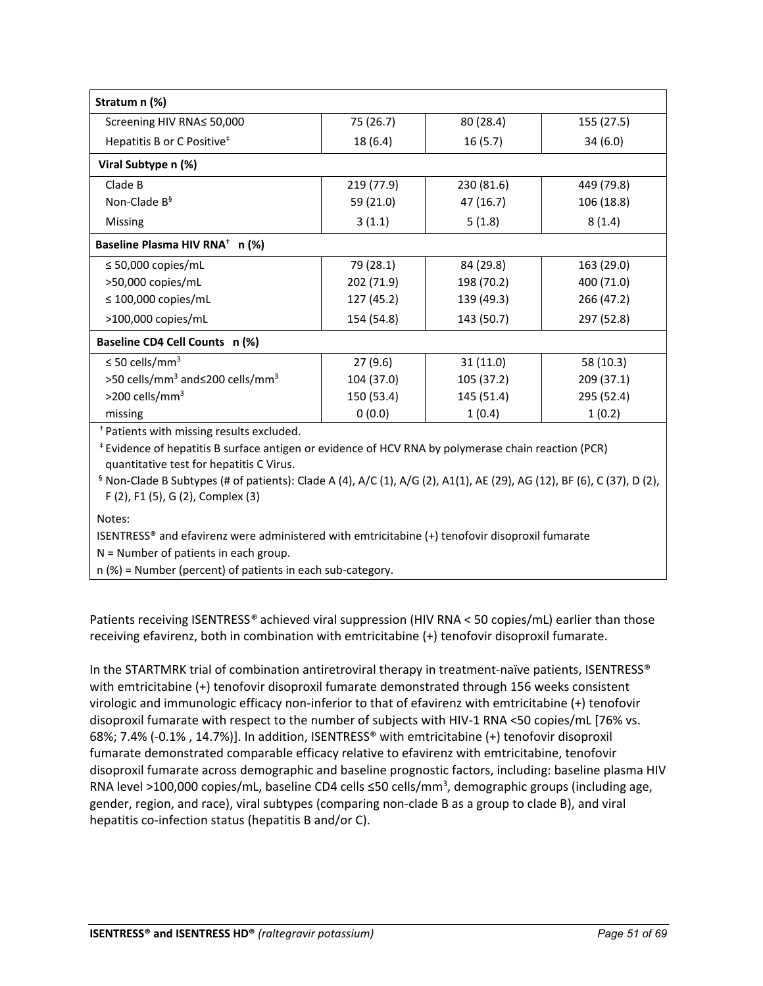| Stratum n (%)                                           |            |            |            |
|---------------------------------------------------------|------------|------------|------------|
| Screening HIV RNA≤ 50,000                               | 75 (26.7)  | 80 (28.4)  | 155 (27.5) |
| Hepatitis B or C Positive <sup>#</sup>                  | 18 (6.4)   | 16(5.7)    | 34(6.0)    |
| Viral Subtype n (%)                                     |            |            |            |
| Clade B                                                 | 219 (77.9) | 230 (81.6) | 449 (79.8) |
| Non-Clade B <sup>§</sup>                                | 59 (21.0)  | 47 (16.7)  | 106 (18.8) |
| Missing                                                 | 3(1.1)     | 5(1.8)     | 8(1.4)     |
| Baseline Plasma HIV RNA <sup>+</sup> n (%)              |            |            |            |
| $\leq$ 50,000 copies/mL                                 | 79 (28.1)  | 84 (29.8)  | 163 (29.0) |
| >50,000 copies/mL                                       | 202 (71.9) | 198 (70.2) | 400 (71.0) |
| $\leq$ 100,000 copies/mL                                | 127 (45.2) | 139 (49.3) | 266 (47.2) |
| $>100,000$ copies/mL                                    | 154 (54.8) | 143 (50.7) | 297 (52.8) |
| Baseline CD4 Cell Counts n (%)                          |            |            |            |
| $\leq$ 50 cells/mm <sup>3</sup>                         | 27(9.6)    | 31(11.0)   | 58 (10.3)  |
| >50 cells/mm <sup>3</sup> and≤200 cells/mm <sup>3</sup> | 104 (37.0) | 105 (37.2) | 209 (37.1) |
| $>$ 200 cells/mm <sup>3</sup>                           | 150 (53.4) | 145 (51.4) | 295 (52.4) |
| missing                                                 | 0(0.0)     | 1(0.4)     | 1(0.2)     |

† Patients with missing results excluded.

‡ Evidence of hepatitis B surface antigen or evidence of HCV RNA by polymerase chain reaction (PCR) quantitative test for hepatitis C Virus.

 $§$  Non-Clade B Subtypes (# of patients): Clade A (4), A/C (1), A/G (2), A1(1), AE (29), AG (12), BF (6), C (37), D (2), F (2), F1 (5), G (2), Complex (3)

Notes:

ISENTRESS® and efavirenz were administered with emtricitabine (+) tenofovir disoproxil fumarate

N = Number of patients in each group.

n (%) = Number (percent) of patients in each sub-category.

Patients receiving ISENTRESS*®* achieved viral suppression (HIV RNA < 50 copies/mL) earlier than those receiving efavirenz, both in combination with emtricitabine (+) tenofovir disoproxil fumarate.

In the STARTMRK trial of combination antiretroviral therapy in treatment-naïve patients, ISENTRESS® with emtricitabine (+) tenofovir disoproxil fumarate demonstrated through 156 weeks consistent virologic and immunologic efficacy non-inferior to that of efavirenz with emtricitabine (+) tenofovir disoproxil fumarate with respect to the number of subjects with HIV-1 RNA <50 copies/mL [76% vs. 68%; 7.4% (-0.1% , 14.7%)]. In addition, ISENTRESS® with emtricitabine (+) tenofovir disoproxil fumarate demonstrated comparable efficacy relative to efavirenz with emtricitabine, tenofovir disoproxil fumarate across demographic and baseline prognostic factors, including: baseline plasma HIV RNA level >100,000 copies/mL, baseline CD4 cells ≤50 cells/mm<sup>3</sup>, demographic groups (including age, gender, region, and race), viral subtypes (comparing non-clade B as a group to clade B), and viral hepatitis co-infection status (hepatitis B and/or C).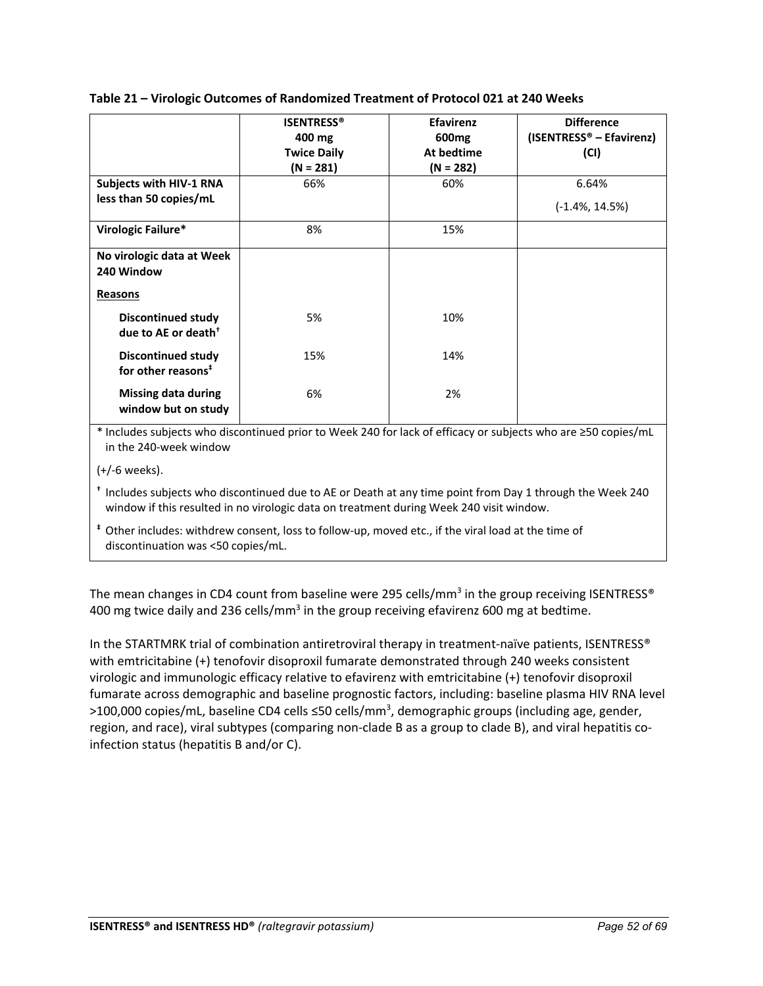## **Table 21 – Virologic Outcomes of Randomized Treatment of Protocol 021 at 240 Weeks**

|                                                              | <b>ISENTRESS®</b><br>400 mg<br><b>Twice Daily</b><br>$(N = 281)$ | <b>Efavirenz</b><br>600 <sub>mg</sub><br>At bedtime<br>$(N = 282)$ | <b>Difference</b><br>(ISENTRESS <sup>®</sup> – Efavirenz)<br>(CI) |
|--------------------------------------------------------------|------------------------------------------------------------------|--------------------------------------------------------------------|-------------------------------------------------------------------|
| Subjects with HIV-1 RNA                                      | 66%                                                              | 60%                                                                | 6.64%                                                             |
| less than 50 copies/mL                                       |                                                                  |                                                                    | $(-1.4\%, 14.5\%)$                                                |
| Virologic Failure*                                           | 8%                                                               | 15%                                                                |                                                                   |
| No virologic data at Week<br>240 Window                      |                                                                  |                                                                    |                                                                   |
| <b>Reasons</b>                                               |                                                                  |                                                                    |                                                                   |
| <b>Discontinued study</b><br>due to AE or death <sup>+</sup> | 5%                                                               | 10%                                                                |                                                                   |
| <b>Discontinued study</b><br>for other reasons <sup>#</sup>  | 15%                                                              | 14%                                                                |                                                                   |
| <b>Missing data during</b><br>window but on study            | 6%                                                               | 2%                                                                 |                                                                   |

\* Includes subjects who discontinued prior to Week 240 for lack of efficacy or subjects who are ≥50 copies/mL in the 240-week window

(+/-6 weeks).

**†** Includes subjects who discontinued due to AE or Death at any time point from Day 1 through the Week 240 window if this resulted in no virologic data on treatment during Week 240 visit window.

**‡** Other includes: withdrew consent, loss to follow-up, moved etc., if the viral load at the time of discontinuation was <50 copies/mL.

The mean changes in CD4 count from baseline were 295 cells/mm<sup>3</sup> in the group receiving ISENTRESS<sup>®</sup> 400 mg twice daily and 236 cells/ $\text{mm}^3$  in the group receiving efavirenz 600 mg at bedtime.

In the STARTMRK trial of combination antiretroviral therapy in treatment-naïve patients, ISENTRESS® with emtricitabine (+) tenofovir disoproxil fumarate demonstrated through 240 weeks consistent virologic and immunologic efficacy relative to efavirenz with emtricitabine (+) tenofovir disoproxil fumarate across demographic and baseline prognostic factors, including: baseline plasma HIV RNA level >100,000 copies/mL, baseline CD4 cells ≤50 cells/mm<sup>3</sup>, demographic groups (including age, gender, region, and race), viral subtypes (comparing non-clade B as a group to clade B), and viral hepatitis coinfection status (hepatitis B and/or C).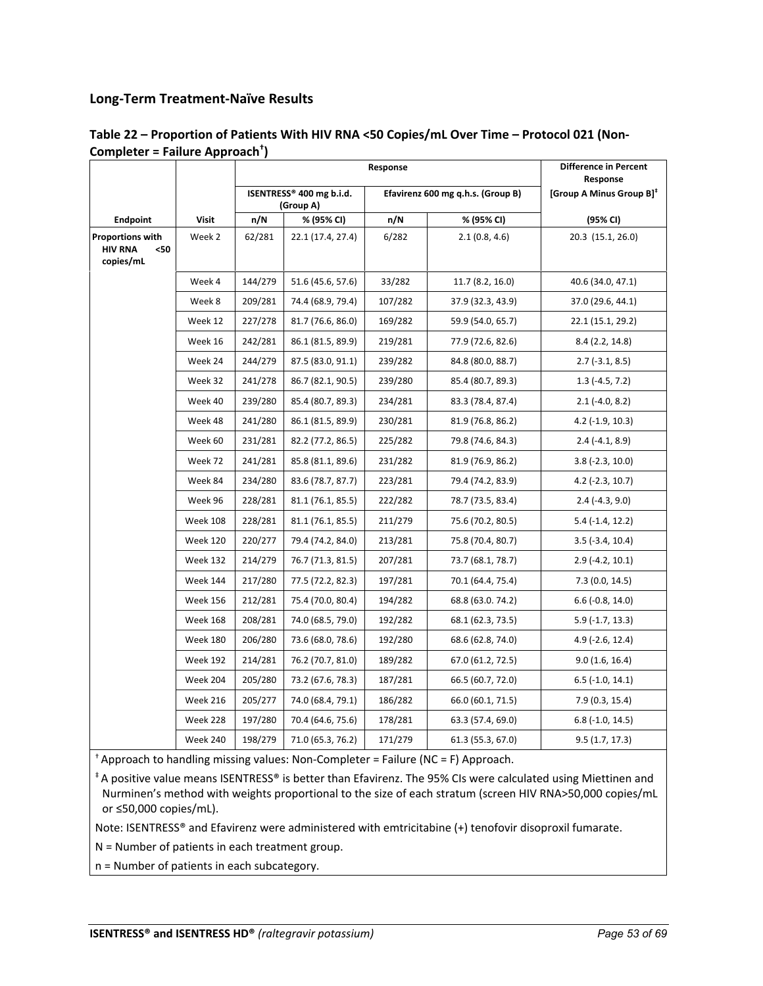## **Long-Term Treatment-Naïve Results**

|                                                                |                 | Response |                                       |         | Difference in Percent<br>Response |                                      |
|----------------------------------------------------------------|-----------------|----------|---------------------------------------|---------|-----------------------------------|--------------------------------------|
|                                                                |                 |          | ISENTRESS® 400 mg b.i.d.<br>(Group A) |         | Efavirenz 600 mg q.h.s. (Group B) | [Group A Minus Group B] <sup>#</sup> |
| Endpoint                                                       | <b>Visit</b>    | n/N      | % (95% CI)                            | n/N     | % (95% CI)                        | (95% CI)                             |
| <b>Proportions with</b><br><b>HIV RNA</b><br>$50$<br>copies/mL | Week 2          | 62/281   | 22.1 (17.4, 27.4)                     | 6/282   | 2.1(0.8, 4.6)                     | 20.3 (15.1, 26.0)                    |
|                                                                | Week 4          | 144/279  | 51.6 (45.6, 57.6)                     | 33/282  | 11.7 (8.2, 16.0)                  | 40.6 (34.0, 47.1)                    |
|                                                                | Week 8          | 209/281  | 74.4 (68.9, 79.4)                     | 107/282 | 37.9 (32.3, 43.9)                 | 37.0 (29.6, 44.1)                    |
|                                                                | Week 12         | 227/278  | 81.7 (76.6, 86.0)                     | 169/282 | 59.9 (54.0, 65.7)                 | 22.1 (15.1, 29.2)                    |
|                                                                | Week 16         | 242/281  | 86.1 (81.5, 89.9)                     | 219/281 | 77.9 (72.6, 82.6)                 | 8.4 (2.2, 14.8)                      |
|                                                                | Week 24         | 244/279  | 87.5 (83.0, 91.1)                     | 239/282 | 84.8 (80.0, 88.7)                 | $2.7$ (-3.1, 8.5)                    |
|                                                                | Week 32         | 241/278  | 86.7 (82.1, 90.5)                     | 239/280 | 85.4 (80.7, 89.3)                 | $1.3$ (-4.5, 7.2)                    |
|                                                                | Week 40         | 239/280  | 85.4 (80.7, 89.3)                     | 234/281 | 83.3 (78.4, 87.4)                 | $2.1$ (-4.0, 8.2)                    |
|                                                                | Week 48         | 241/280  | 86.1 (81.5, 89.9)                     | 230/281 | 81.9 (76.8, 86.2)                 | $4.2$ ( $-1.9$ , $10.3$ )            |
|                                                                | Week 60         | 231/281  | 82.2 (77.2, 86.5)                     | 225/282 | 79.8 (74.6, 84.3)                 | $2.4(-4.1, 8.9)$                     |
|                                                                | Week 72         | 241/281  | 85.8 (81.1, 89.6)                     | 231/282 | 81.9 (76.9, 86.2)                 | $3.8(-2.3, 10.0)$                    |
|                                                                | Week 84         | 234/280  | 83.6 (78.7, 87.7)                     | 223/281 | 79.4 (74.2, 83.9)                 | $4.2$ (-2.3, 10.7)                   |
|                                                                | Week 96         | 228/281  | 81.1 (76.1, 85.5)                     | 222/282 | 78.7 (73.5, 83.4)                 | $2.4(-4.3, 9.0)$                     |
|                                                                | <b>Week 108</b> | 228/281  | 81.1 (76.1, 85.5)                     | 211/279 | 75.6 (70.2, 80.5)                 | $5.4$ ( $-1.4$ , $12.2$ )            |
|                                                                | <b>Week 120</b> | 220/277  | 79.4 (74.2, 84.0)                     | 213/281 | 75.8 (70.4, 80.7)                 | $3.5$ (-3.4, 10.4)                   |
|                                                                | <b>Week 132</b> | 214/279  | 76.7 (71.3, 81.5)                     | 207/281 | 73.7 (68.1, 78.7)                 | $2.9$ (-4.2, 10.1)                   |
|                                                                | <b>Week 144</b> | 217/280  | 77.5 (72.2, 82.3)                     | 197/281 | 70.1 (64.4, 75.4)                 | 7.3(0.0, 14.5)                       |
|                                                                | <b>Week 156</b> | 212/281  | 75.4 (70.0, 80.4)                     | 194/282 | 68.8 (63.0. 74.2)                 | $6.6$ ( $-0.8$ , 14.0)               |
|                                                                | <b>Week 168</b> | 208/281  | 74.0 (68.5, 79.0)                     | 192/282 | 68.1 (62.3, 73.5)                 | $5.9$ (-1.7, 13.3)                   |
|                                                                | <b>Week 180</b> | 206/280  | 73.6 (68.0, 78.6)                     | 192/280 | 68.6 (62.8, 74.0)                 | $4.9$ (-2.6, 12.4)                   |
|                                                                | <b>Week 192</b> | 214/281  | 76.2 (70.7, 81.0)                     | 189/282 | 67.0 (61.2, 72.5)                 | 9.0(1.6, 16.4)                       |
|                                                                | Week 204        | 205/280  | 73.2 (67.6, 78.3)                     | 187/281 | 66.5 (60.7, 72.0)                 | $6.5$ ( $-1.0$ , $14.1$ )            |
|                                                                | <b>Week 216</b> | 205/277  | 74.0 (68.4, 79.1)                     | 186/282 | 66.0 (60.1, 71.5)                 | 7.9(0.3, 15.4)                       |
|                                                                | Week 228        | 197/280  | 70.4 (64.6, 75.6)                     | 178/281 | 63.3 (57.4, 69.0)                 | $6.8$ ( $-1.0$ , $14.5$ )            |
|                                                                | <b>Week 240</b> | 198/279  | 71.0 (65.3, 76.2)                     | 171/279 | 61.3 (55.3, 67.0)                 | 9.5(1.7, 17.3)                       |

## **Table 22 – Proportion of Patients With HIV RNA <50 Copies/mL Over Time – Protocol 021 (Non-Completer = Failure Approach† )**

† Approach to handling missing values: Non-Completer = Failure (NC = F) Approach.

‡ A positive value means ISENTRESS® is better than Efavirenz. The 95% CIs were calculated using Miettinen and Nurminen's method with weights proportional to the size of each stratum (screen HIV RNA>50,000 copies/mL or ≤50,000 copies/mL).

Note: ISENTRESS® and Efavirenz were administered with emtricitabine (+) tenofovir disoproxil fumarate.

N = Number of patients in each treatment group.

n = Number of patients in each subcategory.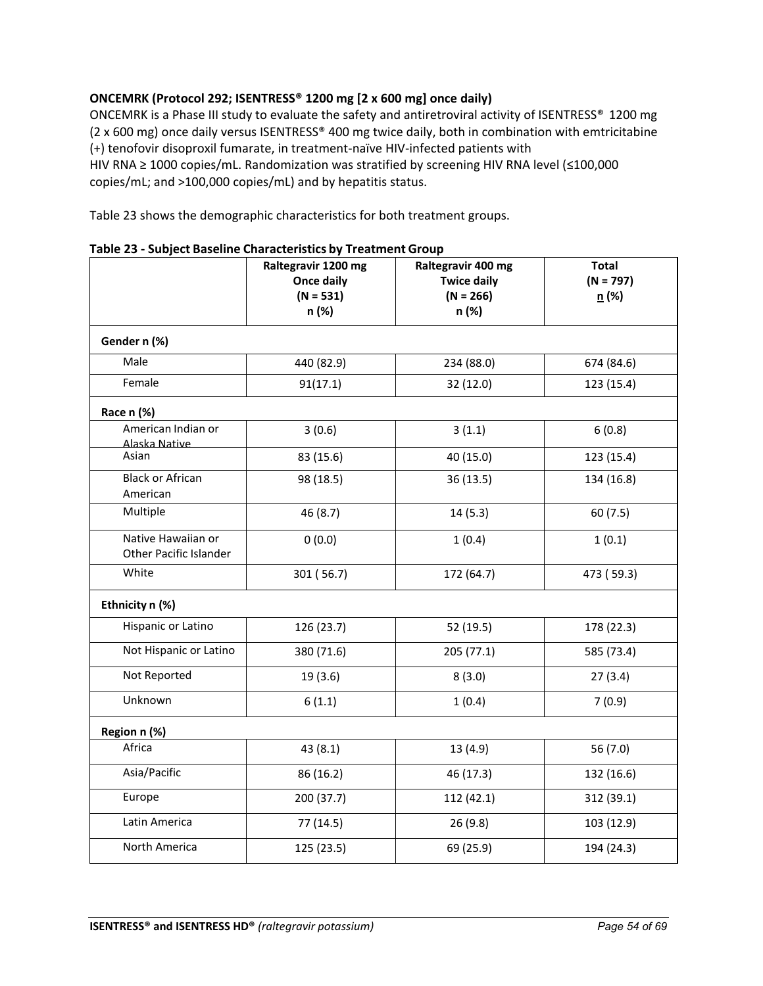## **ONCEMRK (Protocol 292; ISENTRESS® 1200 mg [2 x 600 mg] once daily)**

ONCEMRK is a Phase III study to evaluate the safety and antiretroviral activity of ISENTRESS® 1200 mg (2 x 600 mg) once daily versus ISENTRESS® 400 mg twice daily, both in combination with emtricitabine (+) tenofovir disoproxil fumarate, in treatment-naïve HIV-infected patients with HIV RNA ≥ 1000 copies/mL. Randomization was stratified by screening HIV RNA level (≤100,000 copies/mL; and >100,000 copies/mL) and by hepatitis status.

Table 23 shows the demographic characteristics for both treatment groups.

|                                                     | Raltegravir 1200 mg<br>Once daily<br>$(N = 531)$<br>n (%) | Raltegravir 400 mg<br><b>Twice daily</b><br>$(N = 266)$<br>n (%) | <b>Total</b><br>$(N = 797)$<br>n(%) |
|-----------------------------------------------------|-----------------------------------------------------------|------------------------------------------------------------------|-------------------------------------|
| Gender n (%)                                        |                                                           |                                                                  |                                     |
| Male                                                | 440 (82.9)                                                | 234 (88.0)                                                       | 674 (84.6)                          |
| Female                                              | 91(17.1)                                                  | 32 (12.0)                                                        | 123 (15.4)                          |
| Race n (%)                                          |                                                           |                                                                  |                                     |
| American Indian or<br>Alaska Native                 | 3(0.6)                                                    | 3(1.1)                                                           | 6(0.8)                              |
| Asian                                               | 83 (15.6)                                                 | 40 (15.0)                                                        | 123 (15.4)                          |
| <b>Black or African</b><br>American                 | 98 (18.5)                                                 | 36(13.5)                                                         | 134 (16.8)                          |
| Multiple                                            | 46 (8.7)                                                  | 14(5.3)                                                          | 60(7.5)                             |
| Native Hawaiian or<br><b>Other Pacific Islander</b> | 0(0.0)                                                    | 1(0.4)                                                           | 1(0.1)                              |
| White                                               | 301 (56.7)                                                | 172 (64.7)                                                       | 473 (59.3)                          |
| Ethnicity n (%)                                     |                                                           |                                                                  |                                     |
| Hispanic or Latino                                  | 126 (23.7)                                                | 52 (19.5)                                                        | 178 (22.3)                          |
| Not Hispanic or Latino                              | 380 (71.6)                                                | 205 (77.1)                                                       | 585 (73.4)                          |
| Not Reported                                        | 19 (3.6)                                                  | 8(3.0)                                                           | 27(3.4)                             |
| Unknown                                             | 6(1.1)                                                    | 1(0.4)                                                           | 7(0.9)                              |
| Region n (%)                                        |                                                           |                                                                  |                                     |
| Africa                                              | 43(8.1)                                                   | 13 (4.9)                                                         | 56 (7.0)                            |
| Asia/Pacific                                        | 86 (16.2)                                                 | 46 (17.3)                                                        | 132 (16.6)                          |
| Europe                                              | 200 (37.7)                                                | 112 (42.1)                                                       | 312 (39.1)                          |
| Latin America                                       | 77 (14.5)                                                 | 26(9.8)                                                          | 103 (12.9)                          |
| North America                                       | 125 (23.5)                                                | 69 (25.9)                                                        | 194 (24.3)                          |

**Table 23 - Subject Baseline Characteristics by Treatment Group**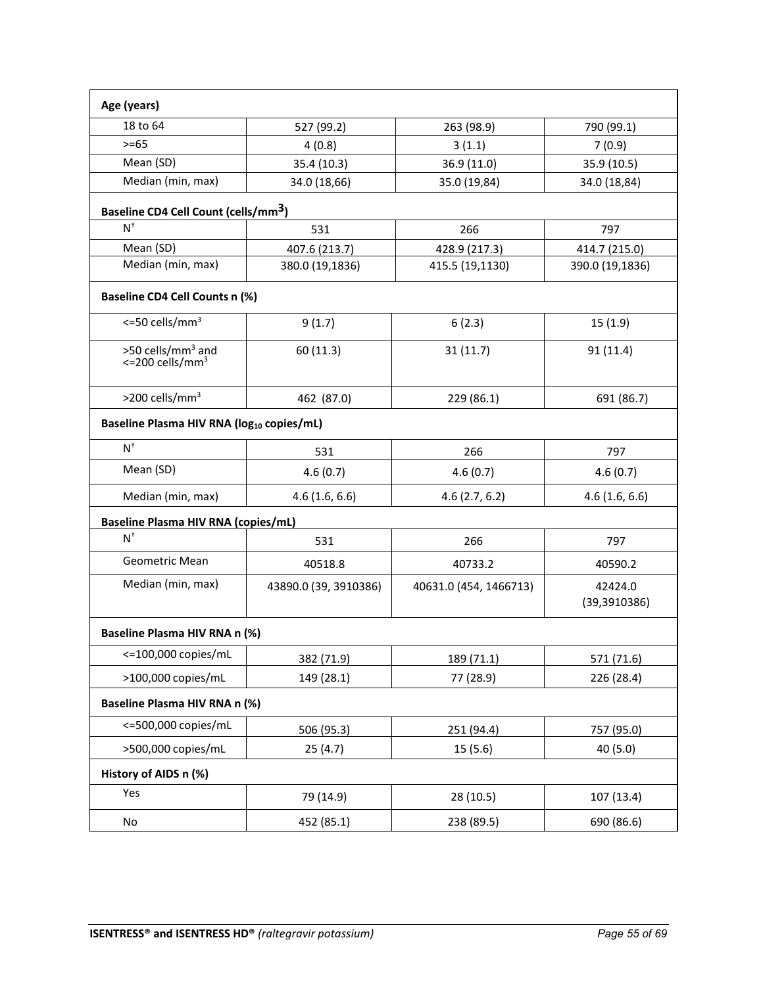| Age (years)                                                   |                       |                        |                          |
|---------------------------------------------------------------|-----------------------|------------------------|--------------------------|
| 18 to 64                                                      | 527 (99.2)            | 263 (98.9)             | 790 (99.1)               |
| $>= 65$                                                       | 4(0.8)                | 3(1.1)                 | 7(0.9)                   |
| Mean (SD)                                                     | 35.4 (10.3)           | 36.9 (11.0)            | 35.9 (10.5)              |
| Median (min, max)                                             | 34.0 (18,66)          | 35.0 (19,84)           | 34.0 (18,84)             |
| Baseline CD4 Cell Count (cells/mm <sup>3</sup> )              |                       |                        |                          |
| $N^{\dagger}$                                                 | 531                   | 266                    | 797                      |
| Mean (SD)                                                     | 407.6 (213.7)         | 428.9 (217.3)          | 414.7 (215.0)            |
| Median (min, max)                                             | 380.0 (19,1836)       | 415.5 (19,1130)        | 390.0 (19,1836)          |
| <b>Baseline CD4 Cell Counts n (%)</b>                         |                       |                        |                          |
| $\epsilon$ =50 cells/mm <sup>3</sup>                          | 9(1.7)                | 6(2.3)                 | 15(1.9)                  |
| >50 cells/mm <sup>3</sup> and<br><= 200 cells/mm <sup>3</sup> | 60 (11.3)             | 31(11.7)               | 91(11.4)                 |
| >200 cells/mm <sup>3</sup>                                    | 462 (87.0)            | 229 (86.1)             | 691 (86.7)               |
| Baseline Plasma HIV RNA (log <sub>10</sub> copies/mL)         |                       |                        |                          |
| $N^+$                                                         | 531                   | 266                    | 797                      |
| Mean (SD)                                                     | 4.6(0.7)              | 4.6(0.7)               | 4.6(0.7)                 |
| Median (min, max)                                             | 4.6(1.6, 6.6)         | 4.6(2.7, 6.2)          | 4.6(1.6, 6.6)            |
| <b>Baseline Plasma HIV RNA (copies/mL)</b>                    |                       |                        |                          |
| $N^{\dagger}$                                                 | 531                   | 266                    | 797                      |
| Geometric Mean                                                | 40518.8               | 40733.2                | 40590.2                  |
| Median (min, max)                                             | 43890.0 (39, 3910386) | 40631.0 (454, 1466713) | 42424.0<br>(39, 3910386) |
| Baseline Plasma HIV RNA n (%)                                 |                       |                        |                          |
| <= 100,000 copies/mL                                          | 382 (71.9)            | 189 (71.1)             | 571 (71.6)               |
| >100,000 copies/mL                                            | 149 (28.1)            | 77 (28.9)              | 226 (28.4)               |
| <b>Baseline Plasma HIV RNA n (%)</b>                          |                       |                        |                          |
| <=500,000 copies/mL                                           | 506 (95.3)            | 251 (94.4)             | 757 (95.0)               |
| >500,000 copies/mL                                            | 25(4.7)               | 15(5.6)                | 40 (5.0)                 |
| History of AIDS n (%)                                         |                       |                        |                          |
| Yes                                                           | 79 (14.9)             | 28 (10.5)              | 107 (13.4)               |
| No                                                            | 452 (85.1)            | 238 (89.5)             | 690 (86.6)               |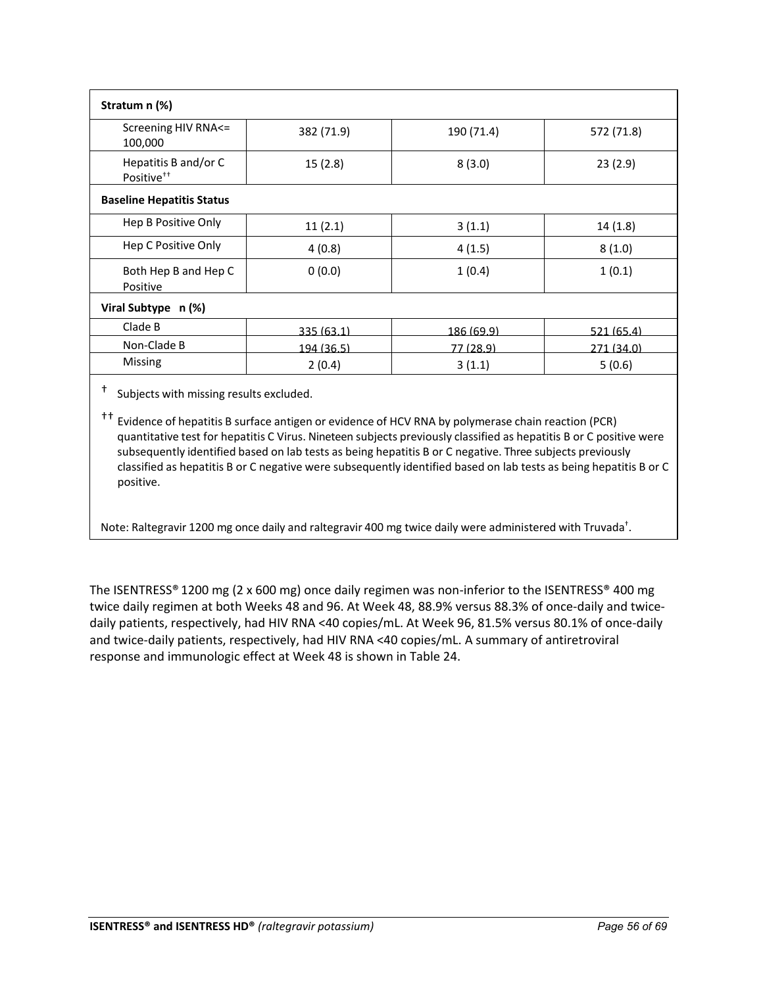| Stratum n (%)                                  |            |            |            |  |  |
|------------------------------------------------|------------|------------|------------|--|--|
| Screening HIV RNA<=<br>100,000                 | 382 (71.9) | 190 (71.4) | 572 (71.8) |  |  |
| Hepatitis B and/or C<br>Positive <sup>++</sup> | 15(2.8)    | 8(3.0)     | 23(2.9)    |  |  |
| <b>Baseline Hepatitis Status</b>               |            |            |            |  |  |
| Hep B Positive Only                            | 11(2.1)    | 3(1.1)     | 14(1.8)    |  |  |
| Hep C Positive Only                            | 4(0.8)     | 4(1.5)     | 8(1.0)     |  |  |
| Both Hep B and Hep C<br>Positive               | 0(0.0)     | 1(0.4)     | 1(0.1)     |  |  |
| Viral Subtype n (%)                            |            |            |            |  |  |
| Clade B                                        | 335 (63.1) | 186 (69.9) | 521(65.4)  |  |  |
| Non-Clade B                                    | 194 (36.5) | 77 (28.9)  | 271 (34.0) |  |  |
| Missing                                        | 2(0.4)     | 3(1.1)     | 5(0.6)     |  |  |
|                                                |            |            |            |  |  |

Subjects with missing results excluded.

†† Evidence of hepatitis B surface antigen or evidence of HCV RNA by polymerase chain reaction (PCR) quantitative test for hepatitis C Virus. Nineteen subjects previously classified as hepatitis B or C positive were subsequently identified based on lab tests as being hepatitis B or C negative. Three subjects previously classified as hepatitis B or C negative were subsequently identified based on lab tests as being hepatitis B or C positive.

Note: Raltegravir 1200 mg once daily and raltegravir 400 mg twice daily were administered with Truvada<sup>†</sup>.

The ISENTRESS® 1200 mg (2 x 600 mg) once daily regimen was non-inferior to the ISENTRESS® 400 mg twice daily regimen at both Weeks 48 and 96. At Week 48, 88.9% versus 88.3% of once-daily and twicedaily patients, respectively, had HIV RNA <40 copies/mL. At Week 96, 81.5% versus 80.1% of once-daily and twice-daily patients, respectively, had HIV RNA <40 copies/mL. A summary of antiretroviral response and immunologic effect at Week 48 is shown in Table 24.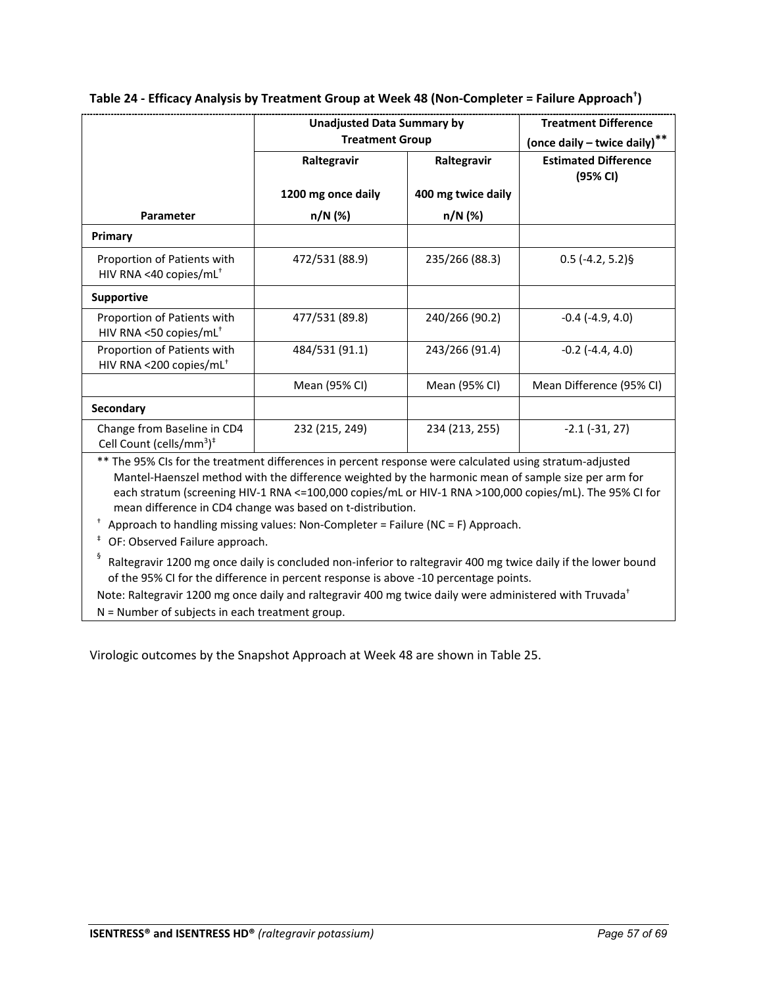|                                                                                 | Unadjusted Data Summary by<br><b>Treatment Group</b> |                                   | <b>Treatment Difference</b><br>(once daily - twice daily)** |
|---------------------------------------------------------------------------------|------------------------------------------------------|-----------------------------------|-------------------------------------------------------------|
|                                                                                 | Raltegravir<br>1200 mg once daily                    | Raltegravir<br>400 mg twice daily | <b>Estimated Difference</b><br>(95% CI)                     |
| Parameter                                                                       | n/N (%)                                              | n/N (%)                           |                                                             |
| Primary                                                                         |                                                      |                                   |                                                             |
| Proportion of Patients with<br>HIV RNA <40 copies/mL <sup>+</sup>               | 472/531 (88.9)                                       | 235/266 (88.3)                    | $0.5$ (-4.2, 5.2)§                                          |
| <b>Supportive</b>                                                               |                                                      |                                   |                                                             |
| Proportion of Patients with<br>HIV RNA <50 copies/mL <sup>+</sup>               | 477/531 (89.8)                                       | 240/266 (90.2)                    | $-0.4$ ( $-4.9, 4.0$ )                                      |
| Proportion of Patients with<br>HIV RNA <200 copies/mL <sup>+</sup>              | 484/531 (91.1)                                       | 243/266 (91.4)                    | $-0.2$ $(-4.4, 4.0)$                                        |
|                                                                                 | Mean (95% CI)                                        | Mean (95% CI)                     | Mean Difference (95% CI)                                    |
| <b>Secondary</b>                                                                |                                                      |                                   |                                                             |
| Change from Baseline in CD4<br>Cell Count (cells/mm <sup>3</sup> ) <sup>‡</sup> | 232 (215, 249)                                       | 234 (213, 255)                    | $-2.1(-31, 27)$                                             |

## **Table 24 - Efficacy Analysis by Treatment Group at Week 48 (Non-Completer = Failure Approach† )**

\*\* The 95% CIs for the treatment differences in percent response were calculated using stratum-adjusted Mantel-Haenszel method with the difference weighted by the harmonic mean of sample size per arm for each stratum (screening HIV-1 RNA <=100,000 copies/mL or HIV-1 RNA >100,000 copies/mL). The 95% CI for mean difference in CD4 change was based on t-distribution.

 $\dagger$  Approach to handling missing values: Non-Completer = Failure (NC = F) Approach.

‡ OF: Observed Failure approach.

 $\frac{6}{3}$  Raltegravir 1200 mg once daily is concluded non-inferior to raltegravir 400 mg twice daily if the lower bound of the 95% CI for the difference in percent response is above -10 percentage points.

Note: Raltegravir 1200 mg once daily and raltegravir 400 mg twice daily were administered with Truvada<sup>†</sup>

N = Number of subjects in each treatment group.

Virologic outcomes by the Snapshot Approach at Week 48 are shown in Table 25.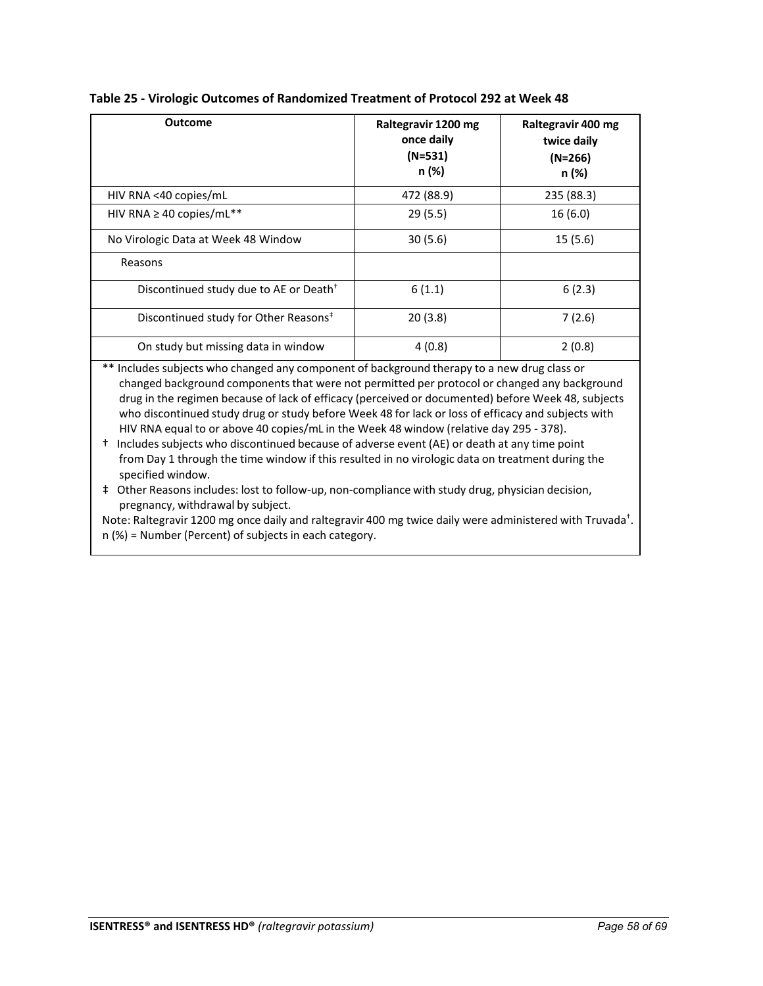| <b>Outcome</b>                                     | Raltegravir 1200 mg<br>once daily<br>$(N=531)$<br>n (%) | Raltegravir 400 mg<br>twice daily<br>$(N=266)$<br>n (%) |
|----------------------------------------------------|---------------------------------------------------------|---------------------------------------------------------|
| HIV RNA <40 copies/mL                              | 472 (88.9)                                              | 235 (88.3)                                              |
| HIV RNA $\geq$ 40 copies/mL**                      | 29(5.5)                                                 | 16(6.0)                                                 |
| No Virologic Data at Week 48 Window                | 30(5.6)                                                 | 15(5.6)                                                 |
| Reasons                                            |                                                         |                                                         |
| Discontinued study due to AE or Death <sup>+</sup> | 6(1.1)                                                  | 6(2.3)                                                  |
| Discontinued study for Other Reasons <sup>#</sup>  | 20(3.8)                                                 | 7(2.6)                                                  |
| On study but missing data in window                | 4(0.8)                                                  | 2(0.8)                                                  |

**Table 25 - Virologic Outcomes of Randomized Treatment of Protocol 292 at Week 48**

\*\* Includes subjects who changed any component of background therapy to a new drug class or changed background components that were not permitted per protocol or changed any background drug in the regimen because of lack of efficacy (perceived or documented) before Week 48, subjects who discontinued study drug or study before Week 48 for lack or loss of efficacy and subjects with HIV RNA equal to or above 40 copies/mL in the Week 48 window (relative day 295 - 378).

† Includes subjects who discontinued because of adverse event (AE) or death at any time point from Day 1 through the time window if this resulted in no virologic data on treatment during the specified window.

‡ Other Reasons includes: lost to follow-up, non-compliance with study drug, physician decision, pregnancy, withdrawal by subject.

Note: Raltegravir 1200 mg once daily and raltegravir 400 mg twice daily were administered with Truvada<sup>†</sup>. n (%) = Number (Percent) of subjects in each category.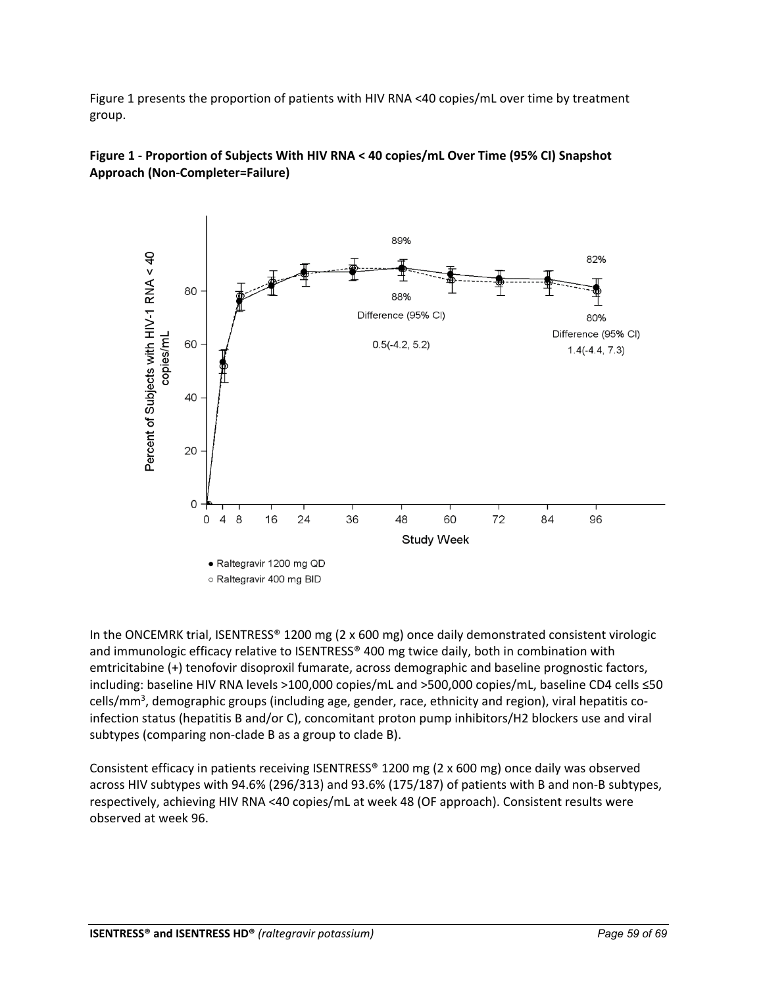Figure 1 presents the proportion of patients with HIV RNA <40 copies/mL over time by treatment group.





In the ONCEMRK trial, ISENTRESS® 1200 mg (2 x 600 mg) once daily demonstrated consistent virologic and immunologic efficacy relative to ISENTRESS® 400 mg twice daily, both in combination with emtricitabine (+) tenofovir disoproxil fumarate, across demographic and baseline prognostic factors, including: baseline HIV RNA levels >100,000 copies/mL and >500,000 copies/mL, baseline CD4 cells ≤50 cells/mm<sup>3</sup>, demographic groups (including age, gender, race, ethnicity and region), viral hepatitis coinfection status (hepatitis B and/or C), concomitant proton pump inhibitors/H2 blockers use and viral subtypes (comparing non-clade B as a group to clade B).

Consistent efficacy in patients receiving ISENTRESS® 1200 mg (2 x 600 mg) once daily was observed across HIV subtypes with 94.6% (296/313) and 93.6% (175/187) of patients with B and non-B subtypes, respectively, achieving HIV RNA <40 copies/mL at week 48 (OF approach). Consistent results were observed at week 96.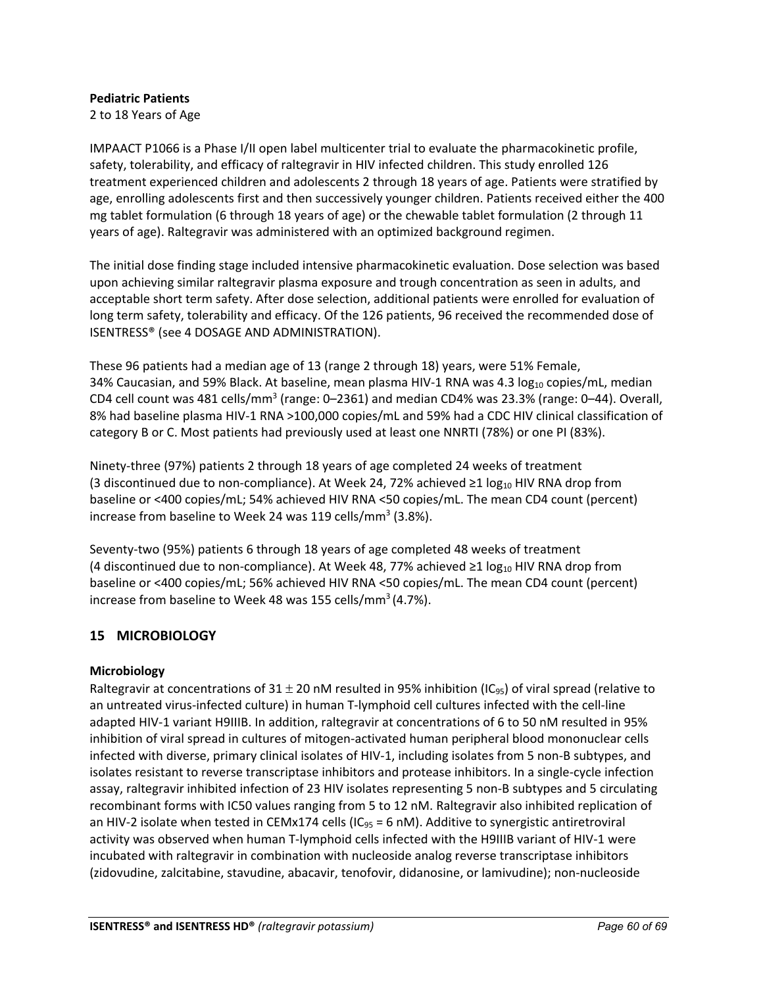## **Pediatric Patients**

2 to 18 Years of Age

IMPAACT P1066 is a Phase I/II open label multicenter trial to evaluate the pharmacokinetic profile, safety, tolerability, and efficacy of raltegravir in HIV infected children. This study enrolled 126 treatment experienced children and adolescents 2 through 18 years of age. Patients were stratified by age, enrolling adolescents first and then successively younger children. Patients received either the 400 mg tablet formulation (6 through 18 years of age) or the chewable tablet formulation (2 through 11 years of age). Raltegravir was administered with an optimized background regimen.

The initial dose finding stage included intensive pharmacokinetic evaluation. Dose selection was based upon achieving similar raltegravir plasma exposure and trough concentration as seen in adults, and acceptable short term safety. After dose selection, additional patients were enrolled for evaluation of long term safety, tolerability and efficacy. Of the 126 patients, 96 received the recommended dose of ISENTRESS® (see 4 DOSAGE AND ADMINISTRATION).

These 96 patients had a median age of 13 (range 2 through 18) years, were 51% Female, 34% Caucasian, and 59% Black. At baseline, mean plasma HIV-1 RNA was 4.3  $log_{10}$  copies/mL, median CD4 cell count was 481 cells/mm<sup>3</sup> (range:  $0-2361$ ) and median CD4% was 23.3% (range:  $0-44$ ). Overall, 8% had baseline plasma HIV-1 RNA >100,000 copies/mL and 59% had a CDC HIV clinical classification of category B or C. Most patients had previously used at least one NNRTI (78%) or one PI (83%).

Ninety-three (97%) patients 2 through 18 years of age completed 24 weeks of treatment (3 discontinued due to non-compliance). At Week 24, 72% achieved ≥1 log<sub>10</sub> HIV RNA drop from baseline or <400 copies/mL; 54% achieved HIV RNA <50 copies/mL. The mean CD4 count (percent) increase from baseline to Week 24 was 119 cells/mm<sup>3</sup> (3.8%).

Seventy-two (95%) patients 6 through 18 years of age completed 48 weeks of treatment (4 discontinued due to non-compliance). At Week 48, 77% achieved ≥1 log<sub>10</sub> HIV RNA drop from baseline or <400 copies/mL; 56% achieved HIV RNA <50 copies/mL. The mean CD4 count (percent) increase from baseline to Week 48 was 155 cells/mm<sup>3</sup> (4.7%).

## <span id="page-59-0"></span>**15 MICROBIOLOGY**

## **Microbiology**

Raltegravir at concentrations of  $31 \pm 20$  nM resulted in 95% inhibition (IC<sub>95</sub>) of viral spread (relative to an untreated virus-infected culture) in human T-lymphoid cell cultures infected with the cell-line adapted HIV-1 variant H9IIIB. In addition, raltegravir at concentrations of 6 to 50 nM resulted in 95% inhibition of viral spread in cultures of mitogen-activated human peripheral blood mononuclear cells infected with diverse, primary clinical isolates of HIV-1, including isolates from 5 non-B subtypes, and isolates resistant to reverse transcriptase inhibitors and protease inhibitors. In a single-cycle infection assay, raltegravir inhibited infection of 23 HIV isolates representing 5 non-B subtypes and 5 circulating recombinant forms with IC50 values ranging from 5 to 12 nM. Raltegravir also inhibited replication of an HIV-2 isolate when tested in CEMx174 cells (IC<sub>95</sub> = 6 nM). Additive to synergistic antiretroviral activity was observed when human T-lymphoid cells infected with the H9IIIB variant of HIV-1 were incubated with raltegravir in combination with nucleoside analog reverse transcriptase inhibitors (zidovudine, zalcitabine, stavudine, abacavir, tenofovir, didanosine, or lamivudine); non-nucleoside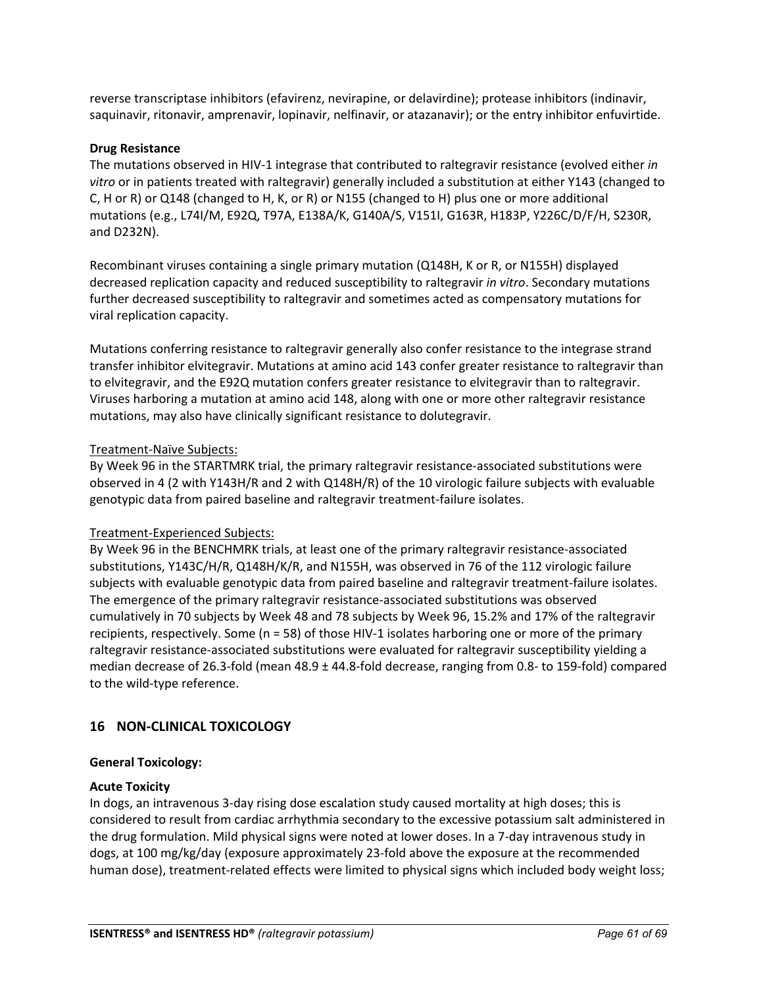reverse transcriptase inhibitors (efavirenz, nevirapine, or delavirdine); protease inhibitors (indinavir, saquinavir, ritonavir, amprenavir, lopinavir, nelfinavir, or atazanavir); or the entry inhibitor enfuvirtide.

## **Drug Resistance**

The mutations observed in HIV-1 integrase that contributed to raltegravir resistance (evolved either *in vitro* or in patients treated with raltegravir) generally included a substitution at either Y143 (changed to C, H or R) or Q148 (changed to H, K, or R) or N155 (changed to H) plus one or more additional mutations (e.g., L74I/M, E92Q, T97A, E138A/K, G140A/S, V151I, G163R, H183P, Y226C/D/F/H, S230R, and D232N).

Recombinant viruses containing a single primary mutation (Q148H, K or R, or N155H) displayed decreased replication capacity and reduced susceptibility to raltegravir *in vitro*. Secondary mutations further decreased susceptibility to raltegravir and sometimes acted as compensatory mutations for viral replication capacity.

Mutations conferring resistance to raltegravir generally also confer resistance to the integrase strand transfer inhibitor elvitegravir. Mutations at amino acid 143 confer greater resistance to raltegravir than to elvitegravir, and the E92Q mutation confers greater resistance to elvitegravir than to raltegravir. Viruses harboring a mutation at amino acid 148, along with one or more other raltegravir resistance mutations, may also have clinically significant resistance to dolutegravir.

#### Treatment-Naïve Subjects:

By Week 96 in the STARTMRK trial, the primary raltegravir resistance-associated substitutions were observed in 4 (2 with Y143H/R and 2 with Q148H/R) of the 10 virologic failure subjects with evaluable genotypic data from paired baseline and raltegravir treatment-failure isolates.

## Treatment-Experienced Subjects:

By Week 96 in the BENCHMRK trials, at least one of the primary raltegravir resistance-associated substitutions, Y143C/H/R, Q148H/K/R, and N155H, was observed in 76 of the 112 virologic failure subjects with evaluable genotypic data from paired baseline and raltegravir treatment-failure isolates. The emergence of the primary raltegravir resistance-associated substitutions was observed cumulatively in 70 subjects by Week 48 and 78 subjects by Week 96, 15.2% and 17% of the raltegravir recipients, respectively. Some (n = 58) of those HIV-1 isolates harboring one or more of the primary raltegravir resistance-associated substitutions were evaluated for raltegravir susceptibility yielding a median decrease of 26.3-fold (mean 48.9 ± 44.8-fold decrease, ranging from 0.8- to 159-fold) compared to the wild-type reference.

## <span id="page-60-0"></span>**16 NON-CLINICAL TOXICOLOGY**

#### **General Toxicology:**

#### **Acute Toxicity**

In dogs, an intravenous 3-day rising dose escalation study caused mortality at high doses; this is considered to result from cardiac arrhythmia secondary to the excessive potassium salt administered in the drug formulation. Mild physical signs were noted at lower doses. In a 7-day intravenous study in dogs, at 100 mg/kg/day (exposure approximately 23-fold above the exposure at the recommended human dose), treatment-related effects were limited to physical signs which included body weight loss;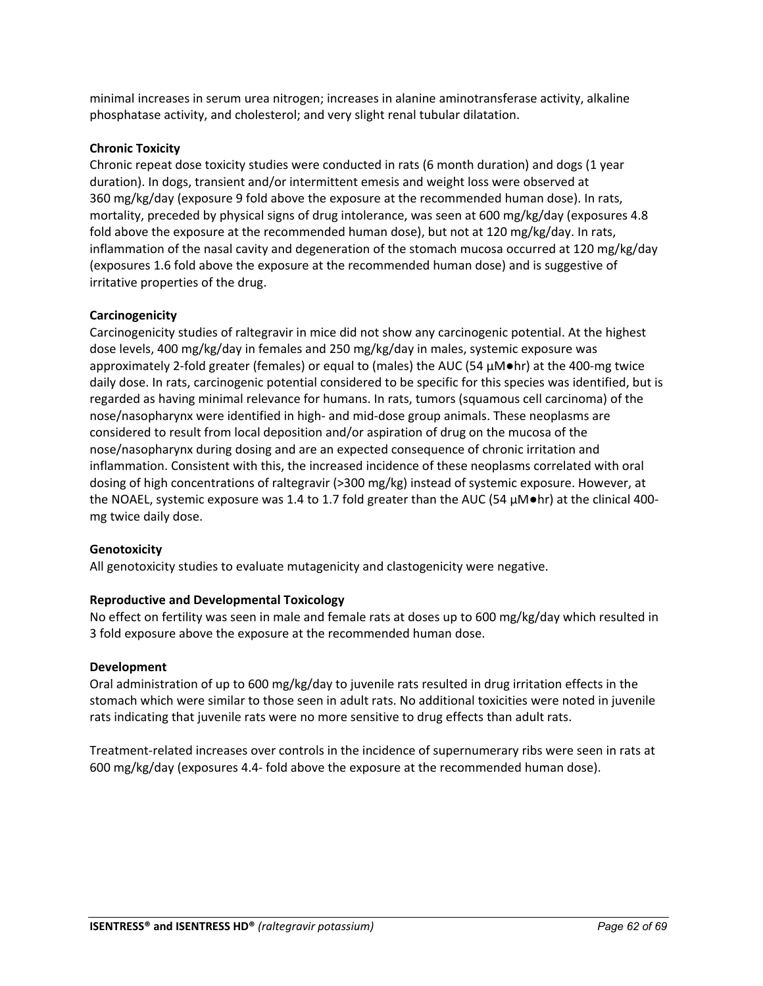minimal increases in serum urea nitrogen; increases in alanine aminotransferase activity, alkaline phosphatase activity, and cholesterol; and very slight renal tubular dilatation.

## **Chronic Toxicity**

Chronic repeat dose toxicity studies were conducted in rats (6 month duration) and dogs (1 year duration). In dogs, transient and/or intermittent emesis and weight loss were observed at 360 mg/kg/day (exposure 9 fold above the exposure at the recommended human dose). In rats, mortality, preceded by physical signs of drug intolerance, was seen at 600 mg/kg/day (exposures 4.8 fold above the exposure at the recommended human dose), but not at 120 mg/kg/day. In rats, inflammation of the nasal cavity and degeneration of the stomach mucosa occurred at 120 mg/kg/day (exposures 1.6 fold above the exposure at the recommended human dose) and is suggestive of irritative properties of the drug.

## **Carcinogenicity**

Carcinogenicity studies of raltegravir in mice did not show any carcinogenic potential. At the highest dose levels, 400 mg/kg/day in females and 250 mg/kg/day in males, systemic exposure was approximately 2-fold greater (females) or equal to (males) the AUC (54 µM●hr) at the 400-mg twice daily dose. In rats, carcinogenic potential considered to be specific for this species was identified, but is regarded as having minimal relevance for humans. In rats, tumors (squamous cell carcinoma) of the nose/nasopharynx were identified in high- and mid-dose group animals. These neoplasms are considered to result from local deposition and/or aspiration of drug on the mucosa of the nose/nasopharynx during dosing and are an expected consequence of chronic irritation and inflammation. Consistent with this, the increased incidence of these neoplasms correlated with oral dosing of high concentrations of raltegravir (>300 mg/kg) instead of systemic exposure. However, at the NOAEL, systemic exposure was 1.4 to 1.7 fold greater than the AUC (54  $\mu$ M $\bullet$ hr) at the clinical 400mg twice daily dose.

## **Genotoxicity**

All genotoxicity studies to evaluate mutagenicity and clastogenicity were negative.

## **Reproductive and Developmental Toxicology**

No effect on fertility was seen in male and female rats at doses up to 600 mg/kg/day which resulted in 3 fold exposure above the exposure at the recommended human dose.

## **Development**

Oral administration of up to 600 mg/kg/day to juvenile rats resulted in drug irritation effects in the stomach which were similar to those seen in adult rats. No additional toxicities were noted in juvenile rats indicating that juvenile rats were no more sensitive to drug effects than adult rats.

Treatment-related increases over controls in the incidence of supernumerary ribs were seen in rats at 600 mg/kg/day (exposures 4.4- fold above the exposure at the recommended human dose).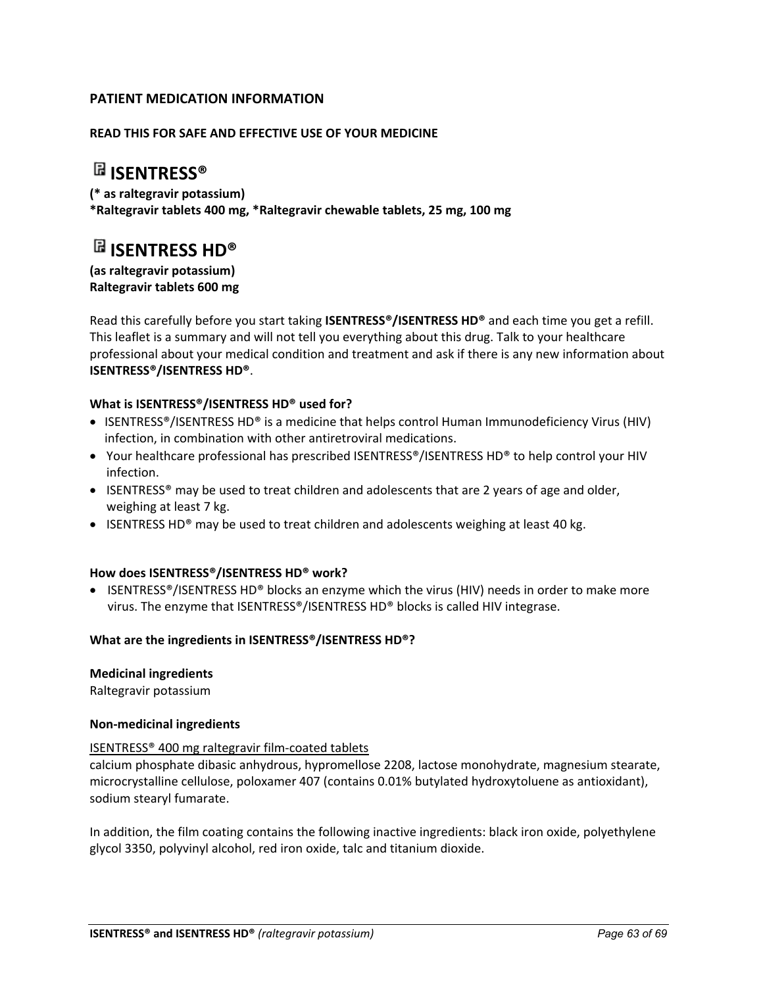## <span id="page-62-0"></span>**PATIENT MEDICATION INFORMATION**

## **READ THIS FOR SAFE AND EFFECTIVE USE OF YOUR MEDICINE**

## **ISENTRESS®**

**(\* as raltegravir potassium) \*Raltegravir tablets 400 mg, \*Raltegravir chewable tablets, 25 mg, 100 mg**

# **ISENTRESS HD®**

**(as raltegravir potassium) Raltegravir tablets 600 mg** 

Read this carefully before you start taking **ISENTRESS®/ISENTRESS HD®** and each time you get a refill. This leaflet is a summary and will not tell you everything about this drug. Talk to your healthcare professional about your medical condition and treatment and ask if there is any new information about **ISENTRESS®/ISENTRESS HD®**.

## **What is ISENTRESS®/ISENTRESS HD® used for?**

- ISENTRESS®/ISENTRESS HD® is a medicine that helps control Human Immunodeficiency Virus (HIV) infection, in combination with other antiretroviral medications.
- Your healthcare professional has prescribed ISENTRESS®/ISENTRESS HD® to help control your HIV infection.
- ISENTRESS® may be used to treat children and adolescents that are 2 years of age and older, weighing at least 7 kg.
- ISENTRESS HD® may be used to treat children and adolescents weighing at least 40 kg.

#### **How does ISENTRESS®/ISENTRESS HD® work?**

• ISENTRESS®/ISENTRESS HD® blocks an enzyme which the virus (HIV) needs in order to make more virus. The enzyme that ISENTRESS®/ISENTRESS HD® blocks is called HIV integrase.

## **What are the ingredients in ISENTRESS®/ISENTRESS HD®?**

#### **Medicinal ingredients**

Raltegravir potassium

#### **Non-medicinal ingredients**

#### ISENTRESS® 400 mg raltegravir film-coated tablets

calcium phosphate dibasic anhydrous, hypromellose 2208, lactose monohydrate, magnesium stearate, microcrystalline cellulose, poloxamer 407 (contains 0.01% butylated hydroxytoluene as antioxidant), sodium stearyl fumarate.

In addition, the film coating contains the following inactive ingredients: black iron oxide, polyethylene glycol 3350, polyvinyl alcohol, red iron oxide, talc and titanium dioxide.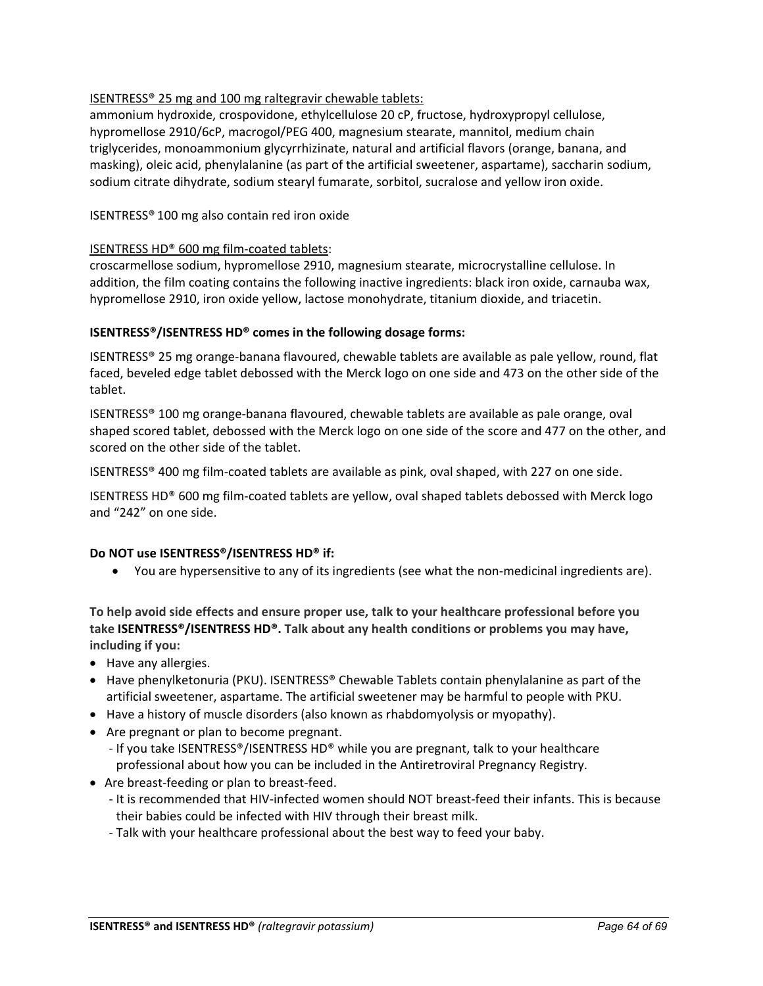## ISENTRESS® 25 mg and 100 mg raltegravir chewable tablets:

ammonium hydroxide, crospovidone, ethylcellulose 20 cP, fructose, hydroxypropyl cellulose, hypromellose 2910/6cP, macrogol/PEG 400, magnesium stearate, mannitol, medium chain triglycerides, monoammonium glycyrrhizinate, natural and artificial flavors (orange, banana, and masking), oleic acid, phenylalanine (as part of the artificial sweetener, aspartame), saccharin sodium, sodium citrate dihydrate, sodium stearyl fumarate, sorbitol, sucralose and yellow iron oxide.

## ISENTRESS® 100 mg also contain red iron oxide

## ISENTRESS HD® 600 mg film-coated tablets:

croscarmellose sodium, hypromellose 2910, magnesium stearate, microcrystalline cellulose. In addition, the film coating contains the following inactive ingredients: black iron oxide, carnauba wax, hypromellose 2910, iron oxide yellow, lactose monohydrate, titanium dioxide, and triacetin.

## **ISENTRESS®/ISENTRESS HD® comes in the following dosage forms:**

ISENTRESS® 25 mg orange-banana flavoured, chewable tablets are available as pale yellow, round, flat faced, beveled edge tablet debossed with the Merck logo on one side and 473 on the other side of the tablet.

ISENTRESS® 100 mg orange-banana flavoured, chewable tablets are available as pale orange, oval shaped scored tablet, debossed with the Merck logo on one side of the score and 477 on the other, and scored on the other side of the tablet.

ISENTRESS® 400 mg film-coated tablets are available as pink, oval shaped, with 227 on one side.

ISENTRESS HD® 600 mg film-coated tablets are yellow, oval shaped tablets debossed with Merck logo and "242" on one side.

## **Do NOT use ISENTRESS®/ISENTRESS HD® if:**

• You are hypersensitive to any of its ingredients (see what the non-medicinal ingredients are).

**To help avoid side effects and ensure proper use, talk to your healthcare professional before you take ISENTRESS®/ISENTRESS HD®. Talk about any health conditions or problems you may have, including if you:**

- Have any allergies.
- Have phenylketonuria (PKU). ISENTRESS® Chewable Tablets contain phenylalanine as part of the artificial sweetener, aspartame. The artificial sweetener may be harmful to people with PKU.
- Have a history of muscle disorders (also known as rhabdomyolysis or myopathy).
- Are pregnant or plan to become pregnant.
	- If you take ISENTRESS®/ISENTRESS HD® while you are pregnant, talk to your healthcare professional about how you can be included in the Antiretroviral Pregnancy Registry.
- Are breast-feeding or plan to breast-feed.
	- It is recommended that HIV-infected women should NOT breast-feed their infants. This is because their babies could be infected with HIV through their breast milk.
	- Talk with your healthcare professional about the best way to feed your baby.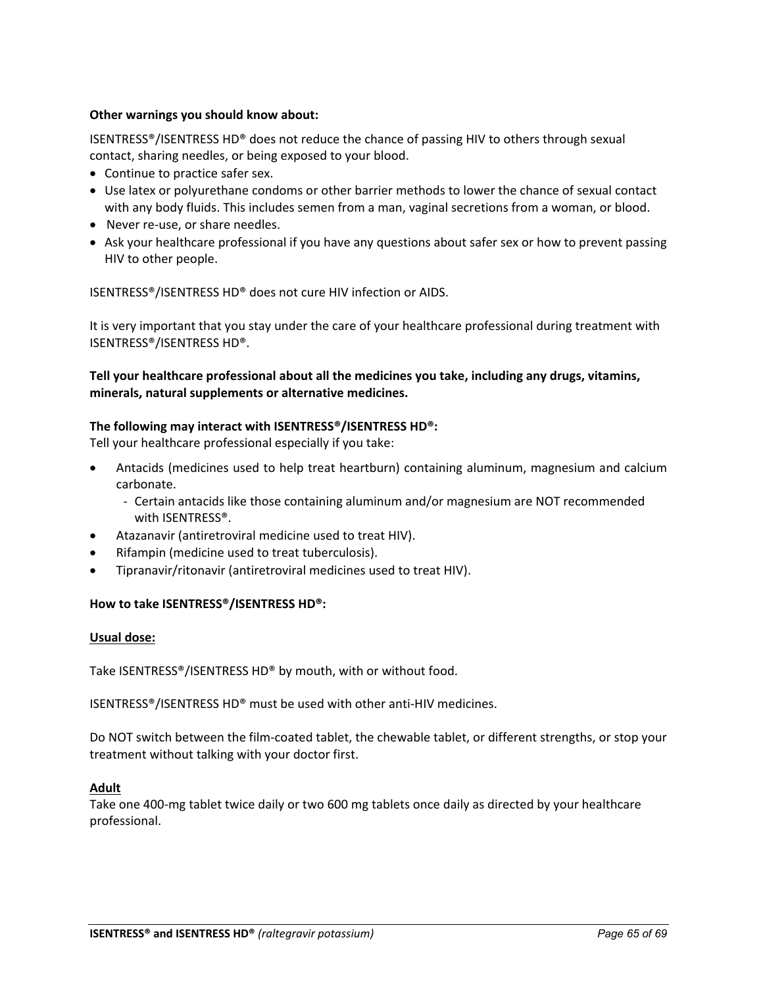## **Other warnings you should know about:**

ISENTRESS®/ISENTRESS HD® does not reduce the chance of passing HIV to others through sexual contact, sharing needles, or being exposed to your blood.

- Continue to practice safer sex.
- Use latex or polyurethane condoms or other barrier methods to lower the chance of sexual contact with any body fluids. This includes semen from a man, vaginal secretions from a woman, or blood.
- Never re-use, or share needles.
- Ask your healthcare professional if you have any questions about safer sex or how to prevent passing HIV to other people.

ISENTRESS®/ISENTRESS HD® does not cure HIV infection or AIDS.

It is very important that you stay under the care of your healthcare professional during treatment with ISENTRESS®/ISENTRESS HD®.

**Tell your healthcare professional about all the medicines you take, including any drugs, vitamins, minerals, natural supplements or alternative medicines.**

## **The following may interact with ISENTRESS®/ISENTRESS HD®:**

Tell your healthcare professional especially if you take:

- Antacids (medicines used to help treat heartburn) containing aluminum, magnesium and calcium carbonate.
	- Certain antacids like those containing aluminum and/or magnesium are NOT recommended with ISENTRESS®.
- Atazanavir (antiretroviral medicine used to treat HIV).
- Rifampin (medicine used to treat tuberculosis).
- Tipranavir/ritonavir (antiretroviral medicines used to treat HIV).

## **How to take ISENTRESS®/ISENTRESS HD®:**

## **Usual dose:**

Take ISENTRESS®/ISENTRESS HD® by mouth, with or without food.

ISENTRESS®/ISENTRESS HD® must be used with other anti-HIV medicines.

Do NOT switch between the film-coated tablet, the chewable tablet, or different strengths, or stop your treatment without talking with your doctor first.

## **Adult**

Take one 400-mg tablet twice daily or two 600 mg tablets once daily as directed by your healthcare professional.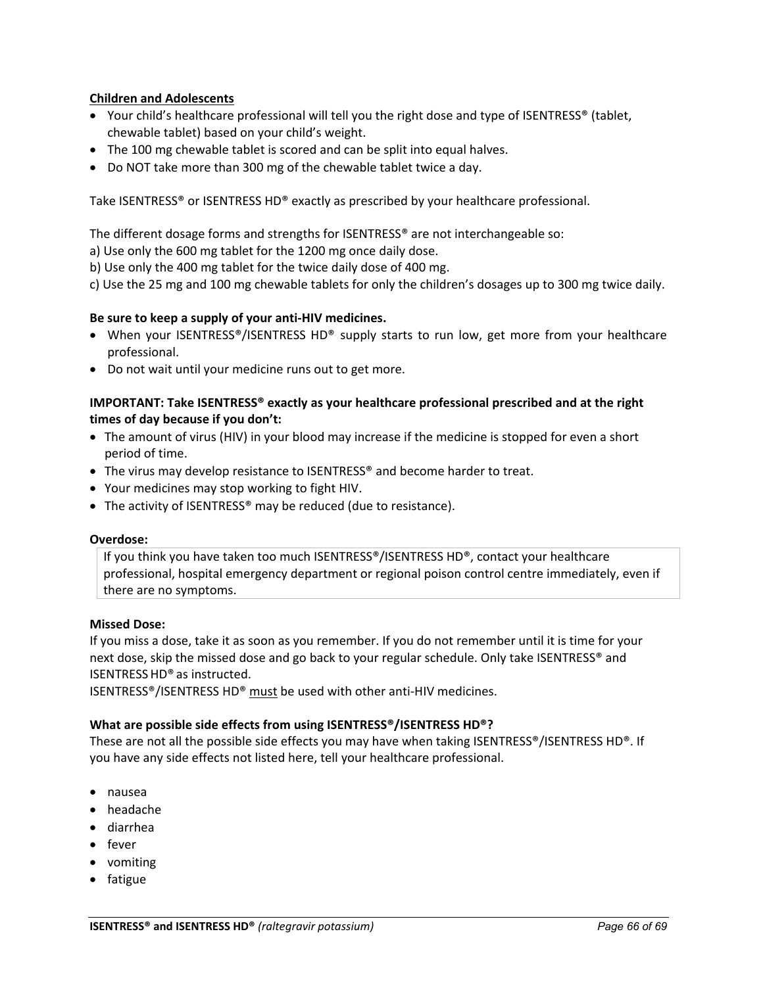## **Children and Adolescents**

- Your child's healthcare professional will tell you the right dose and type of ISENTRESS® (tablet, chewable tablet) based on your child's weight.
- The 100 mg chewable tablet is scored and can be split into equal halves.
- Do NOT take more than 300 mg of the chewable tablet twice a day.

Take ISENTRESS® or ISENTRESS HD® exactly as prescribed by your healthcare professional.

The different dosage forms and strengths for ISENTRESS® are not interchangeable so:

a) Use only the 600 mg tablet for the 1200 mg once daily dose.

b) Use only the 400 mg tablet for the twice daily dose of 400 mg.

c) Use the 25 mg and 100 mg chewable tablets for only the children's dosages up to 300 mg twice daily.

## **Be sure to keep a supply of your anti-HIV medicines.**

- When your ISENTRESS®/ISENTRESS HD® supply starts to run low, get more from your healthcare professional.
- Do not wait until your medicine runs out to get more.

## **IMPORTANT: Take ISENTRESS® exactly as your healthcare professional prescribed and at the right times of day because if you don't:**

- The amount of virus (HIV) in your blood may increase if the medicine is stopped for even a short period of time.
- The virus may develop resistance to ISENTRESS® and become harder to treat.
- Your medicines may stop working to fight HIV.
- The activity of ISENTRESS<sup>®</sup> may be reduced (due to resistance).

#### **Overdose:**

If you think you have taken too much ISENTRESS®/ISENTRESS HD®, contact your healthcare professional, hospital emergency department or regional poison control centre immediately, even if there are no symptoms.

## **Missed Dose:**

If you miss a dose, take it as soon as you remember. If you do not remember until it is time for your next dose, skip the missed dose and go back to your regular schedule. Only take ISENTRESS® and ISENTRESSHD® as instructed.

ISENTRESS®/ISENTRESS HD® must be used with other anti-HIV medicines.

## **What are possible side effects from using ISENTRESS®/ISENTRESS HD®?**

These are not all the possible side effects you may have when taking ISENTRESS®/ISENTRESS HD®. If you have any side effects not listed here, tell your healthcare professional.

- nausea
- headache
- diarrhea
- fever
- vomiting
- fatigue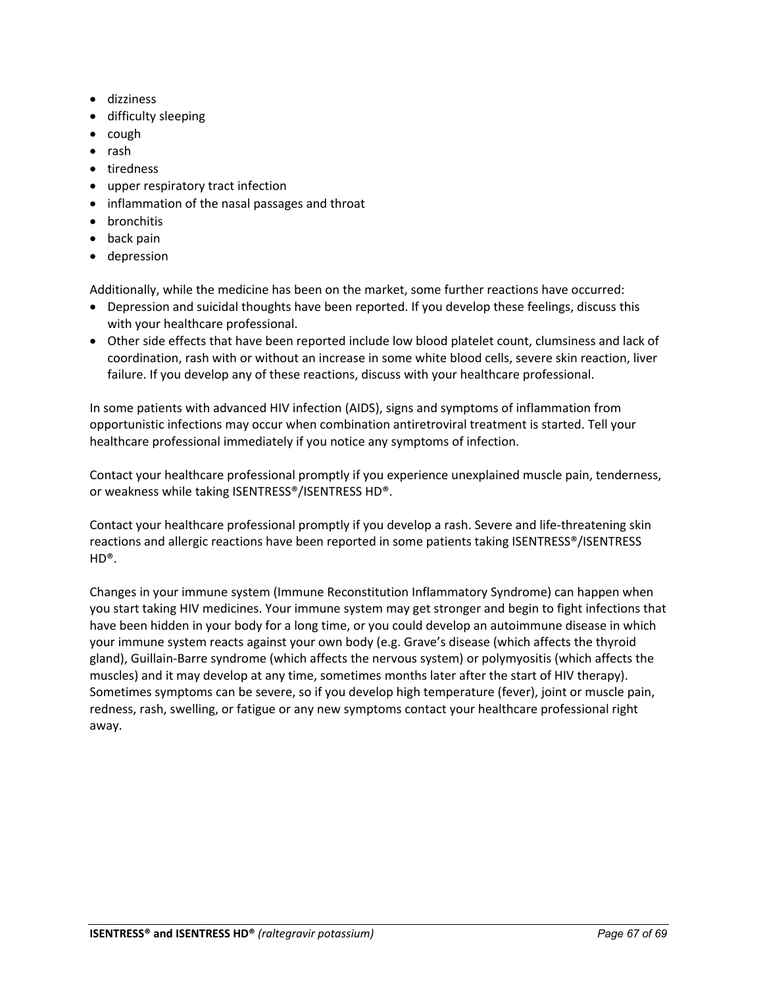- dizziness
- difficulty sleeping
- cough
- rash
- tiredness
- upper respiratory tract infection
- inflammation of the nasal passages and throat
- bronchitis
- back pain
- depression

Additionally, while the medicine has been on the market, some further reactions have occurred:

- Depression and suicidal thoughts have been reported. If you develop these feelings, discuss this with your healthcare professional.
- Other side effects that have been reported include low blood platelet count, clumsiness and lack of coordination, rash with or without an increase in some white blood cells, severe skin reaction, liver failure. If you develop any of these reactions, discuss with your healthcare professional.

In some patients with advanced HIV infection (AIDS), signs and symptoms of inflammation from opportunistic infections may occur when combination antiretroviral treatment is started. Tell your healthcare professional immediately if you notice any symptoms of infection.

Contact your healthcare professional promptly if you experience unexplained muscle pain, tenderness, or weakness while taking ISENTRESS®/ISENTRESS HD®.

Contact your healthcare professional promptly if you develop a rash. Severe and life-threatening skin reactions and allergic reactions have been reported in some patients taking ISENTRESS®/ISENTRESS  $HD^{\circledR}$ .

Changes in your immune system (Immune Reconstitution Inflammatory Syndrome) can happen when you start taking HIV medicines. Your immune system may get stronger and begin to fight infections that have been hidden in your body for a long time, or you could develop an autoimmune disease in which your immune system reacts against your own body (e.g. Grave's disease (which affects the thyroid gland), Guillain-Barre syndrome (which affects the nervous system) or polymyositis (which affects the muscles) and it may develop at any time, sometimes months later after the start of HIV therapy). Sometimes symptoms can be severe, so if you develop high temperature (fever), joint or muscle pain, redness, rash, swelling, or fatigue or any new symptoms contact your healthcare professional right away.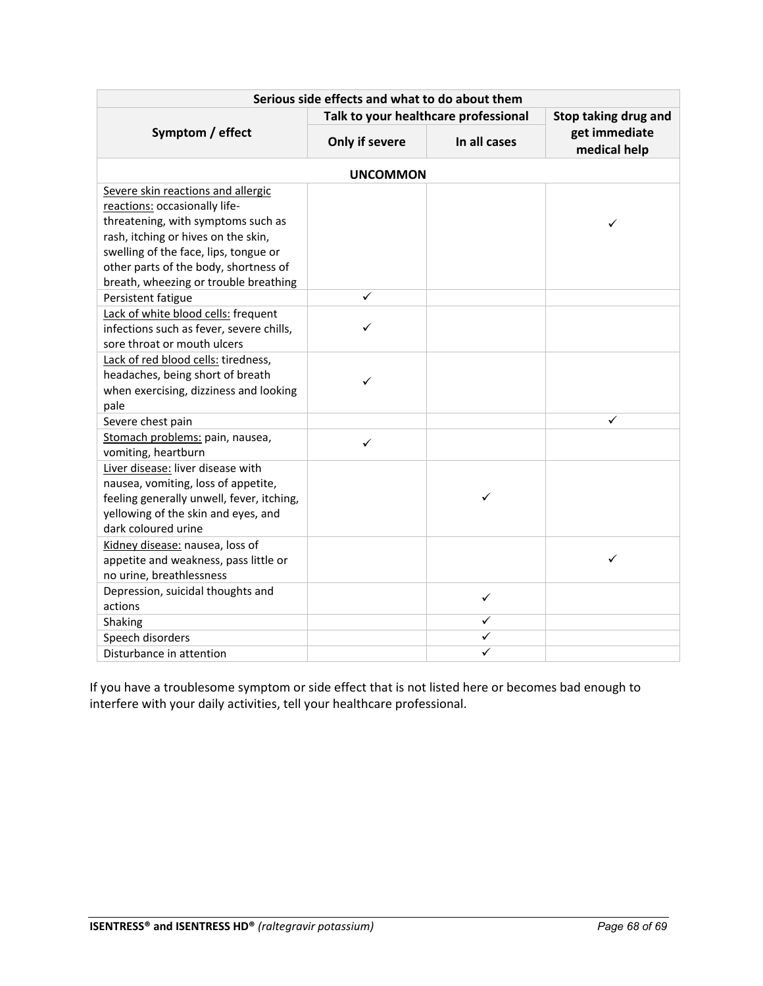| Serious side effects and what to do about them                                                                                                                                                                                                                              |                                      |                      |                               |  |
|-----------------------------------------------------------------------------------------------------------------------------------------------------------------------------------------------------------------------------------------------------------------------------|--------------------------------------|----------------------|-------------------------------|--|
|                                                                                                                                                                                                                                                                             | Talk to your healthcare professional | Stop taking drug and |                               |  |
| Symptom / effect                                                                                                                                                                                                                                                            | Only if severe                       | In all cases         | get immediate<br>medical help |  |
|                                                                                                                                                                                                                                                                             | <b>UNCOMMON</b>                      |                      |                               |  |
| Severe skin reactions and allergic<br>reactions: occasionally life-<br>threatening, with symptoms such as<br>rash, itching or hives on the skin,<br>swelling of the face, lips, tongue or<br>other parts of the body, shortness of<br>breath, wheezing or trouble breathing |                                      |                      | ✓                             |  |
| Persistent fatigue                                                                                                                                                                                                                                                          | ✓                                    |                      |                               |  |
| Lack of white blood cells: frequent<br>infections such as fever, severe chills,<br>sore throat or mouth ulcers                                                                                                                                                              |                                      |                      |                               |  |
| Lack of red blood cells: tiredness,<br>headaches, being short of breath<br>when exercising, dizziness and looking<br>pale                                                                                                                                                   | ✓                                    |                      |                               |  |
| Severe chest pain                                                                                                                                                                                                                                                           |                                      |                      | ✓                             |  |
| Stomach problems: pain, nausea,<br>vomiting, heartburn                                                                                                                                                                                                                      | ✓                                    |                      |                               |  |
| Liver disease: liver disease with<br>nausea, vomiting, loss of appetite,<br>feeling generally unwell, fever, itching,<br>yellowing of the skin and eyes, and<br>dark coloured urine                                                                                         |                                      |                      |                               |  |
| Kidney disease: nausea, loss of<br>appetite and weakness, pass little or<br>no urine, breathlessness                                                                                                                                                                        |                                      |                      | ✓                             |  |
| Depression, suicidal thoughts and<br>actions                                                                                                                                                                                                                                |                                      | $\checkmark$         |                               |  |
| Shaking                                                                                                                                                                                                                                                                     |                                      | ✓                    |                               |  |
| Speech disorders                                                                                                                                                                                                                                                            |                                      | ✓                    |                               |  |
| Disturbance in attention                                                                                                                                                                                                                                                    |                                      | ✓                    |                               |  |

If you have a troublesome symptom or side effect that is not listed here or becomes bad enough to interfere with your daily activities, tell your healthcare professional.